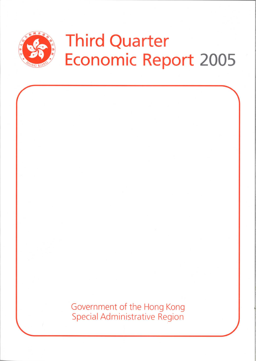

# **Third Quarter Economic Report 2005**

Government of the Hong Kong Special Administrative Region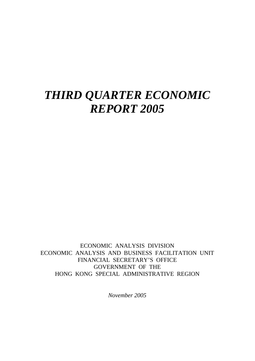# *THIRD QUARTER ECONOMIC REPORT 2005*

ECONOMIC ANALYSIS DIVISION ECONOMIC ANALYSIS AND BUSINESS FACILITATION UNIT FINANCIAL SECRETARY'S OFFICE GOVERNMENT OF THE HONG KONG SPECIAL ADMINISTRATIVE REGION

*November 2005*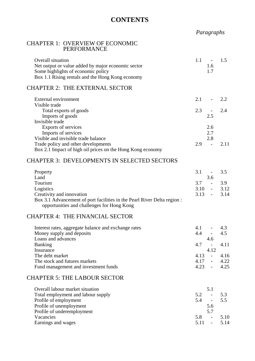# **CONTENTS**

# *Paragraphs*

### CHAPTER 1: OVERVIEW OF ECONOMIC PERFORMANCE

| <b>Overall situation</b><br>Net output or value added by major economic sector<br>Some highlights of economic policy<br>Box 1.1 Rising rentals and the Hong Kong economy | 1.1 | 1.6<br>1.7 | 1.5  |
|--------------------------------------------------------------------------------------------------------------------------------------------------------------------------|-----|------------|------|
| <b>CHAPTER 2: THE EXTERNAL SECTOR</b>                                                                                                                                    |     |            |      |
| External environment                                                                                                                                                     | 2.1 |            | 2.2. |
| Visible trade                                                                                                                                                            |     |            |      |
| Total exports of goods                                                                                                                                                   | 2.3 |            | 2.4  |
| Imports of goods                                                                                                                                                         |     | 2.5        |      |
| Invisible trade                                                                                                                                                          |     |            |      |
| Exports of services                                                                                                                                                      |     | 2.6        |      |
| Imports of services                                                                                                                                                      |     | 2.7        |      |
| Visible and invisible trade balance                                                                                                                                      |     | 2.8        |      |
| Trade policy and other developments                                                                                                                                      | 2.9 |            | 2.11 |
| Box 2.1 Impact of high oil prices on the Hong Kong economy                                                                                                               |     |            |      |

#### CHAPTER 3: DEVELOPMENTS IN SELECTED SECTORS

| Property                                                                | 3.1 |     | $-3.5$        |
|-------------------------------------------------------------------------|-----|-----|---------------|
| Land                                                                    |     | 3.6 |               |
| Tourism                                                                 | 37  |     | 3.9           |
| Logistics                                                               |     |     | $3.10 - 3.12$ |
| Creativity and innovation                                               |     |     | $3.13 - 3.14$ |
| Box 3.1 Advancement of port facilities in the Pearl River Delta region: |     |     |               |
| opportunities and challenges for Hong Kong                              |     |     |               |

#### CHAPTER 4: THE FINANCIAL SECTOR

| Interest rates, aggregate balance and exchange rates | 4.1  | $\overline{\phantom{a}}$ | 43   |
|------------------------------------------------------|------|--------------------------|------|
| Money supply and deposits                            | 4.4  | $\overline{\phantom{a}}$ | 4.5  |
| Loans and advances                                   |      | 4.6                      |      |
| <b>Banking</b>                                       | 4.7  | $\overline{\phantom{a}}$ | 4.11 |
| Insurance                                            |      | 4.12                     |      |
| The debt market                                      | 4.13 | $\sim$                   | 4.16 |
| The stock and futures markets                        | 4.17 | $\sim$                   | 4.22 |
| Fund management and investment funds                 | 1 23 | $\overline{a}$           | 4.25 |

# CHAPTER 5: THE LABOUR SECTOR

| Overall labour market situation    |     | 5.1                      |      |
|------------------------------------|-----|--------------------------|------|
| Total employment and labour supply | 5.2 | $\overline{\phantom{0}}$ | 53   |
| Profile of employment              | 5.4 | $\overline{\phantom{0}}$ | 5.5  |
| Profile of unemployment            |     | 5.6                      |      |
| Profile of underemployment         |     | 5.7                      |      |
| Vacancies                          | 5.8 | $\overline{\phantom{0}}$ | 5.10 |
| Earnings and wages                 |     | $\sim$                   | 5.14 |
|                                    |     |                          |      |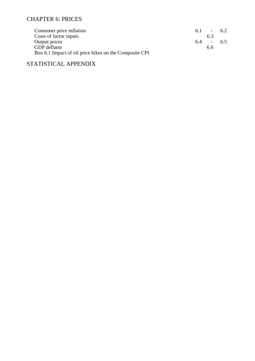# CHAPTER 6: PRICES

| Consumer price inflation                               | 61 | $\overline{\phantom{a}}$ | 62 |
|--------------------------------------------------------|----|--------------------------|----|
| Costs of factor inputs                                 |    | 6.3                      |    |
| Output prices                                          | 64 | $\sim 100$               | 65 |
| <b>GDP</b> deflator                                    |    | 6.6                      |    |
| Box 6.1 Impact of oil price hikes on the Composite CPI |    |                          |    |

# STATISTICAL APPENDIX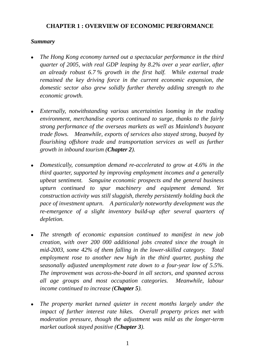# **CHAPTER 1 : OVERVIEW OF ECONOMIC PERFORMANCE**

# *Summary*

- <sup>z</sup>*The Hong Kong economy turned out a spectacular performance in the third quarter of 2005, with real GDP leaping by 8.2% over a year earlier, after an already robust 6.7 % growth in the first half. While external trade remained the key driving force in the current economic expansion, the domestic sector also grew solidly further thereby adding strength to the economic growth.*
- Externally, notwithstanding various uncertainties looming in the trading *environment, merchandise exports continued to surge, thanks to the fairly strong performance of the overseas markets as well as Mainland's buoyant trade flows. Meanwhile, exports of services also stayed strong, buoyed by flourishing offshore trade and transportation services as well as further growth in inbound tourism (Chapter 2).*
- Domestically, consumption demand re-accelerated to grow at 4.6% in the *third quarter, supported by improving employment incomes and a generally upbeat sentiment. Sanguine economic prospects and the general business upturn continued to spur machinery and equipment demand. Yet construction activity was still sluggish, thereby persistently holding back the pace of investment upturn. A particularly noteworthy development was the re-emergence of a slight inventory build-up after several quarters of depletion.*
- The strength of economic expansion continued to manifest in new job *creation, with over 200 000 additional jobs created since the trough in mid-2003, some 42% of them falling in the lower-skilled category. Total employment rose to another new high in the third quarter, pushing the seasonally adjusted unemployment rate down to a four-year low of 5.5%. The improvement was across-the-board in all sectors, and spanned across all age groups and most occupation categories. Meanwhile, labour income continued to increase (Chapter 5).*
- <sup>z</sup>*The property market turned quieter in recent months largely under the impact of further interest rate hikes. Overall property prices met with moderation pressure, though the adjustment was mild as the longer-term market outlook stayed positive (Chapter 3).*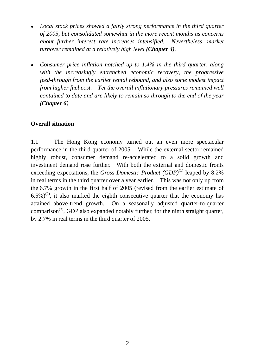- Local stock prices showed a fairly strong performance in the third quarter *of 2005, but consolidated somewhat in the more recent months as concerns about further interest rate increases intensified. Nevertheless, market turnover remained at a relatively high level (Chapter 4).*
- Consumer price inflation notched up to 1.4% in the third quarter, along *with the increasingly entrenched economic recovery, the progressive feed-through from the earlier rental rebound, and also some modest impact from higher fuel cost. Yet the overall inflationary pressures remained well contained to date and are likely to remain so through to the end of the year (Chapter 6).*

# **Overall situation**

1.1 The Hong Kong economy turned out an even more spectacular performance in the third quarter of 2005. While the external sector remained highly robust, consumer demand re-accelerated to a solid growth and investment demand rose further. With both the external and domestic fronts exceeding expectations, the *Gross Domestic Product* (*GDP*)<sup>(1)</sup> leaped by 8.2% in real terms in the third quarter over a year earlier. This was not only up from the 6.7% growth in the first half of 2005 (revised from the earlier estimate of  $(6.5\%)^{(2)}$ , it also marked the eighth consecutive quarter that the economy has attained above-trend growth. On a seasonally adjusted quarter-to-quarter comparison<sup>(3)</sup>, GDP also expanded notably further, for the ninth straight quarter, by 2.7% in real terms in the third quarter of 2005.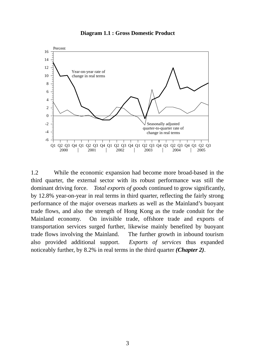#### **Diagram 1.1 : Gross Domestic Product**



1.2 While the economic expansion had become more broad-based in the third quarter, the external sector with its robust performance was still the dominant driving force. *Total exports of goods* continued to grow significantly, by 12.8% year-on-year in real terms in third quarter, reflecting the fairly strong performance of the major overseas markets as well as the Mainland's buoyant trade flows, and also the strength of Hong Kong as the trade conduit for the Mainland economy. On invisible trade, offshore trade and exports of transportation services surged further, likewise mainly benefited by buoyant trade flows involving the Mainland. The further growth in inbound tourism also provided additional support. *Exports of services* thus expanded noticeably further, by 8.2% in real terms in the third quarter *(Chapter 2)*.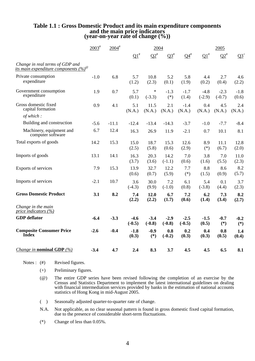|                                                                                     | $2003^{\text{*}}$ | $2004$ <sup>#</sup> | 2004                |                    |                    |                           | 2005                  |                    |                 |
|-------------------------------------------------------------------------------------|-------------------|---------------------|---------------------|--------------------|--------------------|---------------------------|-----------------------|--------------------|-----------------|
|                                                                                     |                   |                     | ${\bf Q1}^{\rm \#}$ | $Q2^*$             | $\Omega^*$         | $\mathbf{Q4}^{\text{\#}}$ | $\Omega$ <sup>#</sup> | $Q2^*$             | $Q_2^+$         |
| Change in real terms of GDP and<br>its main expenditure components (%) <sup>®</sup> |                   |                     |                     |                    |                    |                           |                       |                    |                 |
| Private consumption<br>expenditure                                                  | $-1.0$            | 6.8                 | 5.7<br>(1.2)        | 10.8<br>(2.3)      | 5.2<br>(0.1)       | 5.8<br>(1.9)              | 4.4<br>(0.2)          | 2.7<br>(0.4)       | 4.6<br>(2.2)    |
| Government consumption<br>expenditure                                               | 1.9               | 0.7                 | 5.7<br>(0.1)        | $\ast$<br>$(-3.3)$ | $-1.3$<br>$(*)$    | $-1.7$<br>(1.4)           | $-4.8$<br>$(-2.9)$    | $-2.3$<br>$(-0.7)$ | $-1.8$<br>(0.6) |
| Gross domestic fixed<br>capital formation                                           | 0.9               | 4.1                 | 5.1<br>(N.A.)       | 11.5<br>(N.A.)     | 2.1<br>(N.A.)      | $-1.4$<br>(N.A.)          | 0.4<br>(N.A.)         | 4.5<br>(N.A.)      | 2.4<br>(N.A.)   |
| of which:                                                                           |                   |                     |                     |                    |                    |                           |                       |                    |                 |
| Building and construction                                                           | $-5.6$            | $-11.1$             | $-12.4$             | $-13.4$            | $-14.3$            | $-3.7$                    | $-1.0$                | $-7.7$             | $-8.4$          |
| Machinery, equipment and<br>computer software                                       | 6.7               | 12.4                | 16.3                | 26.9               | 11.9               | $-2.1$                    | 0.7                   | 10.1               | 8.1             |
| Total exports of goods                                                              | 14.2              | 15.3                | 15.0<br>(2.5)       | 18.7<br>(5.8)      | 15.3<br>(0.6)      | 12.6<br>(2.9)             | 8.9<br>$(*)$          | 11.1<br>(6.7)      | 12.8<br>(2.0)   |
| Imports of goods                                                                    | 13.1              | 14.1                | 16.3<br>(3.7)       | 20.3<br>(3.6)      | 14.2<br>$(-1.1)$   | 7.0<br>(0.6)              | 3.8<br>(1.6)          | 7.0<br>(5.5)       | 11.0<br>(2.3)   |
| Exports of services                                                                 | 7.9               | 15.3                | 13.9<br>(0.6)       | 32.7<br>(0.7)      | 12.2<br>(5.9)      | 7.7<br>$(*)$              | 8.8<br>(1.5)          | 8.6<br>(0.9)       | 8.2<br>(5.7)    |
| Imports of services                                                                 | $-2.1$            | 10.7                | 3.6<br>$(-4.3)$     | 30.0<br>(9.9)      | 7.2<br>$(-1.0)$    | 6.1<br>(0.8)              | 5.4<br>$(-3.8)$       | 0.1<br>(4.4)       | 3.7<br>(2.3)    |
| <b>Gross Domestic Product</b>                                                       | 3.1               | 8.2                 | 7.4<br>(2.2)        | 12.0<br>(2.2)      | 6.7<br>(1.7)       | 7.2<br>(0.6)              | 6.2<br>(1.4)          | 7.3<br>(3.4)       | 8.2<br>(2.7)    |
| Change in the main<br>price indicators $(\%)$                                       |                   |                     |                     |                    |                    |                           |                       |                    |                 |
| <b>GDP</b> deflator                                                                 | $-6.4$            | $-3.3$              | $-4.6$<br>$(-0.5)$  | $-3.4$<br>$(-0.8)$ | $-2.9$<br>$(-0.8)$ | $-2.5$<br>$(-0.5)$        | $-1.5$<br>(0.5)       | $-0.7$<br>$(*)$    | $-0.2$<br>$(*)$ |
| <b>Composite Consumer Price</b><br><b>Index</b>                                     | $-2.6$            | $-0.4$              | $-1.8$<br>(0.3)     | $-0.9$<br>$(*)$    | 0.8<br>$(-0.2)$    | 0.2<br>(0.3)              | 0.4<br>(0.3)          | 0.8<br>(0.5)       | 1.4<br>(0.4)    |
| <i>Change in nominal GDP</i> $(\%)$                                                 | $-3.4$            | 4.7                 | 2.4                 | 8.3                | 3.7                | 4.5                       | 4.5                   | 6.5                | 8.1             |

# **Table 1.1 : Gross Domestic Product and its main expenditure components and the main price indicators (year-on-year rate of change (%))**

Notes : (#) Revised figures.

- (+) Preliminary figures.
- (@) The entire GDP series have been revised following the completion of an exercise by the Census and Statistics Department to implement the latest international guidelines on dealing with financial intermediation services provided by banks in the estimation of national accounts statistics of Hong Kong in mid-August 2005.
- ( ) Seasonally adjusted quarter-to-quarter rate of change.
- N.A. Not applicable, as no clear seasonal pattern is found in gross domestic fixed capital formation, due to the presence of considerable short-term fluctuations.
- (\*) Change of less than 0.05%.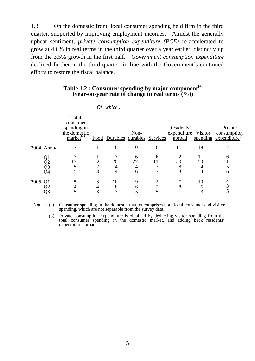1.3 On the domestic front, local consumer spending held firm in the third quarter, supported by improving employment incomes. Amidst the generally upbeat sentiment, *private consumption expenditure (PCE)* re-accelerated to grow at 4.6% in real terms in the third quarter over a year earlier, distinctly up from the 3.5% growth in the first half. *Government consumption expenditure* declined further in the third quarter, in line with the Government's continued efforts to restore the fiscal balance.

# **Table 1.2 : Consumer spending by major component(a) (year-on-year rate of change in real terms (%))**

|      |                | Total<br>consumer<br>spending in<br>the domestic<br>market <sup>(a)</sup> |                             | Food Durables durables Services | Non-         |             | Residents'<br>expenditure Visitor<br>abroad |              | Private<br>consumption<br>spending expenditure <sup>(b)</sup> |
|------|----------------|---------------------------------------------------------------------------|-----------------------------|---------------------------------|--------------|-------------|---------------------------------------------|--------------|---------------------------------------------------------------|
|      | 2004 Annual    |                                                                           |                             | 16                              | 10           | 6           | 11                                          | 19           |                                                               |
|      | Q2<br>Q3<br>Q4 | 13                                                                        | $-2$<br>$\overline{2}$<br>3 | 17<br>20<br>14<br>14            | 6<br>27<br>6 | 6<br>3<br>3 | 50<br>8<br>3                                | 150          | 6                                                             |
| 2005 |                |                                                                           | 3                           | 10<br>8                         | 6            |             | -8                                          | 10<br>O<br>3 | 4<br>3                                                        |

*Of which :* 

Notes : (a) Consumer spending in the domestic market comprises both local consumer and visitor spending, which are not separable from the survey data.

 (b) Private consumption expenditure is obtained by deducting visitor spending from the total consumer spending in the domestic market, and adding back residents' expenditure abroad.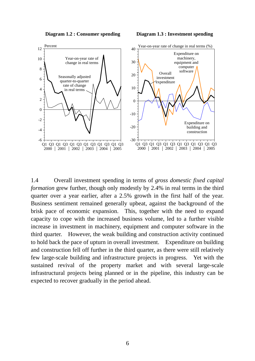



1.4 Overall investment spending in terms of *gross domestic fixed capital formation* grew further, though only modestly by 2.4% in real terms in the third quarter over a year earlier, after a 2.5% growth in the first half of the year. Business sentiment remained generally upbeat, against the background of the brisk pace of economic expansion. This, together with the need to expand capacity to cope with the increased business volume, led to a further visible increase in investment in machinery, equipment and computer software in the third quarter. However, the weak building and construction activity continued to hold back the pace of upturn in overall investment. Expenditure on building and construction fell off further in the third quarter, as there were still relatively few large-scale building and infrastructure projects in progress. Yet with the sustained revival of the property market and with several large-scale infrastructural projects being planned or in the pipeline, this industry can be expected to recover gradually in the period ahead.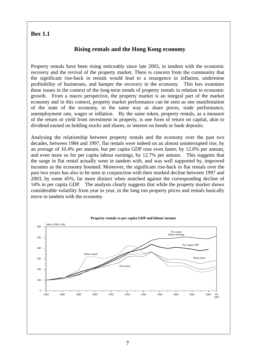# **Box 1.1**

# **Rising rentals and the Hong Kong economy**

Property rentals have been rising noticeably since late 2003, in tandem with the economic recovery and the revival of the property market. There is concern from the community that the significant rise-back in rentals would lead to a resurgence in inflation, undermine profitability of businesses, and hamper the recovery in the economy. This box examines these issues in the context of the long-term trends of property rentals in relation to economic growth. From a macro perspective, the property market is an integral part of the market economy and in this context, property market performance can be seen as one manifestation of the state of the economy, in the same way as share prices, trade performance, unemployment rate, wages or inflation. By the same token, property rentals, as a measure of the return or yield from investment in property, is one form of return on capital, akin to dividend earned on holding stocks and shares, or interest on bonds or bank deposits.

Analysing the relationship between property rentals and the economy over the past two decades, between 1984 and 1997, flat rentals were indeed on an almost uninterrupted rise, by an average of 10.4% per annum, but per capita GDP rose even faster, by 12.0% per annum, and even more so for per capita labour earnings, by 12.7% per annum. This suggests that the surge in flat rental actually went in tandem with, and was well supported by, improved incomes as the economy boomed. Moreover, the significant rise-back in flat rentals over the past two years has also to be seen in conjunction with their marked decline between 1997 and 2003, by some 45%, far more distinct when matched against the corresponding decline of 14% in per capita GDP. The analysis clearly suggests that while the property market shows considerable volatility from year to year, in the long run property prices and rentals basically move in tandem with the economy.

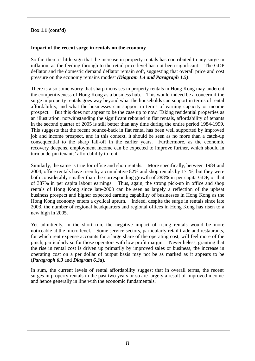# **Box 1.1 (cont'd)**

#### **Impact of the recent surge in rentals on the economy**

So far, there is little sign that the increase in property rentals has contributed to any surge in inflation, as the feeding-through to the retail price level has not been significant. The GDP deflator and the domestic demand deflator remain soft, suggesting that overall price and cost pressure on the economy remains modest *(Diagram 1.4 and Paragraph 1.5)*.

There is also some worry that sharp increases in property rentals in Hong Kong may undercut the competitiveness of Hong Kong as a business hub. This would indeed be a concern if the surge in property rentals goes way beyond what the households can support in terms of rental affordability, and what the businesses can support in terms of earning capacity or income prospect. But this does not appear to be the case up to now. Taking residential properties as an illustration, notwithstanding the significant rebound in flat rentals, affordability of tenants in the second quarter of 2005 is still better than any time during the entire period 1984-1999. This suggests that the recent bounce-back in flat rental has been well supported by improved job and income prospect, and in this context, it should be seen as no more than a catch-up consequential to the sharp fall-off in the earlier years. Furthermore, as the economic recovery deepens, employment income can be expected to improve further, which should in turn underpin tenants' affordability to rent.

Similarly, the same is true for office and shop rentals. More specifically, between 1984 and 2004, office rentals have risen by a cumulative 82% and shop rentals by 171%, but they were both considerably smaller than the corresponding growth of 288% in per capita GDP, or that of 387% in per capita labour earnings. Thus, again, the strong pick-up in office and shop rentals of Hong Kong since late-2003 can be seen as largely a reflection of the upbeat business prospect and higher expected earning capability of businesses in Hong Kong as the Hong Kong economy enters a cyclical upturn. Indeed, despite the surge in rentals since late 2003, the number of regional headquarters and regional offices in Hong Kong has risen to a new high in 2005.

Yet admittedly, in the short run, the negative impact of rising rentals would be more noticeable at the micro level. Some service sectors, particularly retail trade and restaurants, for which rent expense accounts for a large share of the operating cost, will feel more of the pinch, particularly so for those operators with low profit margin. Nevertheless, granting that the rise in rental cost is driven up primarily by improved sales or business, the increase in operating cost on a per dollar of output basis may not be as marked as it appears to be (*Paragraph 6.3* and *Diagram 6.3a*)*.* 

In sum, the current levels of rental affordability suggest that in overall terms, the recent surges in property rentals in the past two years or so are largely a result of improved income and hence generally in line with the economic fundamentals.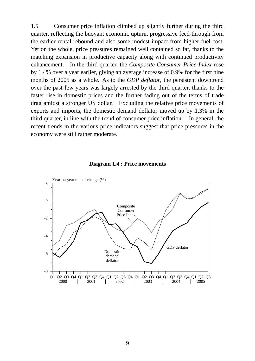1.5 Consumer price inflation climbed up slightly further during the third quarter, reflecting the buoyant economic upturn, progressive feed-through from the earlier rental rebound and also some modest impact from higher fuel cost. Yet on the whole, price pressures remained well contained so far, thanks to the matching expansion in productive capacity along with continued productivity enhancement. In the third quarter, the *Composite Consumer Price Index* rose by 1.4% over a year earlier, giving an average increase of 0.9% for the first nine months of 2005 as a whole. As to the *GDP deflator*, the persistent downtrend over the past few years was largely arrested by the third quarter, thanks to the faster rise in domestic prices and the further fading out of the terms of trade drag amidst a stronger US dollar. Excluding the relative price movements of exports and imports, the domestic demand deflator moved up by 1.3% in the third quarter, in line with the trend of consumer price inflation. In general, the recent trends in the various price indicators suggest that price pressures in the economy were still rather moderate.



#### **Diagram 1.4 : Price movements**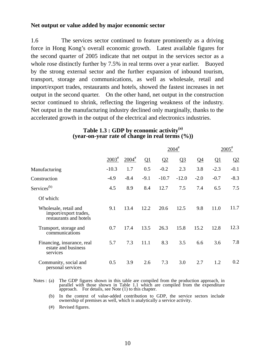# **Net output or value added by major economic sector**

1.6 The services sector continued to feature prominently as a driving force in Hong Kong's overall economic growth. Latest available figures for the second quarter of 2005 indicate that net output in the services sector as a whole rose distinctly further by 7.5% in real terms over a year earlier. Buoyed by the strong external sector and the further expansion of inbound tourism, transport, storage and communications, as well as wholesale, retail and import/export trades, restaurants and hotels, showed the fastest increases in net output in the second quarter. On the other hand, net output in the construction sector continued to shrink, reflecting the lingering weakness of the industry. Net output in the manufacturing industry declined only marginally, thanks to the accelerated growth in the output of the electrical and electronics industries.

|                                                                          |             |                     | $2004$ <sup>#</sup> |         |         |        | $2005^{\text{*}}$ |        |
|--------------------------------------------------------------------------|-------------|---------------------|---------------------|---------|---------|--------|-------------------|--------|
|                                                                          | $2003^{\#}$ | $2004$ <sup>#</sup> | Q1                  | Q2      | $Q_3$   | $Q_4$  | $\Omega$          | Q2     |
| Manufacturing                                                            | $-10.3$     | 1.7                 | 0.5                 | $-0.2$  | 2.3     | 3.8    | $-2.3$            | $-0.1$ |
| Construction                                                             | $-4.9$      | $-8.4$              | $-9.1$              | $-10.7$ | $-12.0$ | $-2.0$ | $-0.7$            | $-8.3$ |
| Services <sup>(b)</sup>                                                  | 4.5         | 8.9                 | 8.4                 | 12.7    | 7.5     | 7.4    | 6.5               | 7.5    |
| Of which:                                                                |             |                     |                     |         |         |        |                   |        |
| Wholesale, retail and<br>import/export trades,<br>restaurants and hotels | 9.1         | 13.4                | 12.2                | 20.6    | 12.5    | 9.8    | 11.0              | 11.7   |
| Transport, storage and<br>communications                                 | 0.7         | 17.4                | 13.5                | 26.3    | 15.8    | 15.2   | 12.8              | 12.3   |
| Financing, insurance, real<br>estate and business<br>services            | 5.7         | 7.3                 | 11.1                | 8.3     | 3.5     | 6.6    | 3.6               | 7.8    |
| Community, social and<br>personal services                               | 0.5         | 3.9                 | 2.6                 | 7.3     | 3.0     | 2.7    | 1.2               | 0.2    |

# **Table 1.3 : GDP by economic activity(a) (year-on-year rate of change in real terms (%))**

- Notes : (a) The GDP figures shown in this table are compiled from the production approach, in parallel with those shown in Table 1.1 which are compiled from the expenditure approach. For details, see Note (1) to this chapter.
- (b) In the context of value-added contribution to GDP, the service sectors include ownership of premises as well, which is analytically a service activity.
	- (#) Revised figures.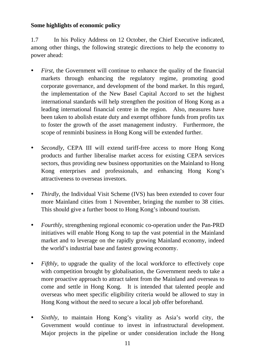# **Some highlights of economic policy**

1.7 In his Policy Address on 12 October, the Chief Executive indicated, among other things, the following strategic directions to help the economy to power ahead:

- *First*, the Government will continue to enhance the quality of the financial markets through enhancing the regulatory regime, promoting good corporate governance, and development of the bond market. In this regard, the implementation of the New Basel Capital Accord to set the highest international standards will help strengthen the position of Hong Kong as a leading international financial centre in the region. Also, measures have been taken to abolish estate duty and exempt offshore funds from profits tax to foster the growth of the asset management industry. Furthermore, the scope of renminbi business in Hong Kong will be extended further.
- *Secondly*, CEPA III will extend tariff-free access to more Hong Kong products and further liberalise market access for existing CEPA services sectors, thus providing new business opportunities on the Mainland to Hong Kong enterprises and professionals, and enhancing Hong Kong's attractiveness to overseas investors.
- *Thirdly*, the Individual Visit Scheme (IVS) has been extended to cover four more Mainland cities from 1 November, bringing the number to 38 cities. This should give a further boost to Hong Kong's inbound tourism.
- *Fourthly*, strengthening regional economic co-operation under the Pan-PRD initiatives will enable Hong Kong to tap the vast potential in the Mainland market and to leverage on the rapidly growing Mainland economy, indeed the world's industrial base and fastest growing economy.
- *Fifthly*, to upgrade the quality of the local workforce to effectively cope with competition brought by globalisation, the Government needs to take a more proactive approach to attract talent from the Mainland and overseas to come and settle in Hong Kong. It is intended that talented people and overseas who meet specific eligibility criteria would be allowed to stay in Hong Kong without the need to secure a local job offer beforehand.
- *Sixthly*, to maintain Hong Kong's vitality as Asia's world city, the Government would continue to invest in infrastructural development. Major projects in the pipeline or under consideration include the Hong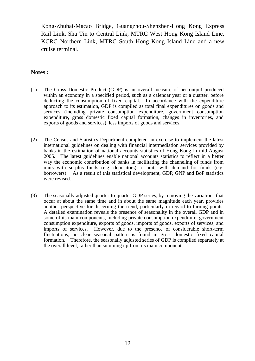Kong-Zhuhai-Macao Bridge, Guangzhou-Shenzhen-Hong Kong Express Rail Link, Sha Tin to Central Link, MTRC West Hong Kong Island Line, KCRC Northern Link, MTRC South Hong Kong Island Line and a new cruise terminal.

# **Notes :**

- (1) The Gross Domestic Product (GDP) is an overall measure of net output produced within an economy in a specified period, such as a calendar year or a quarter, before deducting the consumption of fixed capital. In accordance with the expenditure approach to its estimation, GDP is compiled as total final expenditures on goods and services (including private consumption expenditure, government consumption expenditure, gross domestic fixed capital formation, changes in inventories, and exports of goods and services), less imports of goods and services.
- (2) The Census and Statistics Department completed an exercise to implement the latest international guidelines on dealing with financial intermediation services provided by banks in the estimation of national accounts statistics of Hong Kong in mid-August 2005. The latest guidelines enable national accounts statistics to reflect in a better way the economic contribution of banks in facilitating the channeling of funds from units with surplus funds (e.g. depositors) to units with demand for funds (e.g. borrowers). As a result of this statistical development, GDP, GNP and BoP statistics were revised.
- (3) The seasonally adjusted quarter-to-quarter GDP series, by removing the variations that occur at about the same time and in about the same magnitude each year, provides another perspective for discerning the trend, particularly in regard to turning points. A detailed examination reveals the presence of seasonality in the overall GDP and in some of its main components, including private consumption expenditure, government consumption expenditure, exports of goods, imports of goods, exports of services, and imports of services. However, due to the presence of considerable short-term fluctuations, no clear seasonal pattern is found in gross domestic fixed capital formation. Therefore, the seasonally adjusted series of GDP is compiled separately at the overall level, rather than summing up from its main components.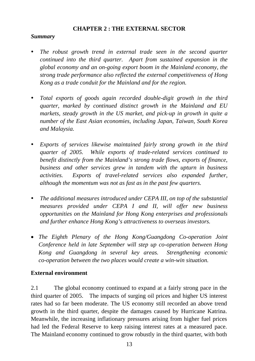# **CHAPTER 2 : THE EXTERNAL SECTOR**

# *Summary*

- *The robust growth trend in external trade seen in the second quarter continued into the third quarter. Apart from sustained expansion in the global economy and an on-going export boom in the Mainland economy, the strong trade performance also reflected the external competitiveness of Hong Kong as a trade conduit for the Mainland and for the region.*
- *Total exports of goods again recorded double-digit growth in the third quarter, marked by continued distinct growth in the Mainland and EU markets, steady growth in the US market, and pick-up in growth in quite a number of the East Asian economies, including Japan, Taiwan, South Korea and Malaysia.*
- *Exports of services likewise maintained fairly strong growth in the third quarter of 2005. While exports of trade-related services continued to benefit distinctly from the Mainland's strong trade flows, exports of finance, business and other services grew in tandem with the upturn in business activities. Exports of travel-related services also expanded further, although the momentum was not as fast as in the past few quarters.*
- The additional measures introduced under CEPA III, on top of the substantial *measures provided under CEPA I and II, will offer new business opportunities on the Mainland for Hong Kong enterprises and professionals and further enhance Hong Kong's attractiveness to overseas investors.*
- *The Eighth Plenary of the Hong Kong/Guangdong Co-operation Joint Conference held in late September will step up co-operation between Hong Kong and Guangdong in several key areas. Strengthening economic co-operation between the two places would create a win-win situation.*

# **External environment**

2.1 The global economy continued to expand at a fairly strong pace in the third quarter of 2005. The impacts of surging oil prices and higher US interest rates had so far been moderate. The US economy still recorded an above trend growth in the third quarter, despite the damages caused by Hurricane Katrina. Meanwhile, the increasing inflationary pressures arising from higher fuel prices had led the Federal Reserve to keep raising interest rates at a measured pace. The Mainland economy continued to grow robustly in the third quarter, with both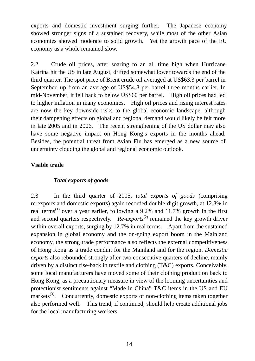exports and domestic investment surging further. The Japanese economy showed stronger signs of a sustained recovery, while most of the other Asian economies showed moderate to solid growth. Yet the growth pace of the EU economy as a whole remained slow.

2.2 Crude oil prices, after soaring to an all time high when Hurricane Katrina hit the US in late August, drifted somewhat lower towards the end of the third quarter. The spot price of Brent crude oil averaged at US\$63.3 per barrel in September, up from an average of US\$54.8 per barrel three months earlier. In mid-November, it fell back to below US\$60 per barrel. High oil prices had led to higher inflation in many economies. High oil prices and rising interest rates are now the key downside risks to the global economic landscape, although their dampening effects on global and regional demand would likely be felt more in late 2005 and in 2006. The recent strengthening of the US dollar may also have some negative impact on Hong Kong's exports in the months ahead. Besides, the potential threat from Avian Flu has emerged as a new source of uncertainty clouding the global and regional economic outlook.

# **Visible trade**

# *Total exports of goods*

2.3 In the third quarter of 2005, *total exports of goods* (comprising re-exports and domestic exports) again recorded double-digit growth, at 12.8% in real terms<sup>(1)</sup> over a year earlier, following a 9.2% and 11.7% growth in the first and second quarters respectively. *Re-exports*<sup>(2)</sup> remained the key growth driver within overall exports, surging by 12.7% in real terms. Apart from the sustained expansion in global economy and the on-going export boom in the Mainland economy, the strong trade performance also reflects the external competitiveness of Hong Kong as a trade conduit for the Mainland and for the region. *Domestic exports* also rebounded strongly after two consecutive quarters of decline, mainly driven by a distinct rise-back in textile and clothing (T&C) exports. Conceivably, some local manufacturers have moved some of their clothing production back to Hong Kong, as a precautionary measure in view of the looming uncertainties and protectionist sentiments against "Made in China" T&C items in the US and EU markets<sup>(3)</sup>. Concurrently, domestic exports of non-clothing items taken together also performed well. This trend, if continued, should help create additional jobs for the local manufacturing workers.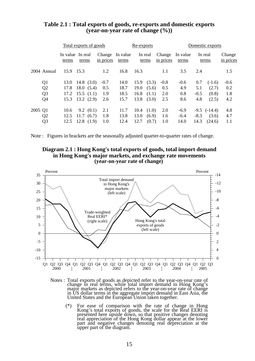|                | Total exports of goods |                           |                     | Re-exports        |      |                  |                     | Domestic exports  |        |                  |                     |
|----------------|------------------------|---------------------------|---------------------|-------------------|------|------------------|---------------------|-------------------|--------|------------------|---------------------|
|                | terms                  | In value In real<br>terms | Change<br>in prices | In value<br>terms |      | In real<br>terms | Change<br>in prices | In value<br>terms |        | In real<br>terms | Change<br>in prices |
| 2004 Annual    | 15.9                   | 15.3                      | 1.2                 | 16.8              | 16.3 |                  | 1.1                 | 3.5               | 2.4    |                  | 1.5                 |
| Q <sub>1</sub> | 13.0                   | $14.8$ (3.0)              | $-0.7$              | 14.0              | 15.9 | (3.3)            | $-0.8$              | $-0.6$            | 0.7    | $(-1.6)$         | $-0.6$              |
| Q <sub>2</sub> | 17.8                   | 18.0(5.4)                 | 0.5                 | 18.7              | 19.0 | (5.6)            | 0.5                 | 4.9               | 5.1    | (2.7)            | 0.2                 |
| Q <sub>3</sub> | 17.2                   | 15.5(1.1)                 | 1.9                 | 18.5              | 16.8 | (1.1)            | 2.0                 | 0.8               | $-0.5$ | (0.8)            | 1.8                 |
| Q <sub>4</sub> | 15.3                   | 13.2(2.9)                 | 2.6                 | 15.7              | 13.8 | (3.0)            | 2.5                 | 8.6               | 4.8    | (2.5)            | 4.2                 |
| 2005 Q1        | 10.6                   | 9.2(0.1)                  | 2.1                 | 11.7              | 10.4 | (1.0)            | 2.0                 | $-6.9$            |        | $-9.5$ $(-14.4)$ | 4.8                 |
| Q <sub>2</sub> | 12.5                   | 11.7(6.7)                 | 1.8                 | 13.8              | 13.0 | (6.9)            | 1.6                 | $-6.4$            | $-8.3$ | (3.6)            | 4.7                 |
| Q <sub>3</sub> | 12.5                   | 12.8(1.9)                 | 1.0                 | 12.4              | 12.7 | (0.7)            | 1.0                 | 14.0              | 14.3   | (24.6)           | 1.1                 |

#### **Table 2.1 : Total exports of goods, re-exports and domestic exports (year-on-year rate of change (%))**

Note : Figures in brackets are the seasonally adjusted quarter-to-quarter rates of change.

#### **Diagram 2.1 : Hong Kong's total exports of goods, total import demand in Hong Kong's major markets, and exchange rate movements (year-on-year rate of change)**



Notes : Total exports of goods as depicted refer to the year-on-year rate of change in real terms, while total import demand in Hong Kong's major markets as depicted refers to the year-on-year rate of change in US dollar terms in the aggregate import demand in East Asia, the United States and the European Union taken together.

 (\*) For ease of comparison with the rate of change in Hong Kong's total exports of goods, the scale for the Real EERI is presented here upside down, so that positive changes denoting real appreciation of the Hong Kong dollar appear at the lower part and negative changes denoting real depreciation at the upper part of the diagram.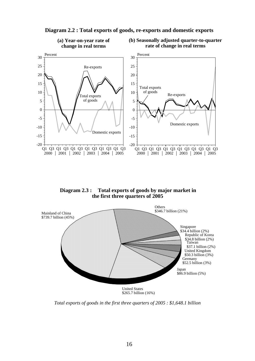

**Diagram 2.2 : Total exports of goods, re-exports and domestic exports**

**Diagram 2.3 : Total exports of goods by major market in the first three quarters of 2005**



*Total exports of goods in the first three quarters of 2005 : \$1,648.1 billion*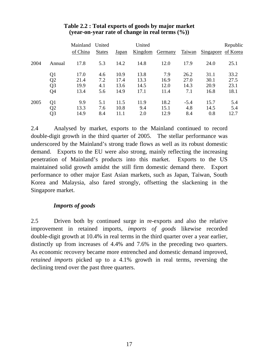|      |                | Mainland United<br>of China | <b>States</b> | <u>Japan</u> | United<br>Kingdom | Germany | Taiwan | Singapore of Korea | Republic |
|------|----------------|-----------------------------|---------------|--------------|-------------------|---------|--------|--------------------|----------|
| 2004 | Annual         | 17.8                        | 5.3           | 14.2         | 14.8              | 12.0    | 17.9   | 24.0               | 25.1     |
|      | Q1             | 17.0                        | 4.6           | 10.9         | 13.8              | 7.9     | 26.2   | 31.1               | 33.2     |
|      | Q <sub>2</sub> | 21.4                        | 7.2           | 17.4         | 13.3              | 16.9    | 27.0   | 30.1               | 27.5     |
|      | Q <sub>3</sub> | 19.9                        | 4.1           | 13.6         | 14.5              | 12.0    | 14.3   | 20.9               | 23.1     |
|      | Q4             | 13.4                        | 5.6           | 14.9         | 17.1              | 11.4    | 7.1    | 16.8               | 18.1     |
| 2005 | Q1             | 9.9                         | 5.1           | 11.5         | 11.9              | 18.2    | $-5.4$ | 15.7               | 5.4      |
|      | Q2             | 13.3                        | 7.6           | 10.8         | 9.4               | 15.1    | 4.8    | 14.5               | 5.4      |
|      | Q3             | 14.9                        | 8.4           | 11.1         | 2.0               | 12.9    | 8.4    | 0.8                | 12.7     |

# **Table 2.2 : Total exports of goods by major market (year-on-year rate of change in real terms (%))**

2.4 Analysed by market, exports to the Mainland continued to record double-digit growth in the third quarter of 2005. The stellar performance was underscored by the Mainland's strong trade flows as well as its robust domestic demand. Exports to the EU were also strong, mainly reflecting the increasing penetration of Mainland's products into this market. Exports to the US maintained solid growth amidst the still firm domestic demand there. Export performance to other major East Asian markets, such as Japan, Taiwan, South Korea and Malaysia, also fared strongly, offsetting the slackening in the Singapore market.

# *Imports of goods*

2.5 Driven both by continued surge in re-exports and also the relative improvement in retained imports, *imports of goods* likewise recorded double-digit growth at 10.4% in real terms in the third quarter over a year earlier, distinctly up from increases of 4.4% and 7.6% in the preceding two quarters. As economic recovery became more entrenched and domestic demand improved, *retained imports* picked up to a 4.1% growth in real terms, reversing the declining trend over the past three quarters.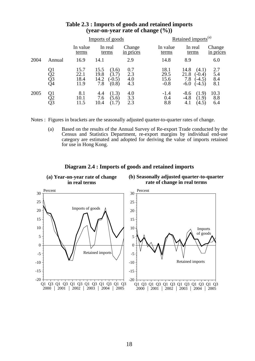|      |                      |                              | Imports of goods                                                 |                          | Retained imports <sup>(a)</sup> |                                                                           |                          |  |  |  |
|------|----------------------|------------------------------|------------------------------------------------------------------|--------------------------|---------------------------------|---------------------------------------------------------------------------|--------------------------|--|--|--|
|      |                      | In value<br>terms            | In real<br>terms                                                 | Change<br>in prices      | In value<br>terms               | In real<br>terms                                                          | Change<br>in prices      |  |  |  |
| 2004 | Annual               | 16.9                         | 14.1                                                             | 2.9                      | 14.8                            | 8.9                                                                       | 6.0                      |  |  |  |
|      | Q1<br>Q2<br>Q3<br>Q4 | 15.7<br>22.1<br>18.4<br>11.9 | 15.5<br>(3.6)<br>(3.7)<br>19.8<br>14.2<br>$-0.5$<br>7.8<br>(0.8) | 0.7<br>2.3<br>4.0<br>4.3 | 18.1<br>29.5<br>15.6<br>$-0.8$  | 14.8<br>(4.1)<br>21.8<br>$(-0.4)$<br>7.8<br>$(-4.5)$<br>$-6.0$<br>$-4.5)$ | 2.7<br>5.4<br>8.4<br>8.1 |  |  |  |
| 2005 | Q1<br>Q2<br>Q3       | 8.1<br>10.1<br>11.5          | (1.3)<br>4.4<br>(5.6)<br>7.6<br>10.4<br>(1.7)                    | 4.0<br>3.3<br>2.3        | $-1.4$<br>0.4<br>8.8            | $-8.6$<br>(1.9)<br>$-4.8$<br>(1.9)<br>4.1<br>(4.5)                        | 10.3<br>8.8<br>6.4       |  |  |  |

## **Table 2.3 : Imports of goods and retained imports (year-on-year rate of change (%))**

Notes : Figures in brackets are the seasonally adjusted quarter-to-quarter rates of change.

 (a) Based on the results of the Annual Survey of Re-export Trade conducted by the Census and Statistics Department, re-export margins by individual end-use category are estimated and adopted for deriving the value of imports retained for use in Hong Kong.



#### **Diagram 2.4 : Imports of goods and retained imports**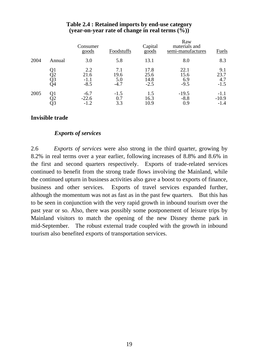|      |                | Consumer<br>goods               | Foodstuffs                   | Capital<br>goods               | Raw<br>materials and<br>semi-manufactures | Fuels                        |
|------|----------------|---------------------------------|------------------------------|--------------------------------|-------------------------------------------|------------------------------|
| 2004 | Annual         | 3.0                             | 5.8                          | 13.1                           | 8.0                                       | 8.3                          |
|      | Q2<br>Q3<br>Q4 | 2.2<br>21.6<br>$-1.1$<br>$-8.5$ | 7.1<br>19.6<br>5.0<br>$-4.7$ | 17.8<br>25.6<br>14.8<br>$-2.5$ | 22.1<br>15.6<br>6.9<br>$-9.5$             | 9.1<br>23.7<br>4.7<br>$-1.5$ |
| 2005 | Οl             | $-6.7$<br>$-22.6$<br>$-1.2$     | $-1.5$<br>0.7<br>3.3         | 1.5<br>16.3<br>10.9            | $-19.5$<br>$-8.8$<br>0.9                  | $-1.1$<br>$-10.9$<br>$-1.4$  |

# **Table 2.4 : Retained imports by end-use category (year-on-year rate of change in real terms (%))**

# **Invisible trade**

# *Exports of services*

2.6 *Exports of services* were also strong in the third quarter, growing by 8.2% in real terms over a year earlier, following increases of 8.8% and 8.6% in the first and second quarters respectively. Exports of trade-related services continued to benefit from the strong trade flows involving the Mainland, while the continued upturn in business activities also gave a boost to exports of finance, business and other services. Exports of travel services expanded further, although the momentum was not as fast as in the past few quarters. But this has to be seen in conjunction with the very rapid growth in inbound tourism over the past year or so. Also, there was possibly some postponement of leisure trips by Mainland visitors to match the opening of the new Disney theme park in mid-September. The robust external trade coupled with the growth in inbound tourism also benefited exports of transportation services.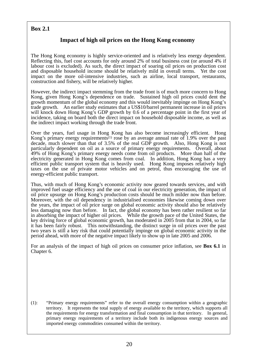# **Box 2.1**

# **Impact of high oil prices on the Hong Kong economy**

The Hong Kong economy is highly service-oriented and is relatively less energy dependent. Reflecting this, fuel cost accounts for only around 2% of total business cost (or around 4% if labour cost is excluded). As such, the direct impact of soaring oil prices on production cost and disposable household income should be relatively mild in overall terms. Yet the cost impact on the more oil-intensive industries, such as airline, local transport, restaurants, construction and fishery, will be relatively higher.

However, the indirect impact stemming from the trade front is of much more concern to Hong Kong, given Hong Kong's dependence on trade. Sustained high oil prices could dent the growth momentum of the global economy and this would inevitably impinge on Hong Kong's trade growth. An earlier study estimates that a US\$10/barrel permanent increase in oil prices will knock down Hong Kong's GDP growth by 0.6 of a percentage point in the first year of incidence, taking on board both the direct impact on household disposable income, as well as the indirect impact working through the trade front.

Over the years, fuel usage in Hong Kong has also become increasingly efficient. Hong Kong's primary energy requirements<sup>(1)</sup> rose by an average annual rate of 1.9% over the past decade, much slower than that of 3.5% of the real GDP growth. Also, Hong Kong is not particularly dependent on oil as a source of primary energy requirements. Overall, about 49% of Hong Kong's primary energy needs come from oil products. More than half of the electricity generated in Hong Kong comes from coal. In addition, Hong Kong has a very efficient public transport system that is heavily used. Hong Kong imposes relatively high taxes on the use of private motor vehicles and on petrol, thus encouraging the use of energy-efficient public transport.

Thus, with much of Hong Kong's economic activity now geared towards services, and with improved fuel usage efficiency and the use of coal in our electricity generation, the impact of oil price upsurge on Hong Kong's production costs should be much milder now than before. Moreover, with the oil dependency in industrialised economies likewise coming down over the years, the impact of oil price surge on global economic activity should also be relatively less damaging now than before. In fact, the global economy has been rather resilient so far in absorbing the impact of higher oil prices. While the growth pace of the United States, the key driving force of global economic growth, has moderated in 2005 from that in 2004, so far it has been fairly robust. This notwithstanding, the distinct surge in oil prices over the past two years is still a key risk that could potentially impinge on global economic activity in the period ahead, with more of the negative impact likely to show up in late 2005 and 2006.

For an analysis of the impact of high oil prices on consumer price inflation, see **Box 6.1** in Chapter 6.

(1): "Primary energy requirements" refer to the overall energy consumption within a geographic territory. It represents the total supply of energy available to the territory, which supports all the requirements for energy transformation and final consumption in that territory. In general, primary energy requirements of a territory include both its indigenous energy sources and imported energy commodities consumed within the territory.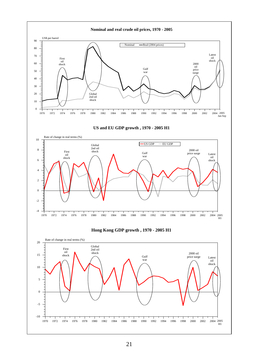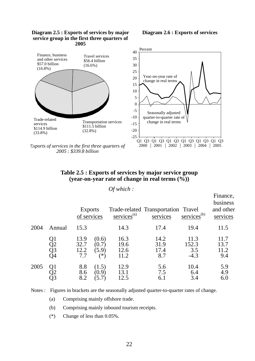#### **Diagram 2.5 : Exports of services by major service group in the first three quarters of 2005**

#### **Diagram 2.6 : Exports of services**



*Exports of services in the first three quarters of 2005 : \$339.8 billion*

# **Table 2.5 : Exports of services by major service group (year-on-year rate of change in real terms (%))**

#### *Of which :*

|      |                | <b>Exports</b><br>of services |                                | $s$ ervices <sup>(a)</sup>   | Trade-related Transportation Travel<br>services | $s$ ervices <sup>(b)</sup>     | Finance,<br>business<br>and other<br>services |  |
|------|----------------|-------------------------------|--------------------------------|------------------------------|-------------------------------------------------|--------------------------------|-----------------------------------------------|--|
| 2004 | Annual         | 15.3                          |                                | 14.3                         | 17.4                                            | 19.4                           | 11.5                                          |  |
|      | Q2<br>Q3<br>Q4 | 13.9<br>32.7<br>12.2<br>7.7   | (0.6)<br>(0.7)<br>(5.9)<br>′*) | 16.3<br>19.6<br>12.6<br>11.2 | 14.2<br>31.9<br>17.4<br>8.7                     | 11.3<br>152.3<br>3.5<br>$-4.3$ | 11.7<br>13.7<br>11.2<br>9.4                   |  |
| 2005 |                | 8.8<br>8.6<br>8.2             | (1.5)<br>(0.9)                 | 12.9<br>13.1<br>12.5         | 5.6<br>7.5<br>6.1                               | 10.4<br>6.4<br>3.4             | 5.9<br>4.9<br>6.0                             |  |

Notes : Figures in brackets are the seasonally adjusted quarter-to-quarter rates of change.

- (a) Comprising mainly offshore trade.
- (b) Comprising mainly inbound tourism receipts.
- (\*) Change of less than 0.05%.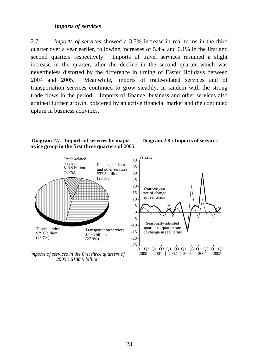### *Imports of services*

2.7 *Imports of services* showed a 3.7% increase in real terms in the third quarter over a year earlier, following increases of 5.4% and 0.1% in the first and second quarters respectively. Imports of travel services resumed a slight increase in the quarter, after the decline in the second quarter which was nevertheless distorted by the difference in timing of Easter Holidays between 2004 and 2005. Meanwhile, imports of trade-related services and of transportation services continued to grow steadily, in tandem with the strong trade flows in the period. Imports of finance, business and other services also attained further growth, bolstered by an active financial market and the continued upturn in business activities.

#### **Diagram 2.7 : Imports of services by major ervice group in the first three quarters of 2005**



*Imports of services in the first three quarters of 2005 : \$180.9 billion*



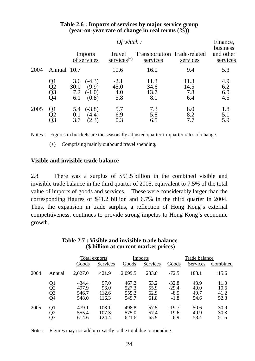|      |                      |                                                                     |                              | Finance,<br>business                     |                            |                          |  |
|------|----------------------|---------------------------------------------------------------------|------------------------------|------------------------------------------|----------------------------|--------------------------|--|
|      |                      | Imports<br>of services                                              | Travel<br>$s$ ervices $(+)$  | Transportation Trade-related<br>services | services                   | and other<br>services    |  |
| 2004 | Annual 10.7          |                                                                     | 10.6                         | 16.0                                     | 9.4                        | 5.3                      |  |
|      | Q1<br>Q2<br>Q3<br>Q4 | $(-4.3)$<br>3.6<br>(9.9)<br>30.0<br>7.2<br>$(-1.0)$<br>(0.8)<br>6.1 | $-2.1$<br>45.0<br>4.0<br>5.8 | 11.3<br>34.6<br>13.7<br>8.1              | 11.3<br>14.5<br>7.8<br>6.4 | 4.9<br>6.2<br>6.0<br>4.5 |  |
| 2005 | Q1<br>Q3             | $(-3.8)$<br>5.4<br>(4.4)<br>0.1<br>3.7<br>(2.3)                     | 5.7<br>$-6.9$<br>0.3         | 7.3<br>5.8<br>6.5                        | 8.0<br>8.2<br>7.7          | 1.8<br>5.1<br>5.9        |  |

# **Table 2.6 : Imports of services by major service group (year-on-year rate of change in real terms (%))**

Notes : Figures in brackets are the seasonally adjusted quarter-to-quarter rates of change.

(+) Comprising mainly outbound travel spending.

#### **Visible and invisible trade balance**

2.8 There was a surplus of \$51.5 billion in the combined visible and invisible trade balance in the third quarter of 2005, equivalent to 7.5% of the total value of imports of goods and services. These were considerably larger than the corresponding figures of \$41.2 billion and 6.7% in the third quarter in 2004. Thus, the expansion in trade surplus, a reflection of Hong Kong's external competitiveness, continues to provide strong impetus to Hong Kong's economic growth.

|      |                      | Total exports                    |                                | <b>Imports</b>                   |                              | Trade balance                          |                              |                              |
|------|----------------------|----------------------------------|--------------------------------|----------------------------------|------------------------------|----------------------------------------|------------------------------|------------------------------|
|      |                      | Goods                            | Services                       | Goods                            | Services                     | Goods                                  | Services                     | Combined                     |
| 2004 | Annual               | 2,027.0                          | 421.9                          | 2,099.5                          | 233.8                        | $-72.5$                                | 188.1                        | 115.6                        |
|      | Q1<br>Q2<br>Q3<br>Q4 | 434.4<br>497.9<br>546.7<br>548.0 | 97.0<br>96.0<br>112.6<br>116.3 | 467.2<br>527.3<br>555.2<br>549.7 | 53.2<br>55.9<br>62.9<br>61.8 | $-32.8$<br>$-29.4$<br>$-8.5$<br>$-1.8$ | 43.9<br>40.0<br>49.7<br>54.6 | 11.0<br>10.6<br>41.2<br>52.8 |
| 2005 | Q1<br>Q3             | 479.1<br>555.4<br>614.6          | 108.1<br>107.3<br>124.4        | 498.8<br>575.0<br>621.6          | 57.5<br>57.4<br>65.9         | $-19.7$<br>$-19.6$<br>$-6.9$           | 50.6<br>49.9<br>58.4         | 30.9<br>30.3<br>51.5         |

#### **Table 2.7 : Visible and invisible trade balance (\$ billion at current market prices)**

Note : Figures may not add up exactly to the total due to rounding.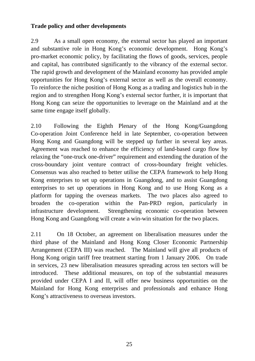# **Trade policy and other developments**

2.9 As a small open economy, the external sector has played an important and substantive role in Hong Kong's economic development. Hong Kong's pro-market economic policy, by facilitating the flows of goods, services, people and capital, has contributed significantly to the vibrancy of the external sector. The rapid growth and development of the Mainland economy has provided ample opportunities for Hong Kong's external sector as well as the overall economy. To reinforce the niche position of Hong Kong as a trading and logistics hub in the region and to strengthen Hong Kong's external sector further, it is important that Hong Kong can seize the opportunities to leverage on the Mainland and at the same time engage itself globally.

2.10 Following the Eighth Plenary of the Hong Kong/Guangdong Co-operation Joint Conference held in late September, co-operation between Hong Kong and Guangdong will be stepped up further in several key areas. Agreement was reached to enhance the efficiency of land-based cargo flow by relaxing the "one-truck one-driver" requirement and extending the duration of the cross-boundary joint venture contract of cross-boundary freight vehicles. Consensus was also reached to better utilise the CEPA framework to help Hong Kong enterprises to set up operations in Guangdong, and to assist Guangdong enterprises to set up operations in Hong Kong and to use Hong Kong as a platform for tapping the overseas markets. The two places also agreed to broaden the co-operation within the Pan-PRD region, particularly in infrastructure development. Strengthening economic co-operation between Hong Kong and Guangdong will create a win-win situation for the two places.

2.11 On 18 October, an agreement on liberalisation measures under the third phase of the Mainland and Hong Kong Closer Economic Partnership Arrangement (CEPA III) was reached. The Mainland will give all products of Hong Kong origin tariff free treatment starting from 1 January 2006. On trade in services, 23 new liberalisation measures spreading across ten sectors will be introduced. These additional measures, on top of the substantial measures provided under CEPA I and II, will offer new business opportunities on the Mainland for Hong Kong enterprises and professionals and enhance Hong Kong's attractiveness to overseas investors.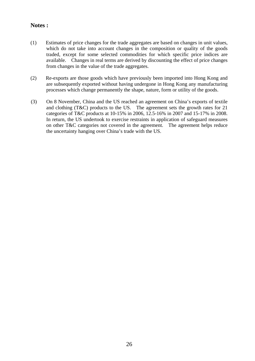# **Notes :**

- (1) Estimates of price changes for the trade aggregates are based on changes in unit values, which do not take into account changes in the composition or quality of the goods traded, except for some selected commodities for which specific price indices are available. Changes in real terms are derived by discounting the effect of price changes from changes in the value of the trade aggregates.
- (2) Re-exports are those goods which have previously been imported into Hong Kong and are subsequently exported without having undergone in Hong Kong any manufacturing processes which change permanently the shape, nature, form or utility of the goods.
- (3) On 8 November, China and the US reached an agreement on China's exports of textile and clothing (T&C) products to the US. The agreement sets the growth rates for 21 categories of T&C products at 10-15% in 2006, 12.5-16% in 2007 and 15-17% in 2008. In return, the US undertook to exercise restraints in application of safeguard measures on other T&C categories not covered in the agreement. The agreement helps reduce the uncertainty hanging over China's trade with the US.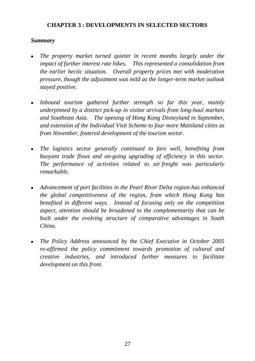# **CHAPTER 3 : DEVELOPMENTS IN SELECTED SECTORS**

# *Summary*

- <sup>z</sup>*The property market turned quieter in recent months largely under the impact of further interest rate hikes. This represented a consolidation from the earlier hectic situation. Overall property prices met with moderation pressure, though the adjustment was mild as the longer-term market outlook stayed positive.*
- Inbound tourism gathered further strength so far this year, mainly *underpinned by a distinct pick-up in visitor arrivals from long-haul markets and Southeast Asia. The opening of Hong Kong Disneyland in September, and extension of the Individual Visit Scheme to four more Mainland cities as from November, fostered development of the tourism sector.*
- *The logistics sector generally continued to fare well, benefiting from buoyant trade flows and on-going upgrading of efficiency in this sector. The performance of activities related to air freight was particularly remarkable.*
- <sup>z</sup>*Advancement of port facilities in the Pearl River Delta region has enhanced the global competitiveness of the region, from which Hong Kong has benefited in different ways. Instead of focusing only on the competition aspect, attention should be broadened to the complementarity that can be built under the evolving structure of comparative advantages in South China.*
- <sup>z</sup>*The Policy Address announced by the Chief Executive in October 2005 re-affirmed the policy commitment towards promotion of cultural and creative industries, and introduced further measures to facilitate development on this front.*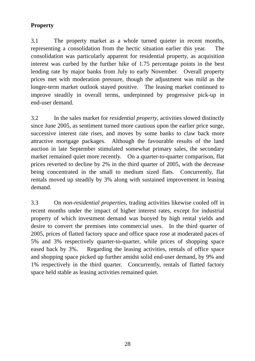# **Property**

3.1 The property market as a whole turned quieter in recent months, representing a consolidation from the hectic situation earlier this year. The consolidation was particularly apparent for residential property, as acquisition interest was curbed by the further hike of 1.75 percentage points in the best lending rate by major banks from July to early November. Overall property prices met with moderation pressure, though the adjustment was mild as the longer-term market outlook stayed positive. The leasing market continued to improve steadily in overall terms, underpinned by progressive pick-up in end-user demand.

3.2 In the sales market for *residential property*, activities slowed distinctly since June 2005, as sentiment turned more cautious upon the earlier price surge, successive interest rate rises, and moves by some banks to claw back more attractive mortgage packages. Although the favourable results of the land auction in late September stimulated somewhat primary sales, the secondary market remained quiet more recently. On a quarter-to-quarter comparison, flat prices reverted to decline by 2% in the third quarter of 2005, with the decrease being concentrated in the small to medium sized flats. Concurrently, flat rentals moved up steadily by 3% along with sustained improvement in leasing demand.

3.3 On *non-residential properties,* trading activities likewise cooled off in recent months under the impact of higher interest rates, except for industrial property of which investment demand was buoyed by high rental yields and desire to convert the premises into commercial uses. In the third quarter of 2005, prices of flatted factory space and office space rose at moderated paces of 5% and 3% respectively quarter-to-quarter, while prices of shopping space eased back by 3%. Regarding the leasing activities, rentals of office space and shopping space picked up further amidst solid end-user demand, by 9% and 1% respectively in the third quarter. Concurrently, rentals of flatted factory space held stable as leasing activities remained quiet.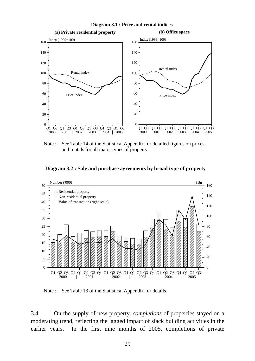

Note : See Table 14 of the Statistical Appendix for detailed figures on prices and rentals for all major types of property.





Note : See Table 13 of the Statistical Appendix for details.

3.4 On the supply of new property, *completions* of properties stayed on a moderating trend, reflecting the lagged impact of slack building activities in the earlier years. In the first nine months of 2005, completions of private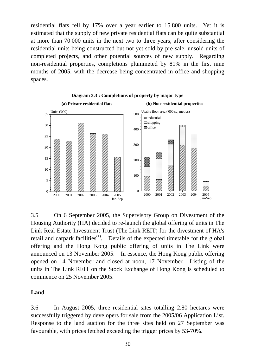residential flats fell by 17% over a year earlier to 15 800 units. Yet it is estimated that the supply of new private residential flats can be quite substantial at more than 70 000 units in the next two to three years, after considering the residential units being constructed but not yet sold by pre-sale, unsold units of completed projects, and other potential sources of new supply. Regarding non-residential properties, completions plummeted by 81% in the first nine months of 2005, with the decrease being concentrated in office and shopping spaces.





3.5 On 6 September 2005, the Supervisory Group on Divestment of the Housing Authority (HA) decided to re-launch the global offering of units in The Link Real Estate Investment Trust (The Link REIT) for the divestment of HA's retail and carpark facilities<sup> $(1)$ </sup>. Details of the expected timetable for the global offering and the Hong Kong public offering of units in The Link were announced on 13 November 2005. In essence, the Hong Kong public offering opened on 14 November and closed at noon, 17 November. Listing of the units in The Link REIT on the Stock Exchange of Hong Kong is scheduled to commence on 25 November 2005.

# **Land**

3.6 In August 2005, three residential sites totalling 2.80 hectares were successfully triggered by developers for sale from the 2005/06 Application List. Response to the land auction for the three sites held on 27 September was favourable, with prices fetched exceeding the trigger prices by 53-70%.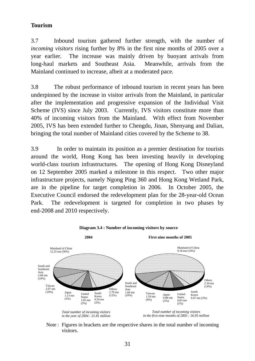# **Tourism**

3.7 Inbound tourism gathered further strength, with the number of *incoming visitors* rising further by 8% in the first nine months of 2005 over a year earlier. The increase was mainly driven by buoyant arrivals from long-haul markets and Southeast Asia. Meanwhile, arrivals from the Mainland continued to increase, albeit at a moderated pace.

3.8 The robust performance of inbound tourism in recent years has been underpinned by the increase in visitor arrivals from the Mainland, in particular after the implementation and progressive expansion of the Individual Visit Scheme (IVS) since July 2003. Currently, IVS visitors constitute more than 40% of incoming visitors from the Mainland. With effect from November 2005, IVS has been extended further to Chengdu, Jinan, Shenyang and Dalian, bringing the total number of Mainland cities covered by the Scheme to 38.

3.9 In order to maintain its position as a premier destination for tourists around the world, Hong Kong has been investing heavily in developing world-class tourism infrastructures. The opening of Hong Kong Disneyland on 12 September 2005 marked a milestone in this respect. Two other major infrastructure projects, namely Ngong Ping 360 and Hong Kong Wetland Park, are in the pipeline for target completion in 2006. In October 2005, the Executive Council endorsed the redevelopment plan for the 28-year-old Ocean Park. The redevelopment is targeted for completion in two phases by end-2008 and 2010 respectively.



Note : Figures in brackets are the respective shares in the total number of incoming visitors.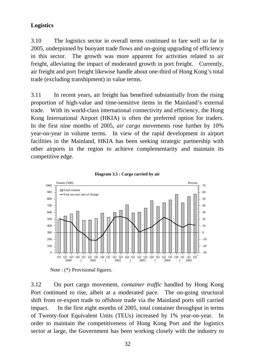## **Logistics**

3.10 The logistics sector in overall terms continued to fare well so far in 2005, underpinned by buoyant trade flows and on-going upgrading of efficiency in this sector. The growth was more apparent for activities related to air freight, alleviating the impact of moderated growth in port freight. Currently, air freight and port freight likewise handle about one-third of Hong Kong's total trade (excluding transhipment) in value terms.

3.11 In recent years, air freight has benefited substantially from the rising proportion of high-value and time-sensitive items in the Mainland's external trade. With its world-class international connectivity and efficiency, the Hong Kong International Airport (HKIA) is often the preferred option for traders. In the first nine months of 2005, *air cargo* movements rose further by 10% year-on-year in volume terms. In view of the rapid development in airport facilities in the Mainland, HKIA has been seeking strategic partnership with other airports in the region to achieve complementarity and maintain its competitive edge.





3.12 On port cargo movement, *container traffic* handled by Hong Kong Port continued to rise, albeit at a moderated pace. The on-going structural shift from re-export trade to offshore trade via the Mainland ports still carried impact. In the first eight months of 2005, total container throughput in terms of Twenty-foot Equivalent Units (TEUs) increased by 1% year-on-year. In order to maintain the competitiveness of Hong Kong Port and the logistics sector at large, the Government has been working closely with the industry to

Note : (\*) Provisional figures.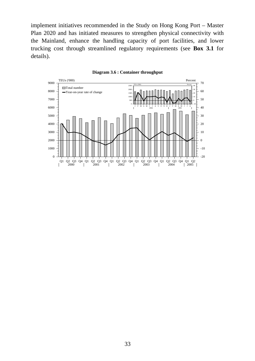implement initiatives recommended in the Study on Hong Kong Port – Master Plan 2020 and has initiated measures to strengthen physical connectivity with the Mainland, enhance the handling capacity of port facilities, and lower trucking cost through streamlined regulatory requirements (see **Box 3.1** for details).



**Diagram 3.6 : Container throughput**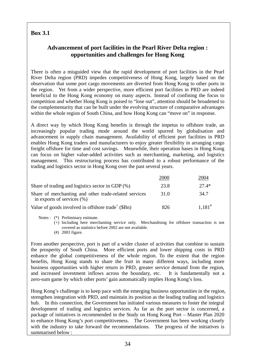## **Box 3.1**

## **Advancement of port facilities in the Pearl River Delta region : opportunities and challenges for Hong Kong**

There is often a misguided view that the rapid development of port facilities in the Pearl River Delta region (PRD) impedes competitiveness of Hong Kong, largely based on the observation that some port cargo movements are diverted from Hong Kong to other ports in the region. Yet from a wider perspective, more efficient port facilities in PRD are indeed beneficial to the Hong Kong economy on many aspects. Instead of confining the focus to competition and whether Hong Kong is poised to "lose out", attention should be broadened to the complementarity that can be built under the evolving structure of comparative advantages within the whole region of South China, and how Hong Kong can "move on" in response.

A direct way by which Hong Kong benefits is through the impetus to offshore trade, an increasingly popular trading mode around the world spurred by globalisation and advancement in supply chain management. Availability of efficient port facilities in PRD enables Hong Kong traders and manufacturers to enjoy greater flexibility in arranging cargo freight offshore for time and cost savings. Meanwhile, their operation bases in Hong Kong can focus on higher value-added activities such as merchanting, marketing, and logistics management. This restructuring process has contributed to a robust performance of the trading and logistics sector in Hong Kong over the past several years.

|                                                                                         | 2000 | 2004        |
|-----------------------------------------------------------------------------------------|------|-------------|
| Share of trading and logistics sector in GDP $(\%)$                                     | 23.8 | $27.4*$     |
| Share of merchanting and other trade-related services<br>in exports of services $(\% )$ | 31.0 | 34.7        |
| Value of goods involved in offshore trade <sup><math>+</math></sup> (\$Bn)              | 826  | $1.181^{#}$ |

- Notes : (\*) Preliminary estimate.
	- (+) Including here merchanting service only. Merchandising for offshore transaction is not covered as statistics before 2002 are not available.
	- (#) 2003 figure.

From another perspective, port is part of a wider cluster of activities that combine to sustain the prosperity of South China. More efficient ports and lower shipping costs in PRD enhance the global competitiveness of the whole region. To the extent that the region benefits, Hong Kong stands to share the fruit in many different ways, including more business opportunities with higher return in PRD, greater service demand from the region, and increased investment inflows across the boundary, etc. It is fundamentally not a zero-sum game by which other ports' gain automatically implies Hong Kong's loss.

Hong Kong's challenge is to keep pace with the emerging business opportunities in the region, strengthen integration with PRD, and maintain its position as the leading trading and logistics hub. In this connection, the Government has initiated various measures to foster the integral development of trading and logistics services. As far as the port sector is concerned, a package of initiatives is recommended in the Study on Hong Kong Port – Master Plan 2020 to enhance Hong Kong's port competitiveness. The Government has been working closely with the industry to take forward the recommendations. The progress of the initiatives is summarised below :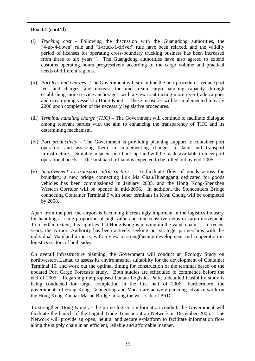#### **Box 3.1 (cont'd)**

- (i) *Trucking cost* Following the discussion with the Guangdong authorities, the "4-up-4-down" rule and "1-truck-1-driver" rule have been relaxed, and the validity period of licenses for operating cross-boundary trucking business has been increased from three to six years<sup> $(2)$ </sup>. The Guangdong authorities have also agreed to extend customs operating hours progressively according to the cargo volume and practical needs of different regions.
- (ii) *Port fees and charges* The Government will streamline the port procedures, reduce port fees and charges, and increase the mid-stream cargo handling capacity through establishing more service anchorages, with a view to attracting more river trade cargoes and ocean-going vessels to Hong Kong. These measures will be implemented in early 2006 upon completion of the necessary legislative procedures.
- (iii) *Terminal handling charge (THC)* The Government will continue to facilitate dialogue among relevant parties with the aim to enhancing the transparency of THC and its determining mechanism.
- (iv) *Port productivity* The Government is providing planning support to container port operators and assisting them in implementing changes to land and transport infrastructure. Suitable adjacent port back-up land will be made available to meet port operational needs. The first batch of land is expected to be rolled out by end-2005.
- (v) *Improvement to transport infrastructure* To facilitate flow of goods across the boundary, a new bridge connecting Lok Ma Chau/Huanggang dedicated for goods vehicles has been commissioned in January 2005, and the Hong Kong-Shenzhen Western Corridor will be opened in mid-2006. In addition, the Stonecutters Bridge connecting Container Terminal 9 with other terminals in Kwai Chung will be completed by 2008.

Apart from the port, the airport is becoming increasingly important in the logistics industry for handling a rising proportion of high-value and time-sensitive items in cargo movement. To a certain extent, this signifies that Hong Kong is moving up the value chain. In recent years, the Airport Authority has been actively seeking out strategic partnerships with the individual Mainland airports, with a view to strengthening development and cooperation in logistics sectors of both sides.

On overall infrastructure planning, the Government will conduct an Ecology Study on northwestern Lantau to assess its environmental suitability for the development of Container Terminal 10, and work out the optimal timing for construction of the terminal based on the updated Port Cargo Forecasts study. Both studies are scheduled to commence before the end of 2005. Regarding the proposed Lantau Logistics Park, a detailed feasibility study is being conducted for target completion in the first half of 2006. Furthermore, the governments of Hong Kong, Guangdong and Macao are actively pursuing advance work on the Hong Kong-Zhuhai-Macao Bridge linking the west side of PRD.

To strengthen Hong Kong as the prime logistics information conduit, the Government will facilitate the launch of the Digital Trade Transportation Network in December 2005. The Network will provide an open, neutral and secure e-platform to facilitate information flow along the supply chain in an efficient, reliable and affordable manner.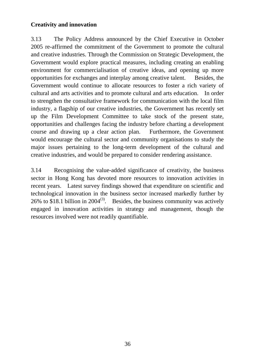## **Creativity and innovation**

3.13 The Policy Address announced by the Chief Executive in October 2005 re-affirmed the commitment of the Government to promote the cultural and creative industries. Through the Commission on Strategic Development, the Government would explore practical measures, including creating an enabling environment for commercialisation of creative ideas, and opening up more opportunities for exchanges and interplay among creative talent. Besides, the Government would continue to allocate resources to foster a rich variety of cultural and arts activities and to promote cultural and arts education. In order to strengthen the consultative framework for communication with the local film industry, a flagship of our creative industries, the Government has recently set up the Film Development Committee to take stock of the present state, opportunities and challenges facing the industry before charting a development course and drawing up a clear action plan. Furthermore, the Government would encourage the cultural sector and community organisations to study the major issues pertaining to the long-term development of the cultural and creative industries, and would be prepared to consider rendering assistance.

3.14 Recognising the value-added significance of creativity, the business sector in Hong Kong has devoted more resources to innovation activities in recent years. Latest survey findings showed that expenditure on scientific and technological innovation in the business sector increased markedly further by 26% to \$18.1 billion in 2004<sup>(3)</sup>. Besides, the business community was actively engaged in innovation activities in strategy and management, though the resources involved were not readily quantifiable.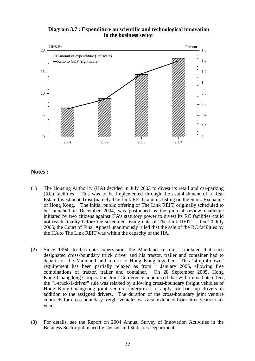#### **Diagram 3.7 : Expenditure on scientific and technological innovation in the business sector**



#### **Notes :**

- (1) The Housing Authority (HA) decided in July 2003 to divest its retail and car-parking (RC) facilities. This was to be implemented through the establishment of a Real Estate Investment Trust (namely The Link REIT) and its listing on the Stock Exchange of Hong Kong. The initial public offering of The Link REIT, originally scheduled to be launched in December 2004, was postponed as the judicial review challenge initiated by two citizens against HA's statutory power to divest its RC facilities could not reach finality before the scheduled listing date of The Link REIT. On 20 July 2005, the Court of Final Appeal unanimously ruled that the sale of the RC facilities by the HA to The Link REIT was within the capacity of the HA.
- (2) Since 1994, to facilitate supervision, the Mainland customs stipulated that each designated cross-boundary truck driver and his tractor, trailer and container had to depart for the Mainland and return to Hong Kong together. This "4-up-4-down" requirement has been partially relaxed as from 1 January 2005, allowing free combinations of tractor, trailer and container. On 28 September 2005, Hong Kong-Guangdong Cooperation Joint Conference announced that with immediate effect, the "1-truck-1-driver" rule was relaxed by allowing cross-boundary freight vehicles of Hong Kong-Guangdong joint venture enterprises to apply for back-up drivers in addition to the assigned drivers. The duration of the cross-boundary joint venture contracts for cross-boundary freight vehicles was also extended from three years to six years.
- (3) For details, see the Report on 2004 Annual Survey of Innovation Activities in the Business Sector published by Census and Statistics Department.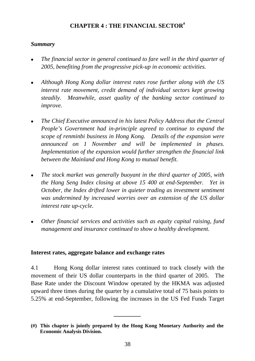## **CHAPTER 4 : THE FINANCIAL SECTOR#**

## *Summary*

- <sup>z</sup>*The financial sector in general continued to fare well in the third quarter of 2005, benefiting from the progressive pick-up in economic activities.*
- <sup>z</sup>*Although Hong Kong dollar interest rates rose further along with the US interest rate movement, credit demand of individual sectors kept growing steadily. Meanwhile, asset quality of the banking sector continued to improve.*
- <sup>z</sup>*The Chief Executive announced in his latest Policy Address that the Central People's Government had in-principle agreed to continue to expand the scope of renminbi business in Hong Kong. Details of the expansion were announced on 1 November and will be implemented in phases. Implementation of the expansion would further strengthen the financial link between the Mainland and Hong Kong to mutual benefit.*
- The stock market was generally buoyant in the third quarter of 2005, with *the Hang Seng Index closing at above 15 400 at end-September. Yet in October, the Index drifted lower in quieter trading as investment sentiment was undermined by increased worries over an extension of the US dollar interest rate up-cycle.*
- <sup>z</sup>*Other financial services and activities such as equity capital raising, fund management and insurance continued to show a healthy development.*

## **Interest rates, aggregate balance and exchange rates**

4.1 Hong Kong dollar interest rates continued to track closely with the movement of their US dollar counterparts in the third quarter of 2005. The Base Rate under the Discount Window operated by the HKMA was adjusted upward three times during the quarter by a cumulative total of 75 basis points to 5.25% at end-September, following the increases in the US Fed Funds Target

**\_\_\_\_\_\_\_\_\_** 

**<sup>(#)</sup> This chapter is jointly prepared by the Hong Kong Monetary Authority and the Economic Analysis Division.**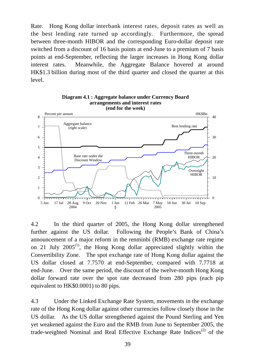Rate. Hong Kong dollar interbank interest rates, deposit rates as well as the best lending rate turned up accordingly. Furthermore, the spread between three-month HIBOR and the corresponding Euro-dollar deposit rate switched from a discount of 16 basis points at end-June to a premium of 7 basis points at end-September, reflecting the larger increases in Hong Kong dollar interest rates. Meanwhile, the Aggregate Balance hovered at around HK\$1.3 billion during most of the third quarter and closed the quarter at this level.



**Diagram 4.1 : Aggregate balance under Currency Board arrangements and interest rates**

4.2 In the third quarter of 2005, the Hong Kong dollar strengthened further against the US dollar. Following the People's Bank of China's announcement of a major reform in the renminbi (RMB) exchange rate regime on 21 July  $2005^{(1)}$ , the Hong Kong dollar appreciated slightly within the Convertibility Zone. The spot exchange rate of Hong Kong dollar against the US dollar closed at 7.7570 at end-September, compared with 7.7718 at end-June. Over the same period, the discount of the twelve-month Hong Kong dollar forward rate over the spot rate decreased from 280 pips (each pip equivalent to HK\$0.0001) to 80 pips.

4.3 Under the Linked Exchange Rate System, movements in the exchange rate of the Hong Kong dollar against other currencies follow closely those in the US dollar. As the US dollar strengthened against the Pound Sterling and Yen yet weakened against the Euro and the RMB from June to September 2005, the trade-weighted Nominal and Real Effective Exchange Rate Indices<sup>(2)</sup> of the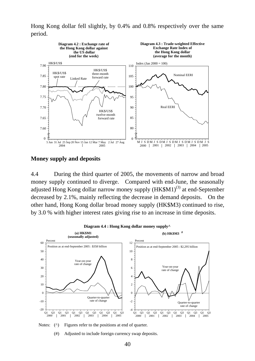Hong Kong dollar fell slightly, by 0.4% and 0.8% respectively over the same period.



#### **Money supply and deposits**

4.4 During the third quarter of 2005, the movements of narrow and broad money supply continued to diverge. Compared with end-June, the seasonally adjusted Hong Kong dollar narrow money supply  $(HK$M1)^{(3)}$  at end-September decreased by 2.1%, mainly reflecting the decrease in demand deposits. On the other hand, Hong Kong dollar broad money supply (HK\$M3) continued to rise, by 3.0 % with higher interest rates giving rise to an increase in time deposits.



Notes: ( $\wedge$ ) Figures refer to the positions at end of quarter.

(#) Adjusted to include foreign currency swap deposits.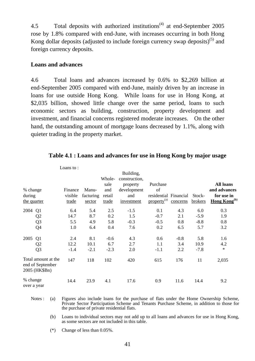4.5 Total deposits with authorized institutions<sup>(4)</sup> at end-September 2005 rose by 1.8% compared with end-June, with increases occurring in both Hong Kong dollar deposits (adjusted to include foreign currency swap deposits)<sup>(5)</sup> and foreign currency deposits.

#### **Loans and advances**

4.6 Total loans and advances increased by 0.6% to \$2,269 billion at end-September 2005 compared with end-June, mainly driven by an increase in loans for use outside Hong Kong. While loans for use in Hong Kong, at \$2,035 billion, showed little change over the same period, loans to such economic sectors as building, construction, property development and investment, and financial concerns registered moderate increases. On the other hand, the outstanding amount of mortgage loans decreased by 1.1%, along with quieter trading in the property market.

|                                   |                                                          | Loans to:                   |                              |                                          |                                                                            |                                                                    |          |                   |                                                                            |
|-----------------------------------|----------------------------------------------------------|-----------------------------|------------------------------|------------------------------------------|----------------------------------------------------------------------------|--------------------------------------------------------------------|----------|-------------------|----------------------------------------------------------------------------|
| % change<br>during<br>the quarter |                                                          | Finance<br>visible<br>trade | Manu-<br>facturing<br>sector | Whole-<br>sale<br>and<br>retail<br>trade | Building,<br>construction,<br>property<br>development<br>and<br>investment | Purchase<br>of<br>residential Financial<br>property <sup>(a)</sup> | concerns | Stock-<br>brokers | <b>All loans</b><br>and advances<br>for use in<br>Hong Kong <sup>(b)</sup> |
| 2004                              | Q1                                                       | 6.4                         | 5.4                          | 2.5                                      | $-1.5$                                                                     | 0.1                                                                | 4.3      | 6.0               | 0.3                                                                        |
|                                   | Q <sub>2</sub>                                           | 14.7                        | 8.7                          | 0.2                                      | 1.5                                                                        | $-0.7$                                                             | 2.1      | $-5.9$            | 1.9                                                                        |
|                                   | Q <sub>3</sub>                                           | 5.5                         | 4.9                          | 5.8                                      | $-0.3$                                                                     | $-0.5$                                                             | 0.8      | $-8.8$            | 0.8                                                                        |
|                                   | Q4                                                       | 1.0                         | 6.4                          | 0.4                                      | 7.6                                                                        | 0.2                                                                | 6.5      | 5.7               | 3.2                                                                        |
| 2005                              | Q1                                                       | 2.4                         | 8.1                          | $-0.6$                                   | 4.3                                                                        | 0.6                                                                | $-0.8$   | 5.8               | 1.6                                                                        |
|                                   | Q <sub>2</sub>                                           | 12.2                        | 10.1                         | 6.7                                      | 2.7                                                                        | 1.1                                                                | 3.4      | 10.9              | 4.2                                                                        |
|                                   | Q <sub>3</sub>                                           | $-1.4$                      | $-2.1$                       | $-2.3$                                   | 2.0                                                                        | $-1.1$                                                             | 2.2      | $-7.8$            | $\ast$                                                                     |
|                                   | Total amount at the<br>end of September<br>2005 (HK\$Bn) | 147                         | 118                          | 102                                      | 420                                                                        | 615                                                                | 176      | 11                | 2,035                                                                      |
| % change<br>over a year           |                                                          | 14.4                        | 23.9                         | 4.1                                      | 17.6                                                                       | 0.9                                                                | 11.6     | 14.4              | 9.2                                                                        |

#### **Table 4.1 : Loans and advances for use in Hong Kong by major usage**

Notes : (a) Figures also include loans for the purchase of flats under the Home Ownership Scheme, Private Sector Participation Scheme and Tenants Purchase Scheme, in addition to those for the purchase of private residential flats.

 (b) Loans to individual sectors may not add up to all loans and advances for use in Hong Kong, as some sectors are not included in this table.

(\*) Change of less than 0.05%.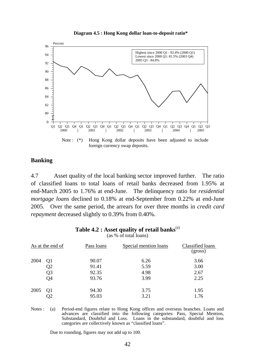



#### **Banking**

4.7 Asset quality of the local banking sector improved further. The ratio of classified loans to total loans of retail banks decreased from 1.95% at end-March 2005 to 1.76% at end-June. The delinquency ratio for *residential mortgage loans* declined to 0.18% at end-September from 0.22% at end-June 2005. Over the same period, the arrears for over three months in *credit card repayment* decreased slightly to 0.39% from 0.40%.

#### Table 4.2 : Asset quality of retail banks<sup>(a)</sup>

(as % of total loans)

|      | As at the end of                 | Pass loans                       | Special mention loans        | Classified loans<br>(gross)  |
|------|----------------------------------|----------------------------------|------------------------------|------------------------------|
| 2004 | Q1<br>Q2<br>Q3<br>Q <sub>4</sub> | 90.07<br>91.41<br>92.35<br>93.76 | 6.26<br>5.59<br>4.98<br>3.99 | 3.66<br>3.00<br>2.67<br>2.25 |
| 2005 | Q <sub>1</sub>                   | 94.30<br>95.03                   | 3.75<br>3.21                 | 1.95<br>1.76                 |

Notes : (a) Period-end figures relate to Hong Kong offices and overseas branches. Loans and advances are classified into the following categories: Pass, Special Mention, Substandard, Doubtful and Loss. Loans in the substandard, doubtful and loss categories are collectively known as "classified loans".

Due to rounding, figures may not add up to 100.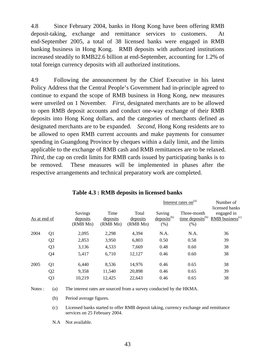4.8 Since February 2004, banks in Hong Kong have been offering RMB deposit-taking, exchange and remittance services to customers. At end-September 2005, a total of 38 licensed banks were engaged in RMB banking business in Hong Kong. RMB deposits with authorized institutions increased steadily to RMB22.6 billion at end-September, accounting for 1.2% of total foreign currency deposits with all authorized institutions.

4.9 Following the announcement by the Chief Executive in his latest Policy Address that the Central People's Government had in-principle agreed to continue to expand the scope of RMB business in Hong Kong, new measures were unveiled on 1 November. *First,* designated merchants are to be allowed to open RMB deposit accounts and conduct one-way exchange of their RMB deposits into Hong Kong dollars, and the categories of merchants defined as designated merchants are to be expanded. *Second*, Hong Kong residents are to be allowed to open RMB current accounts and make payments for consumer spending in Guangdong Province by cheques within a daily limit, and the limits applicable to the exchange of RMB cash and RMB remittances are to be relaxed. *Third,* the cap on credit limits for RMB cards issued by participating banks is to be removed. These measures will be implemented in phases after the respective arrangements and technical preparatory work are completed.

| As at end of |                |                                 |                              |                               |                                           |                                                       |                                                               |  |  |
|--------------|----------------|---------------------------------|------------------------------|-------------------------------|-------------------------------------------|-------------------------------------------------------|---------------------------------------------------------------|--|--|
|              |                | Savings<br>deposits<br>(RMB Mn) | Time<br>deposits<br>(RMB Mn) | Total<br>deposits<br>(RMB Mn) | Saving<br>$\text{deposits}^{(b)}$<br>(% ) | Three-month<br>$time$ deposits <sup>(b)</sup><br>(% ) | licensed banks<br>engaged in<br>$RMB$ business <sup>(c)</sup> |  |  |
| 2004         | Q1             | 2,095                           | 2,298                        | 4,394                         | N.A.                                      | N.A.                                                  | 36                                                            |  |  |
|              | Q <sub>2</sub> | 2,853                           | 3,950                        | 6,803                         | 0.50                                      | 0.58                                                  | 39                                                            |  |  |
|              | Q <sub>3</sub> | 3,136                           | 4,533                        | 7,669                         | 0.48                                      | 0.60                                                  | 38                                                            |  |  |
|              | Q4             | 5,417                           | 6,710                        | 12,127                        | 0.46                                      | 0.60                                                  | 38                                                            |  |  |
| 2005         | Q1             | 6,440                           | 8,536                        | 14,976                        | 0.46                                      | 0.65                                                  | 38                                                            |  |  |
|              | Q <sub>2</sub> | 9,358                           | 11,540                       | 20,898                        | 0.46                                      | 0.65                                                  | 39                                                            |  |  |
|              | Q <sub>3</sub> | 10,219                          | 12,425                       | 22,643                        | 0.46                                      | 0.65                                                  | 38                                                            |  |  |
|              |                |                                 |                              |                               |                                           |                                                       |                                                               |  |  |

Interest rates on $<sup>(a)</sup>$ </sup>

Number of

## **Table 4.3 : RMB deposits in licensed banks**

Notes : (a) The interest rates are sourced from a survey conducted by the HKMA.

(b) Period average figures.

 (c) Licensed banks started to offer RMB deposit taking, currency exchange and remittance services on 25 February 2004.

N.A Not available.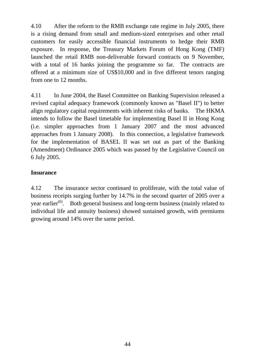4.10 After the reform to the RMB exchange rate regime in July 2005, there is a rising demand from small and medium-sized enterprises and other retail customers for easily accessible financial instruments to hedge their RMB exposure. In response, the Treasury Markets Forum of Hong Kong (TMF) launched the retail RMB non-deliverable forward contracts on 9 November, with a total of 16 banks joining the programme so far. The contracts are offered at a minimum size of US\$10,000 and in five different tenors ranging from one to 12 months.

4.11 In June 2004, the Basel Committee on Banking Supervision released a revised capital adequacy framework (commonly known as "Basel II") to better align regulatory capital requirements with inherent risks of banks. The HKMA intends to follow the Basel timetable for implementing Basel II in Hong Kong (i.e. simpler approaches from 1 January 2007 and the most advanced approaches from 1 January 2008). In this connection, a legislative framework for the implementation of BASEL II was set out as part of the Banking (Amendment) Ordinance 2005 which was passed by the Legislative Council on 6 July 2005.

## **Insurance**

4.12 The insurance sector continued to proliferate, with the total value of business receipts surging further by 14.7% in the second quarter of 2005 over a year earlier<sup>(6)</sup>. Both general business and long-term business (mainly related to individual life and annuity business) showed sustained growth, with premiums growing around 14% over the same period.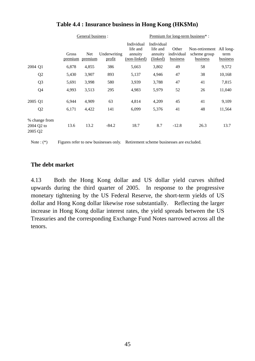|                       |                |                  | General business :    |                        |                                                   | Premium for long-term business*:              |                                 |                                                      |                  |  |
|-----------------------|----------------|------------------|-----------------------|------------------------|---------------------------------------------------|-----------------------------------------------|---------------------------------|------------------------------------------------------|------------------|--|
|                       |                | Gross<br>premium | <b>Net</b><br>premium | Underwriting<br>profit | Individual<br>life and<br>annuity<br>(non-linked) | Individual<br>life and<br>annuity<br>(linked) | Other<br>individual<br>business | Non-retirement All long-<br>scheme group<br>business | term<br>business |  |
| 2004 Q1               |                | 6,878            | 4,855                 | 386                    | 5,663                                             | 3,802                                         | 49                              | 58                                                   | 9,572            |  |
|                       | Q <sub>2</sub> | 5,430            | 3,907                 | 893                    | 5,137                                             | 4,946                                         | 47                              | 38                                                   | 10,168           |  |
|                       | Q <sub>3</sub> | 5,691            | 3,998                 | 580                    | 3,939                                             | 3,788                                         | 47                              | 41                                                   | 7,815            |  |
|                       | Q4             | 4,993            | 3,513                 | 295                    | 4,983                                             | 5,979                                         | 52                              | 26                                                   | 11,040           |  |
| 2005 Q1               |                | 6,944            | 4,909                 | 63                     | 4,814                                             | 4,209                                         | 45                              | 41                                                   | 9,109            |  |
|                       | Q <sub>2</sub> | 6,171            | 4,422                 | 141                    | 6,099                                             | 5,376                                         | 41                              | 48                                                   | 11,564           |  |
| 2004 Q2 to<br>2005 Q2 | % change from  | 13.6             | 13.2                  | $-84.2$                | 18.7                                              | 8.7                                           | $-12.8$                         | 26.3                                                 | 13.7             |  |

## **Table 4.4 : Insurance business in Hong Kong (HK\$Mn)**

Note : (\*) Figures refer to new businesses only. Retirement scheme businesses are excluded.

#### **The debt market**

4.13 Both the Hong Kong dollar and US dollar yield curves shifted upwards during the third quarter of 2005. In response to the progressive monetary tightening by the US Federal Reserve, the short-term yields of US dollar and Hong Kong dollar likewise rose substantially. Reflecting the larger increase in Hong Kong dollar interest rates, the yield spreads between the US Treasuries and the corresponding Exchange Fund Notes narrowed across all the tenors.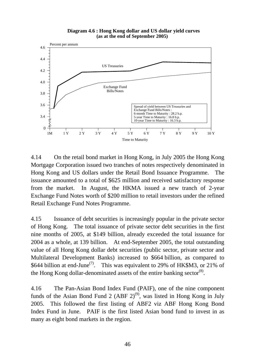**Diagram 4.6 : Hong Kong dollar and US dollar yield curves (as at the end of September 2005)**



4.14 On the retail bond market in Hong Kong, in July 2005 the Hong Kong Mortgage Corporation issued two tranches of notes respectively denominated in Hong Kong and US dollars under the Retail Bond Issuance Programme. The issuance amounted to a total of \$625 million and received satisfactory response from the market. In August, the HKMA issued a new tranch of 2-year Exchange Fund Notes worth of \$200 million to retail investors under the refined Retail Exchange Fund Notes Programme.

4.15 Issuance of debt securities is increasingly popular in the private sector of Hong Kong. The total issuance of private sector debt securities in the first nine months of 2005, at \$149 billion, already exceeded the total issuance for 2004 as a whole, at 139 billion. At end-September 2005, the total outstanding value of all Hong Kong dollar debt securities (public sector, private sector and Multilateral Development Banks) increased to \$664 billion, as compared to \$644 billion at end-June<sup>(7)</sup>. This was equivalent to 29% of HK\$M3, or 21% of the Hong Kong dollar-denominated assets of the entire banking sector<sup>(8)</sup>.

4.16 The Pan-Asian Bond Index Fund (PAIF), one of the nine component funds of the Asian Bond Fund 2 (ABF  $2)^{(9)}$ , was listed in Hong Kong in July 2005. This followed the first listing of ABF2 viz ABF Hong Kong Bond Index Fund in June. PAIF is the first listed Asian bond fund to invest in as many as eight bond markets in the region.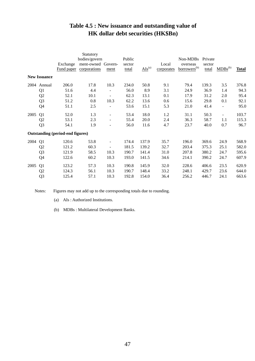# **Table 4.5 : New issuance and outstanding value of HK dollar debt securities (HK\$Bn)**

|      |                     |                                         | Statutory          |                          |        |                        |            |                          |         |                          |              |
|------|---------------------|-----------------------------------------|--------------------|--------------------------|--------|------------------------|------------|--------------------------|---------|--------------------------|--------------|
|      |                     |                                         | bodies/govern      |                          | Public |                        |            | Non-MDBs                 | Private |                          |              |
|      |                     | Exchange                                | ment-owned Govern- |                          | sector |                        | Local      | overseas                 | sector  |                          |              |
|      |                     | Fund paper                              | corporations       | ment                     | total  | $\overline{AIs}^{(a)}$ | corporates | borrowers <sup>(b)</sup> | total   | $MDBs^{(b)}$             | <b>Total</b> |
|      | <b>New Issuance</b> |                                         |                    |                          |        |                        |            |                          |         |                          |              |
| 2004 | Annual              | 206.0                                   | 17.8               | 10.3                     | 234.0  | 50.8                   | 9.1        | 79.4                     | 139.3   | 3.5                      | 376.8        |
|      | Q <sub>1</sub>      | 51.6                                    | 4.4                |                          | 56.0   | 8.9                    | 3.1        | 24.9                     | 36.9    | 1.4                      | 94.3         |
|      | Q <sub>2</sub>      | 52.1                                    | 10.1               |                          | 62.3   | 13.1                   | 0.1        | 17.9                     | 31.2    | 2.0                      | 95.4         |
|      | Q <sub>3</sub>      | 51.2                                    | 0.8                | 10.3                     | 62.2   | 13.6                   | 0.6        | 15.6                     | 29.8    | 0.1                      | 92.1         |
|      | Q <sub>4</sub>      | 51.1                                    | 2.5                |                          | 53.6   | 15.1                   | 5.3        | 21.0                     | 41.4    | $\overline{\phantom{a}}$ | 95.0         |
| 2005 | Q1                  | 52.0                                    | 1.3                | $\overline{\phantom{a}}$ | 53.4   | 18.0                   | 1.2        | 31.1                     | 50.3    | $\overline{\phantom{a}}$ | 103.7        |
|      | Q <sub>2</sub>      | 53.1                                    | 2.3                | $\overline{\phantom{a}}$ | 55.4   | 20.0                   | 2.4        | 36.3                     | 58.7    | 1.1                      | 115.3        |
|      | Q <sub>3</sub>      | 54.1                                    | 1.9                | $\overline{\phantom{a}}$ | 56.0   | 11.6                   | 4.7        | 23.7                     | 40.0    | 0.7                      | 96.7         |
|      |                     | <b>Outstanding (period-end figures)</b> |                    |                          |        |                        |            |                          |         |                          |              |
| 2004 | Q1                  | 120.6                                   | 53.8               |                          | 174.4  | 137.9                  | 35.7       | 196.0                    | 369.6   | 24.9                     | 568.9        |
|      | Q <sub>2</sub>      | 121.2                                   | 60.3               |                          | 181.5  | 139.2                  | 32.7       | 203.4                    | 375.3   | 25.1                     | 582.0        |
|      | Q <sub>3</sub>      | 121.9                                   | 58.5               | 10.3                     | 190.7  | 141.4                  | 31.0       | 207.8                    | 380.2   | 24.7                     | 595.6        |
|      | Q <sub>4</sub>      | 122.6                                   | 60.2               | 10.3                     | 193.0  | 141.5                  | 34.6       | 214.1                    | 390.2   | 24.7                     | 607.9        |
| 2005 | Q <sub>1</sub>      | 123.2                                   | 57.3               | 10.3                     | 190.8  | 145.9                  | 32.0       | 228.6                    | 406.6   | 23.5                     | 620.9        |
|      | Q <sub>2</sub>      | 124.3                                   | 56.1               | 10.3                     | 190.7  | 148.4                  | 33.2       | 248.1                    | 429.7   | 23.6                     | 644.0        |
|      | Q <sub>3</sub>      | 125.4                                   | 57.1               | 10.3                     | 192.8  | 154.0                  | 36.4       | 256.2                    | 446.7   | 24.1                     | 663.6        |

Notes: Figures may not add up to the corresponding totals due to rounding.

(a) AIs : Authorized Institutions.

(b) MDBs : Multilateral Development Banks.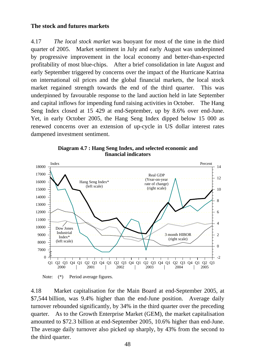#### **The stock and futures markets**

4.17 *The local stock market* was buoyant for most of the time in the third quarter of 2005. Market sentiment in July and early August was underpinned by progressive improvement in the local economy and better-than-expected profitability of most blue-chips. After a brief consolidation in late August and early September triggered by concerns over the impact of the Hurricane Katrina on international oil prices and the global financial markets, the local stock market regained strength towards the end of the third quarter. This was underpinned by favourable response to the land auction held in late September and capital inflows for impending fund raising activities in October. The Hang Seng Index closed at 15 429 at end-September, up by 8.6% over end-June. Yet, in early October 2005, the Hang Seng Index dipped below 15 000 as renewed concerns over an extension of up-cycle in US dollar interest rates dampened investment sentiment.





Note: (\*) Period average figures.

4.18 Market capitalisation for the Main Board at end-September 2005, at \$7,544 billion, was 9.4% higher than the end-June position. Average daily turnover rebounded significantly, by 34% in the third quarter over the preceding quarter. As to the Growth Enterprise Market (GEM), the market capitalisation amounted to \$72.3 billion at end-September 2005, 10.6% higher than end-June. The average daily turnover also picked up sharply, by 43% from the second to the third quarter.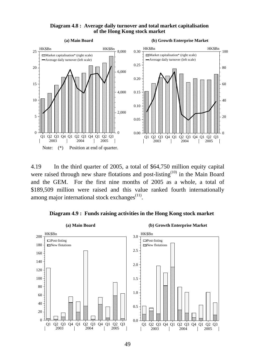



4.19 In the third quarter of 2005, a total of \$64,750 million equity capital were raised through new share flotations and post-listing<sup> $(10)$ </sup> in the Main Board and the GEM. For the first nine months of 2005 as a whole, a total of \$189,509 million were raised and this value ranked fourth internationally among major international stock exchanges $<sup>(11)</sup>$ .</sup>



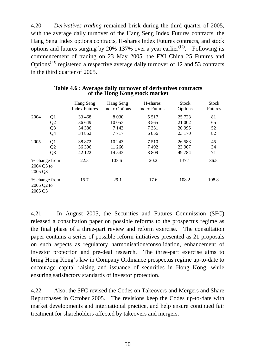4.20 *Derivatives trading* remained brisk during the third quarter of 2005, with the average daily turnover of the Hang Seng Index Futures contracts, the Hang Seng Index options contracts, H-shares Index Futures contracts, and stock options and futures surging by 20%-137% over a year earlier<sup> $(12)$ </sup>. Following its commencement of trading on 23 May 2005, the FXI China 25 Futures and Options<sup> $(13)$ </sup> registered a respective average daily turnover of 12 and 53 contracts in the third quarter of 2005.

|                       |                                                    | Hang Seng<br><b>Index Futures</b>      | Hang Seng<br><b>Index Options</b>     | H-shares<br><b>Index Futures</b>      | <b>Stock</b><br>Options                | Stock<br><b>Futures</b> |
|-----------------------|----------------------------------------------------|----------------------------------------|---------------------------------------|---------------------------------------|----------------------------------------|-------------------------|
| 2004                  | Q <sub>1</sub><br>Q2<br>Q <sub>3</sub><br>Q4       | 33 4 68<br>36 649<br>34 38 6<br>34 852 | 8 0 3 0<br>10 0 53<br>7 1 4 3<br>7717 | 5 5 1 7<br>8 5 6 5<br>7 3 3 1<br>6856 | 25 7 23<br>21 002<br>20 9 95<br>23 170 | 81<br>65<br>52<br>82    |
| 2005                  | Q <sub>1</sub><br>Q <sub>2</sub><br>Q <sub>3</sub> | 38 872<br>36 39 6<br>42 122            | 10 243<br>11 26 6<br>14 5 43          | 7510<br>7492<br>8 8 0 9               | 26 5 8 3<br>23 907<br>49 7 84          | 45<br>34<br>71          |
| 2004 Q3 to<br>2005 Q3 | % change from                                      | 22.5                                   | 103.6                                 | 20.2                                  | 137.1                                  | 36.5                    |
| 2005 Q2 to<br>2005 Q3 | % change from                                      | 15.7                                   | 29.1                                  | 17.6                                  | 108.2                                  | 108.8                   |

#### **Table 4.6 : Average daily turnover of derivatives contracts of the Hong Kong stock market**

4.21 In August 2005, the Securities and Futures Commission (SFC) released a consultation paper on possible reforms to the prospectus regime as the final phase of a three-part review and reform exercise. The consultation paper contains a series of possible reform initiatives presented as 21 proposals on such aspects as regulatory harmonisation/consolidation, enhancement of investor protection and pre-deal research. The three-part exercise aims to bring Hong Kong's law in Company Ordinance prospectus regime up-to-date to encourage capital raising and issuance of securities in Hong Kong, while ensuring satisfactory standards of investor protection.

4.22 Also, the SFC revised the Codes on Takeovers and Mergers and Share Repurchases in October 2005. The revisions keep the Codes up-to-date with market developments and international practice, and help ensure continued fair treatment for shareholders affected by takeovers and mergers.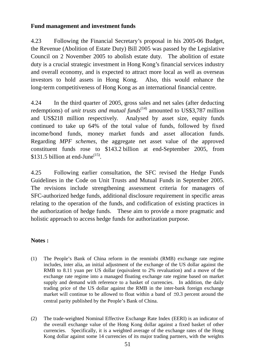## **Fund management and investment funds**

4.23 Following the Financial Secretary's proposal in his 2005-06 Budget, the Revenue (Abolition of Estate Duty) Bill 2005 was passed by the Legislative Council on 2 November 2005 to abolish estate duty. The abolition of estate duty is a crucial strategic investment in Hong Kong's financial services industry and overall economy, and is expected to attract more local as well as overseas investors to hold assets in Hong Kong. Also, this would enhance the long-term competitiveness of Hong Kong as an international financial centre.

4.24 In the third quarter of 2005, gross sales and net sales (after deducting redemptions) of *unit trusts and mutual funds*<sup>(14)</sup> amounted to US\$3,787 million and US\$218 million respectively. Analysed by asset size, equity funds continued to take up 64% of the total value of funds, followed by fixed income/bond funds, money market funds and asset allocation funds. Regarding *MPF schemes*, the aggregate net asset value of the approved constituent funds rose to \$143.2 billion at end-September 2005, from \$131.5 billion at end-June $^{(15)}$ .

4.25 Following earlier consultation, the SFC revised the Hedge Funds Guidelines in the Code on Unit Trusts and Mutual Funds in September 2005. The revisions include strengthening assessment criteria for managers of SFC-authorized hedge funds, additional disclosure requirement in specific areas relating to the operation of the funds, and codification of existing practices in the authorization of hedge funds. These aim to provide a more pragmatic and holistic approach to access hedge funds for authorization purpose.

## **Notes :**

- (1) The People's Bank of China reform in the renminbi (RMB) exchange rate regime includes, inter alia, an initial adjustment of the exchange of the US dollar against the RMB to 8.11 yuan per US dollar (equivalent to 2% revaluation) and a move of the exchange rate regime into a managed floating exchange rate regime based on market supply and demand with reference to a basket of currencies. In addition, the daily trading price of the US dollar against the RMB in the inter-bank foreign exchange market will continue to be allowed to float within a band of  $\pm 0.3$  percent around the central parity published by the People's Bank of China.
- (2) The trade-weighted Nominal Effective Exchange Rate Index (EERI) is an indicator of the overall exchange value of the Hong Kong dollar against a fixed basket of other currencies. Specifically, it is a weighted average of the exchange rates of the Hong Kong dollar against some 14 currencies of its major trading partners, with the weights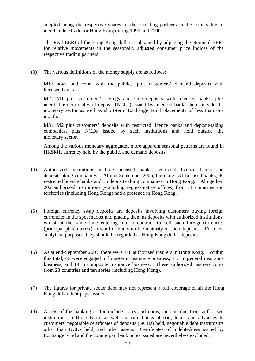adopted being the respective shares of these trading partners in the total value of merchandise trade for Hong Kong during 1999 and 2000.

 The Real EERI of the Hong Kong dollar is obtained by adjusting the Nominal EERI for relative movements in the seasonally adjusted consumer price indices of the respective trading partners.

(3) The various definitions of the money supply are as follows:

M1 : notes and coins with the public, plus customers' demand deposits with licensed banks.

 M2 : M1 plus customers' savings and time deposits with licensed banks, plus negotiable certificates of deposit (NCDs) issued by licensed banks, held outside the monetary sector as well as short-term Exchange Fund placements of less than one month.

M3 : M2 plus customers' deposits with restricted licence banks and deposit-taking companies, plus NCDs issued by such institutions and held outside the monetary sector.

 Among the various monetary aggregates, more apparent seasonal patterns are found in HK\$M1, currency held by the public, and demand deposits.

- (4) Authorized institutions include licensed banks, restricted licence banks and deposit-taking companies. At end-September 2005, there are 131 licensed banks, 36 restricted licence banks and 35 deposit-taking companies in Hong Kong. Altogether, 202 authorized institutions (excluding representative offices) from 31 countries and territories (including Hong Kong) had a presence in Hong Kong.
- (5) Foreign currency swap deposits are deposits involving customers buying foreign currencies in the spot market and placing them as deposits with authorized institutions, whilst at the same time entering into a contract to sell such foreign currencies (principal plus interest) forward in line with the maturity of such deposits. For most analytical purposes, they should be regarded as Hong Kong dollar deposits.
- (6) As at end-September 2005, there were 178 authorized insurers in Hong Kong. Within this total, 46 were engaged in long-term insurance business, 113 in general insurance business, and 19 in composite insurance business. These authorized insurers come from 23 countries and territories (including Hong Kong).
- (7) The figures for private sector debt may not represent a full coverage of all the Hong Kong dollar debt paper issued.
- (8) Assets of the banking sector include notes and coins, amount due from authorized institutions in Hong Kong as well as from banks abroad, loans and advances to customers, negotiable certificates of deposits (NCDs) held, negotiable debt instruments other than NCDs held, and other assets. Certificates of indebtedness issued by Exchange Fund and the counterpart bank notes issued are nevertheless excluded.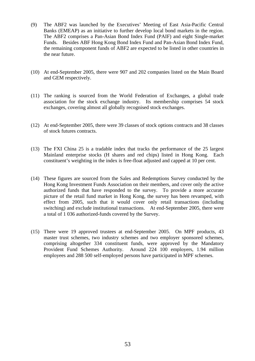- (9) The ABF2 was launched by the Executives' Meeting of East Asia-Pacific Central Banks (EMEAP) as an initiative to further develop local bond markets in the region. The ABF2 comprises a Pan-Asian Bond Index Fund (PAIF) and eight Single-market Funds. Besides ABF Hong Kong Bond Index Fund and Pan-Asian Bond Index Fund, the remaining component funds of ABF2 are expected to be listed in other countries in the near future.
- (10) At end-September 2005, there were 907 and 202 companies listed on the Main Board and GEM respectively.
- (11) The ranking is sourced from the World Federation of Exchanges, a global trade association for the stock exchange industry. Its membership comprises 54 stock exchanges, covering almost all globally recognised stock exchanges.
- (12) At end-September 2005, there were 39 classes of stock options contracts and 38 classes of stock futures contracts.
- (13) The FXI China 25 is a tradable index that tracks the performance of the 25 largest Mainland enterprise stocks (H shares and red chips) listed in Hong Kong. Each constituent's weighting in the index is free-float adjusted and capped at 10 per cent.
- (14) These figures are sourced from the Sales and Redemptions Survey conducted by the Hong Kong Investment Funds Association on their members, and cover only the active authorized funds that have responded to the survey. To provide a more accurate picture of the retail fund market in Hong Kong, the survey has been revamped, with effect from 2005, such that it would cover only retail transactions (including switching) and exclude institutional transactions. At end-September 2005, there were a total of 1 036 authorized-funds covered by the Survey.
- (15) There were 19 approved trustees at end-September 2005. On MPF products, 43 master trust schemes, two industry schemes and two employer sponsored schemes, comprising altogether 334 constituent funds, were approved by the Mandatory Provident Fund Schemes Authority. Around 224 100 employers, 1.94 million employees and 288 500 self-employed persons have participated in MPF schemes.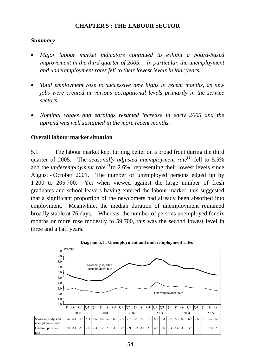## **CHAPTER 5 : THE LABOUR SECTOR**

## *Summary*

- *Major labour market indicators continued to exhibit a board-based improvement in the third quarter of 2005. In particular, the unemployment and underemployment rates fell to their lowest levels in four years.*
- *Total employment rose to successive new highs in recent months, as new jobs were created at various occupational levels primarily in the service sectors.*
- *Nominal wages and earnings resumed increase in early 2005 and the uptrend was well sustained in the more recent months.*

## **Overall labour market situation**

5.1 The labour market kept turning better on a broad front during the third quarter of 2005. The *seasonally adjusted unemployment rate*<sup>(1)</sup> fell to 5.5% and the *underemployment rate*<sup>(2)</sup> to 2.6%, representing their lowest levels since August - October 2001. The number of unemployed persons edged up by 1 200 to 205 700. Yet when viewed against the large number of fresh graduates and school leavers having entered the labour market, this suggested that a significant proportion of the newcomers had already been absorbed into employment. Meanwhile, the median duration of unemployment remained broadly stable at 76 days. Whereas, the number of persons unemployed for six months or more rose modestly to 59 700, this was the second lowest level in three and a half years.



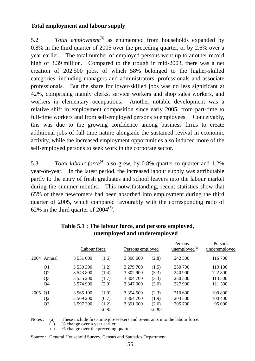## **Total employment and labour supply**

5.2 *Total employment*<sup>(3)</sup> as enumerated from households expanded by 0.8% in the third quarter of 2005 over the preceding quarter, or by 2.6% over a year earlier. The total number of employed persons went up to another record high of 3.39 million. Compared to the trough in mid-2003, there was a net creation of 202 500 jobs, of which 58% belonged to the higher-skilled categories, including managers and administrators, professionals and associate professionals. But the share for lower-skilled jobs was no less significant at 42%, comprising mainly clerks, service workers and shop sales workers, and workers in elementary occupations. Another notable development was a relative shift in employment composition since early 2005, from part-time to full-time workers and from self-employed persons to employees. Conceivably, this was due to the growing confidence among business firms to create additional jobs of full-time nature alongside the sustained revival in economic activity, while the increased employment opportunities also induced more of the self-employed persons to seek work in the corporate sector.

5.3 *Total labour force*<sup>(4)</sup> also grew, by 0.8% quarter-to-quarter and 1.2% year-on-year. In the latest period, the increased labour supply was attributable partly to the entry of fresh graduates and school leavers into the labour market during the summer months. This notwithstanding, recent statistics show that 65% of these newcomers had been absorbed into employment during the third quarter of 2005, which compared favourably with the corresponding ratio of 62% in the third quarter of  $2004^{(5)}$ .

|      |                | Labour force  |       | Persons employed |                 | T CLOOTIO<br>$\mu$ unemployed <sup>(a)</sup> | T CHOOTIO<br>underemployed |  |
|------|----------------|---------------|-------|------------------|-----------------|----------------------------------------------|----------------------------|--|
|      | 2004 Annual    | 3 5 5 1 0 0 0 | (1.6) | 3 308 600        | (2.8)           | 242 500                                      | 116 700                    |  |
|      | Q1             | 3 530 300     | (1.2) | 3 279 700        | (1.5)           | 250 700                                      | 119 100                    |  |
|      | Q <sub>2</sub> | 3 543 800     | (1.4) | 3 302 900        | (3.3)           | 240 900                                      | 122 800                    |  |
|      | Q <sub>3</sub> | 3 555 200     | (1.7) | 3 304 700        | (3.3)           | 250 500                                      | 113 500                    |  |
|      | Q <sub>4</sub> | 3 574 900     | (2.0) | 3 347 000        | (3.0)           | 227 900                                      | 111 300                    |  |
| 2005 | Q <sub>1</sub> | 3 5 6 5 1 0 0 | (1.0) | 3 3 5 4 5 0 0    | (2.3)           | 210 600                                      | 109 800                    |  |
|      | Q2             | 3 569 200     | (0.7) | 3 3 6 4 7 0 0    | (1.9)           | 204 500                                      | 100 400                    |  |
|      | Q <sub>3</sub> | 3 597 300     | (1.2) | 3 3 9 1 6 0 0    | (2.6)           | 205 700                                      | 95 000                     |  |
|      |                |               | <0.8> |                  | $<\!\!0.8\!\!>$ |                                              |                            |  |

Persons

Persons

## **Table 5.1 : The labour force, and persons employed, unemployed and underemployed**

Notes : (a) These include first-time job-seekers and re-entrants into the labour force.

( ) % change over a year earlier.

Source : General Household Survey, Census and Statistics Department.

 $\leq$  % change over the preceding quarter.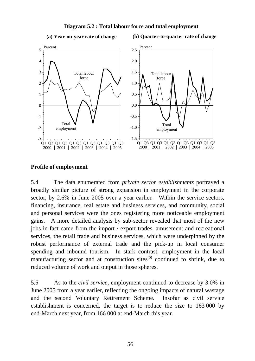#### **Diagram 5.2 : Total labour force and total employment**

**(a) Year-on-year rate of change**

**(b) Quarter-to-quarter rate of change**



#### **Profile of employment**

5.4 The data enumerated from *private sector establishments* portrayed a broadly similar picture of strong expansion in employment in the corporate sector, by 2.6% in June 2005 over a year earlier. Within the service sectors, financing, insurance, real estate and business services, and community, social and personal services were the ones registering more noticeable employment gains. A more detailed analysis by sub-sector revealed that most of the new jobs in fact came from the import / export trades, amusement and recreational services, the retail trade and business services, which were underpinned by the robust performance of external trade and the pick-up in local consumer spending and inbound tourism. In stark contrast, employment in the local manufacturing sector and at construction sites<sup> $(6)$ </sup> continued to shrink, due to reduced volume of work and output in those spheres.

5.5 As to the *civil service*, employment continued to decrease by 3.0% in June 2005 from a year earlier, reflecting the ongoing impacts of natural wastage and the second Voluntary Retirement Scheme. Insofar as civil service establishment is concerned, the target is to reduce the size to 163 000 by end-March next year, from 166 000 at end-March this year.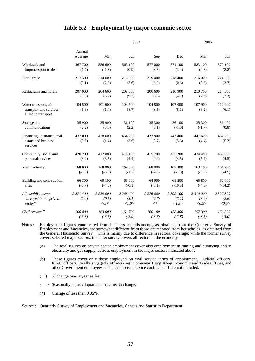#### **Table 5.2 : Employment by major economic sector**

|                                                                        |                    | 2005                        |                             |                                           |                             |                             |                             |
|------------------------------------------------------------------------|--------------------|-----------------------------|-----------------------------|-------------------------------------------|-----------------------------|-----------------------------|-----------------------------|
|                                                                        | Annual<br>Average  | Mar                         | Jun                         | <u>Sep</u>                                | Dec                         | Mar                         | <u>Jun</u>                  |
| Wholesale and                                                          | 567 700            | 556 600                     | 563 100                     | 577 000                                   | 574 100                     | 583 100                     | 579 100                     |
| import/export trades                                                   | (1.7)              | $(-1.3)$                    | (0.9)                       | (3.8)                                     | (3.4)                       | (4.8)                       | (2.8)                       |
| Retail trade                                                           | 217 300            | 214 600                     | 216 500                     | 219 400                                   | 218 400                     | 216 000                     | 224 600                     |
|                                                                        | (3.1)              | (2.3)                       | (3.6)                       | (6.0)                                     | (0.6)                       | (0.7)                       | (3.7)                       |
| Restaurants and hotels                                                 | 207 900            | 204 600                     | 209 500                     | 206 600                                   | 210 900                     | 210 700                     | 214 500                     |
|                                                                        | (6.0)              | (3.2)                       | (9.7)                       | (6.6)                                     | (4.7)                       | (2.9)                       | (2.3)                       |
| Water transport, air<br>transport and services<br>allied to transport  | 104 500<br>(6.6)   | 101 600<br>(1.4)            | 104 500<br>(8.7)            | 104 800<br>(8.5)                          | 107 000<br>(8.1)            | 107 900<br>(6.2)            | 110 900<br>(6.1)            |
| Storage and                                                            | 35 900             | 35 900                      | 36 100                      | 35 300                                    | 36 100                      | 35 300                      | 36 400                      |
| communications                                                         | (2.2)              | (8.0)                       | (2.2)                       | (0.1)                                     | $(-1.0)$                    | $(-1.7)$                    | (0.8)                       |
| Financing, insurance, real<br>estate and business<br>services          | 437 000<br>(3.6)   | 428 600<br>(1.4)            | 434 200<br>(3.6)            | 437 800<br>(3.7)                          | 447 400<br>(5.6)            | 447 600<br>(4.4)            | 457 200<br>(5.3)            |
| Community, social and                                                  | 420 200            | 412 000                     | 418 100                     | 415 700                                   | 435 200                     | 434 400                     | 437 000                     |
| personal services                                                      | (3.2)              | (3.5)                       | (4.4)                       | (0.4)                                     | (4.5)                       | (5.4)                       | (4.5)                       |
| Manufacturing                                                          | 168 000            | 168 900                     | 169 600                     | 168 000                                   | 165 300                     | 163 100                     | 161 900                     |
|                                                                        | $(-3.0)$           | $(-5.6)$                    | $(-1.7)$                    | $(-2.8)$                                  | $(-1.8)$                    | $(-3.5)$                    | $(-4.5)$                    |
| Building and construction                                              | 66 300             | 69 100                      | 69 900                      | 64 900                                    | 61 200                      | 65 800                      | 60 000                      |
| sites                                                                  | $(-5.7)$           | $(-4.5)$                    | $(-0.1)$                    | $(-8.1)$                                  | $(-10.3)$                   | $(-4.8)$                    | $(-14.2)$                   |
| All establishments<br>surveyed in the private<br>sector <sup>(a)</sup> | 2 271 400<br>(2.4) | 2 239 000<br>(0.6)<br><0.7> | 2 268 400<br>(3.1)<br><1.0> | 2 276 000<br>(2.7)<br>$\langle * \rangle$ | 2 302 100<br>(3.1)<br><1.3> | 2 310 000<br>(3.2)<br><0.9> | 2 327 300<br>(2.6)<br><0.5> |
| Civil service $^{(b)}$                                                 | 160 800            | 163 000                     | 161 700                     | 160 100                                   | 158 400                     | 157 300                     | 156 800                     |
|                                                                        | $(-3.8)$           | $(-3.6)$                    | $(-3.9)$                    | $(-3.8)$                                  | $(-3.8)$                    | $(-3.5)$                    | $(-3.0)$                    |

Notes : Employment figures enumerated from business establishments, as obtained from the Quarterly Survey of Employment and Vacancies, are somewhat different from those enumerated from households, as obtained from the General Household Survey. This is mainly due to difference in sectoral coverage: while the former survey covers selected major sectors, the latter survey covers all sectors in the economy.

 (a) The total figures on private sector employment cover also employment in mining and quarrying and in electricity and gas supply, besides employment in the major sectors indicated above.

 (b) These figures cover only those employed on civil service terms of appointment. Judicial officers, ICAC officers, locally engaged staff working in overseas Hong Kong Economic and Trade Offices, and other Government employees such as non-civil service contract staff are not included.

( ) % change over a year earlier.

< > Seasonally adjusted quarter-to-quarter % change.

(\*) Change of less than 0.05%.

Source : Quarterly Survey of Employment and Vacancies, Census and Statistics Department.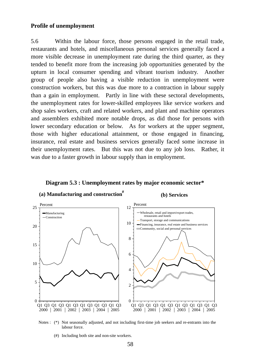#### **Profile of unemployment**

5.6 Within the labour force, those persons engaged in the retail trade, restaurants and hotels, and miscellaneous personal services generally faced a more visible decrease in unemployment rate during the third quarter, as they tended to benefit more from the increasing job opportunities generated by the upturn in local consumer spending and vibrant tourism industry. Another group of people also having a visible reduction in unemployment were construction workers, but this was due more to a contraction in labour supply than a gain in employment. Partly in line with these sectoral developments, the unemployment rates for lower-skilled employees like service workers and shop sales workers, craft and related workers, and plant and machine operators and assemblers exhibited more notable drops, as did those for persons with lower secondary education or below. As for workers at the upper segment, those with higher educational attainment, or those engaged in financing, insurance, real estate and business services generally faced some increase in their unemployment rates. But this was not due to any job loss. Rather, it was due to a faster growth in labour supply than in employment.



#### **Diagram 5.3 : Unemployment rates by major economic sector\***



(#) Including both site and non-site workers.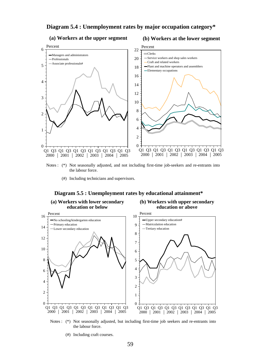#### **Diagram 5.4 : Unemployment rates by major occupation category\***

#### **(a) Workers at the upper segment**

#### **(b) Workers at the lower segment**



- Notes : (\*) Not seasonally adjusted, and not including first-time job-seekers and re-entrants into the labour force.
	- (#) Including technicians and supervisors.

#### **Diagram 5.5 : Unemployment rates by educational attainment\***



- Notes : (\*) Not seasonally adjusted, but including first-time job seekers and re-entrants into the labour force.
	- (#) Including craft courses.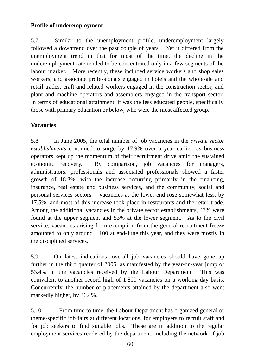## **Profile of underemployment**

5.7 Similar to the unemployment profile, underemployment largely followed a downtrend over the past couple of years. Yet it differed from the unemployment trend in that for most of the time, the decline in the underemployment rate tended to be concentrated only in a few segments of the labour market. More recently, these included service workers and shop sales workers, and associate professionals engaged in hotels and the wholesale and retail trades, craft and related workers engaged in the construction sector, and plant and machine operators and assemblers engaged in the transport sector. In terms of educational attainment, it was the less educated people, specifically those with primary education or below, who were the most affected group.

## **Vacancies**

5.8 In June 2005, the total number of job vacancies in the *private sector establishments* continued to surge by 17.9% over a year earlier, as business operators kept up the momentum of their recruitment drive amid the sustained economic recovery. By comparison, job vacancies for managers, administrators, professionals and associated professionals showed a faster growth of 18.3%, with the increase occurring primarily in the financing, insurance, real estate and business services, and the community, social and personal services sectors. Vacancies at the lower-end rose somewhat less, by 17.5%, and most of this increase took place in restaurants and the retail trade. Among the additional vacancies in the private sector establishments, 47% were found at the upper segment and 53% at the lower segment. As to the civil service, vacancies arising from exemption from the general recruitment freeze amounted to only around 1 100 at end-June this year, and they were mostly in the disciplined services.

5.9 On latest indications, overall job vacancies should have gone up further in the third quarter of 2005, as manifested by the year-on-year jump of 53.4% in the vacancies received by the Labour Department. This was equivalent to another record high of 1 800 vacancies on a working day basis. Concurrently, the number of placements attained by the department also went markedly higher, by 36.4%.

5.10 From time to time, the Labour Department has organized general or theme-specific job fairs at different locations, for employers to recruit staff and for job seekers to find suitable jobs. These are in addition to the regular employment services rendered by the department, including the network of job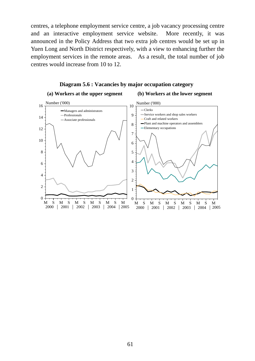centres, a telephone employment service centre, a job vacancy processing centre and an interactive employment service website. More recently, it was announced in the Policy Address that two extra job centres would be set up in Yuen Long and North District respectively, with a view to enhancing further the employment services in the remote areas. As a result, the total number of job centres would increase from 10 to 12.

#### MSMSMSMSMSM 2000 2001 2002 2003 2004 2005  $0 -$ 2 4 6 8 10 12 14  $16 \frac{\text{Number } (000)}{1}$  Managers and administrators Professionals Associate professionals **(a) Workers at the upper segment** MSMSMSMSMSM 2005 2000 | 2001 | 2002 | 2003 | 2004 | 2005 0 1 2 3 4 5 6 7 8 9  $10 \frac{\text{Number } (000)}{1}$  Clerks Service workers and shop sales workers Craft and related workers Plant and machine operators and assemblers -Elementary occupations **(b) Workers at the lower segment**

#### **Diagram 5.6 : Vacancies by major occupation category**

61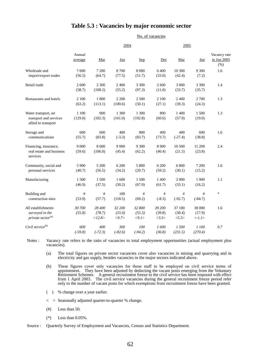#### **Table 5.3 : Vacancies by major economic sector**

|                                                                        |                   |                            |                           |                           | No. of vacancies          |                            |                           |                                     |  |
|------------------------------------------------------------------------|-------------------|----------------------------|---------------------------|---------------------------|---------------------------|----------------------------|---------------------------|-------------------------------------|--|
|                                                                        |                   |                            | 2004                      |                           |                           | 2005                       |                           |                                     |  |
|                                                                        | Annual<br>average | Mar                        | $Jun$                     | Sep                       | Dec                       | Mar                        | $Jun$                     | Vacancy rate<br>in Jun 2005<br>(% ) |  |
| Wholesale and<br>import/export trades                                  | 7600<br>(56.5)    | 7 200<br>(64.7)            | 8700<br>(77.5)            | 8 0 0 0<br>(51.7)         | 6 400<br>(33.0)           | 10 300<br>(42.4)           | 9 300<br>(7.2)            | 1.6                                 |  |
| Retail trade                                                           | 2 600<br>(58.7)   | 2 3 0 0<br>(108.2)         | 2 400<br>(55.2)           | 3 3 0 0<br>(97.3)         | 2 600<br>(11.0)           | 3 000<br>(33.7)            | 3 3 0 0<br>(35.7)         | 1.4                                 |  |
| Restaurants and hotels                                                 | 2 100<br>(63.2)   | 1 800<br>(113.1)           | 2 2 0 0<br>(100.6)        | 2 500<br>(50.1)           | 2 100<br>(27.1)           | 2 400<br>(39.3)            | 2 700<br>(24.3)           | 1.3                                 |  |
| Water transport, air<br>transport and services<br>allied to transport  | 1 100<br>(129.0)  | 900<br>(102.3)             | 1 300<br>(161.0)          | 1 300<br>(192.8)          | 800<br>(60.6)             | 1 400<br>(57.9)            | 1 500<br>(19.0)           | 1.3                                 |  |
| Storage and<br>communications                                          | 600<br>(55.7)     | 600<br>(83.8)              | 400<br>$(-3.3)$           | 800<br>(83.7)             | 400<br>(73.7)             | 400<br>$(-27.4)$           | 600<br>(38.8)             | 1.6                                 |  |
| Financing, insurance,<br>real estate and business<br>services          | 9 0 0 0<br>(59.6) | 8 600<br>(106.0)           | 9 0 0 0<br>(45.4)         | 9 300<br>(62.2)           | 8 9 0 0<br>(40.4)         | 10 500<br>(21.5)           | 11 200<br>(23.8)          | 2.4                                 |  |
| Community, social and<br>personal services                             | 5 900<br>(40.7)   | 5 200<br>(56.5)            | 6 200<br>(34.2)           | 5 800<br>(20.7)           | 6 200<br>(59.2)           | 6 800<br>(30.1)            | 7 200<br>(15.2)           | 1.6                                 |  |
| Manufacturing                                                          | 1 500<br>(46.9)   | 1500<br>(37.5)             | 1 600<br>(30.2)           | 1500<br>(67.0)            | 1 400<br>(61.7)           | 2 000<br>(33.1)            | 1 900<br>(16.2)           | 1.1                                 |  |
| Building and<br>construction sites                                     | #<br>(53.9)       | #<br>(57.7)                | 100<br>(118.5)            | #<br>(69.2)               | #<br>$(-8.3)$             | #<br>$(-92.7)$             | #<br>$(-84.7)$            | $\ast$                              |  |
| All establishments<br>surveyed in the<br>private sector <sup>(a)</sup> | 30 700<br>(55.8)  | 28 400<br>(78.7)<br><12.8> | 32 200<br>(55.0)<br>< 9.7 | 32 800<br>(55.3)<br>< 9.1 | 29 200<br>(39.8)<br><3.5> | 37 100<br>(30.4)<br>< 5.5> | 38 000<br>(17.9)<br><1.1> | 1.6                                 |  |
| Civil service <sup>(b)</sup>                                           | 600<br>$(-59.8)$  | 400<br>$(-72.3)$           | 300<br>$(-82.6)$          | 100<br>$(-94.2)$          | 1600<br>(36.8)            | 1500<br>(231.5)            | 1 100<br>(270.4)          | 0.7                                 |  |

Notes : Vacancy rate refers to the ratio of vacancies to total employment opportunities (actual employment plus vacancies).

(a) The total figures on private sector vacancies cover also vacancies in mining and quarrying and in electricity and gas supply, besides vacancies in the major sectors indicated above.

(b) These figures cover only vacancies for those staff to be employed on civil service terms of appointment. They have been adjusted by deducting the vacant posts emerging from the Voluntary Retirement Schemes. A general recruitment freeze to the civil service has been imposed with effect from 1 April 2003. The civil service vacancies during the general recruitment freeze period refer only to the number of vacant posts for which exemptions from recruitment freeze have been granted.

( ) % change over a year earlier.

< > Seasonally adjusted quarter-to-quarter % change.

- $(\#)$  Less than 50.
- $(*)$  Less than 0.05%.

Source : Quarterly Survey of Employment and Vacancies, Census and Statistics Department.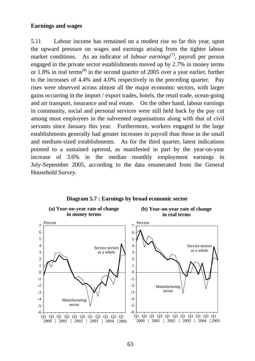#### **Earnings and wages**

5.11 Labour income has remained on a modest rise so far this year, upon the upward pressure on wages and earnings arising from the tighter labour market conditions. As an indicator of *labour earnings*<sup>(7)</sup>, payroll per person engaged in the private sector establishments moved up by 2.7% in money terms or 1.8% in real terms<sup> $(8)$ </sup> in the second quarter of 2005 over a year earlier, further to the increases of 4.4% and 4.0% respectively in the preceding quarter. Pay rises were observed across almost all the major economic sectors, with larger gains occurring in the import / export trades, hotels, the retail trade, ocean-going and air transport, insurance and real estate. On the other hand, labour earnings in community, social and personal services were still held back by the pay cut among most employees in the subvented organisations along with that of civil servants since January this year. Furthermore, workers engaged in the large establishments generally had greater increases in payroll than those in the small and medium-sized establishments. As for the third quarter, latest indications pointed to a sustained uptrend, as manifested in part by the year-on-year increase of 3.6% in the median monthly employment earnings in July-September 2005, according to the data enumerated from the General Household Survey.



**Diagram 5.7 : Earnings by broad economic sector**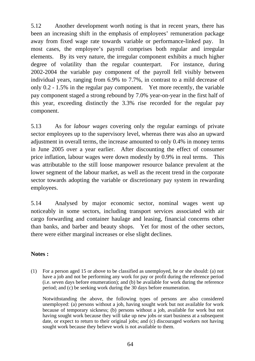5.12 Another development worth noting is that in recent years, there has been an increasing shift in the emphasis of employees' remuneration package away from fixed wage rate towards variable or performance-linked pay. In most cases, the employee's payroll comprises both regular and irregular elements. By its very nature, the irregular component exhibits a much higher degree of volatility than the regular counterpart. For instance, during 2002-2004 the variable pay component of the payroll fell visibly between individual years, ranging from 6.9% to 7.7%, in contrast to a mild decrease of only 0.2 - 1.5% in the regular pay component. Yet more recently, the variable pay component staged a strong rebound by 7.0% year-on-year in the first half of this year, exceeding distinctly the 3.3% rise recorded for the regular pay component.

5.13 As for *labour wages* covering only the regular earnings of private sector employees up to the supervisory level, whereas there was also an upward adjustment in overall terms, the increase amounted to only 0.4% in money terms in June 2005 over a year earlier. After discounting the effect of consumer price inflation, labour wages were down modestly by 0.9% in real terms. This was attributable to the still loose manpower resource balance prevalent at the lower segment of the labour market, as well as the recent trend in the corporate sector towards adopting the variable or discretionary pay system in rewarding employees.

5.14 Analysed by major economic sector, nominal wages went up noticeably in some sectors, including transport services associated with air cargo forwarding and container haulage and leasing, financial concerns other than banks, and barber and beauty shops. Yet for most of the other sectors, there were either marginal increases or else slight declines.

## **Notes :**

(1) For a person aged 15 or above to be classified as unemployed, he or she should: (a) not have a job and not be performing any work for pay or profit during the reference period (i.e. seven days before enumeration); and (b) be available for work during the reference period; and (c) be seeking work during the 30 days before enumeration.

 Notwithstanding the above, the following types of persons are also considered unemployed: (a) persons without a job, having sought work but not available for work because of temporary sickness; (b) persons without a job, available for work but not having sought work because they will take up new jobs or start business at a subsequent date, or expect to return to their original jobs; and (c) discouraged workers not having sought work because they believe work is not available to them.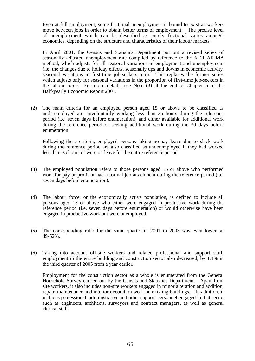Even at full employment, some frictional unemployment is bound to exist as workers move between jobs in order to obtain better terms of employment. The precise level of unemployment which can be described as purely frictional varies amongst economies, depending on the structure and characteristics of their labour markets.

 In April 2001, the Census and Statistics Department put out a revised series of seasonally adjusted unemployment rate compiled by reference to the X-11 ARIMA method, which adjusts for all seasonal variations in employment and unemployment (i.e. the changes due to holiday effects, seasonally ups and downs in economic activity, seasonal variations in first-time job-seekers, etc). This replaces the former series which adjusts only for seasonal variations in the proportion of first-time job-seekers in the labour force. For more details, see Note (3) at the end of Chapter 5 of the Half-yearly Economic Report 2001.

(2) The main criteria for an employed person aged 15 or above to be classified as underemployed are: involuntarily working less than 35 hours during the reference period (i.e. seven days before enumeration), and either available for additional work during the reference period or seeking additional work during the 30 days before enumeration.

 Following these criteria, employed persons taking no-pay leave due to slack work during the reference period are also classified as underemployed if they had worked less than 35 hours or were on leave for the entire reference period.

- (3) The employed population refers to those persons aged 15 or above who performed work for pay or profit or had a formal job attachment during the reference period (i.e. seven days before enumeration).
- (4) The labour force, or the economically active population, is defined to include all persons aged 15 or above who either were engaged in productive work during the reference period (i.e. seven days before enumeration) or would otherwise have been engaged in productive work but were unemployed.
- (5) The corresponding ratio for the same quarter in 2001 to 2003 was even lower, at 49-52%.
- (6) Taking into account off-site workers and related professional and support staff, employment in the entire building and construction sector also decreased, by 1.1% in the third quarter of 2005 from a year earlier.

 Employment for the construction sector as a whole is enumerated from the General Household Survey carried out by the Census and Statistics Department. Apart from site workers, it also includes non-site workers engaged in minor alteration and addition, repair, maintenance and interior decoration work on existing buildings. In addition, it includes professional, administrative and other support personnel engaged in that sector, such as engineers, architects, surveyors and contract managers, as well as general clerical staff.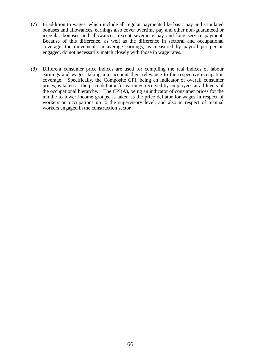- (7) In addition to wages, which include all regular payments like basic pay and stipulated bonuses and allowances, earnings also cover overtime pay and other non-guaranteed or irregular bonuses and allowances, except severance pay and long service payment. Because of this difference, as well as the difference in sectoral and occupational coverage, the movements in average earnings, as measured by payroll per person engaged, do not necessarily match closely with those in wage rates.
- (8) Different consumer price indices are used for compiling the real indices of labour earnings and wages, taking into account their relevance to the respective occupation coverage. Specifically, the Composite CPI, being an indicator of overall consumer prices, is taken as the price deflator for earnings received by employees at all levels of the occupational hierarchy. The CPI(A), being an indicator of consumer prices for the middle to lower income groups, is taken as the price deflator for wages in respect of workers on occupations up to the supervisory level, and also in respect of manual workers engaged in the construction sector.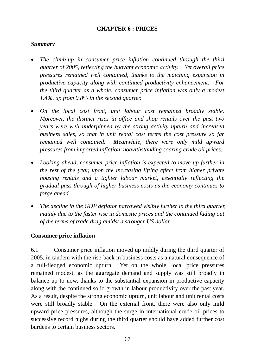## **CHAPTER 6 : PRICES**

## *Summary*

- *The climb-up in consumer price inflation continued through the third quarter of 2005, reflecting the buoyant economic activity. Yet overall price pressures remained well contained, thanks to the matching expansion in productive capacity along with continued productivity enhancement. For the third quarter as a whole, consumer price inflation was only a modest 1.4%, up from 0.8% in the second quarter.*
- *On the local cost front, unit labour cost remained broadly stable. Moreover, the distinct rises in office and shop rentals over the past two years were well underpinned by the strong activity upturn and increased business sales, so that in unit rental cost terms the cost pressure so far remained well contained. Meanwhile, there were only mild upward pressures from imported inflation, notwithstanding soaring crude oil prices.*
- *Looking ahead, consumer price inflation is expected to move up further in the rest of the year, upon the increasing lifting effect from higher private housing rentals and a tighter labour market, essentially reflecting the gradual pass-through of higher business costs as the economy continues to forge ahead.*
- *The decline in the GDP deflator narrowed visibly further in the third quarter, mainly due to the faster rise in domestic prices and the continued fading out of the terms of trade drag amidst a stronger US dollar.*

## **Consumer price inflation**

6.1 Consumer price inflation moved up mildly during the third quarter of 2005, in tandem with the rise-back in business costs as a natural consequence of a full-fledged economic upturn. Yet on the whole, local price pressures remained modest, as the aggregate demand and supply was still broadly in balance up to now, thanks to the substantial expansion in productive capacity along with the continued solid growth in labour productivity over the past year. As a result, despite the strong economic upturn, unit labour and unit rental costs were still broadly stable. On the external front, there were also only mild upward price pressures, although the surge in international crude oil prices to successive record highs during the third quarter should have added further cost burdens to certain business sectors.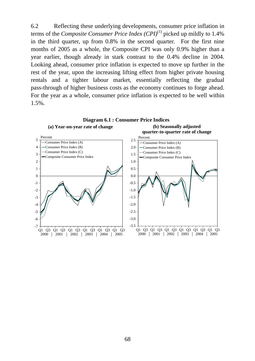6.2 Reflecting these underlying developments, consumer price inflation in terms of the *Composite Consumer Price Index (CPI)*(1) picked up mildly to 1.4% in the third quarter, up from 0.8% in the second quarter. For the first nine months of 2005 as a whole, the Composite CPI was only 0.9% higher than a year earlier, though already in stark contrast to the 0.4% decline in 2004. Looking ahead, consumer price inflation is expected to move up further in the rest of the year, upon the increasing lifting effect from higher private housing rentals and a tighter labour market, essentially reflecting the gradual pass-through of higher business costs as the economy continues to forge ahead. For the year as a whole, consumer price inflation is expected to be well within 1.5%.

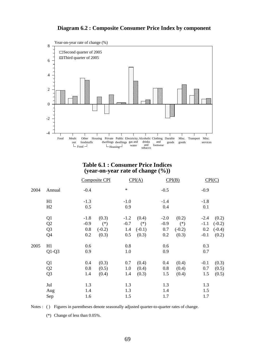### **Diagram 6.2 : Composite Consumer Price Index by component**



#### **Table 6.1 : Consumer Price Indices (year-on-year rate of change (%))**

|      |                |        | Composite CPI |        | CPI(A)   |        | CPI(B)   |        | CPI(C)   |
|------|----------------|--------|---------------|--------|----------|--------|----------|--------|----------|
| 2004 | Annual         | $-0.4$ |               | $\ast$ |          | $-0.5$ |          | $-0.9$ |          |
|      | H1             | $-1.3$ |               | $-1.0$ |          | $-1.4$ |          | $-1.8$ |          |
|      | H2             | 0.5    |               | 0.9    |          | 0.4    |          | 0.1    |          |
|      | Q1             | $-1.8$ | (0.3)         | $-1.2$ | (0.4)    | $-2.0$ | (0.2)    | $-2.4$ | (0.2)    |
|      | Q2             | $-0.9$ | $(*)$         | $-0.7$ | $(*)$    | $-0.9$ | $(*)$    | $-1.1$ | $(-0.2)$ |
|      | Q <sub>3</sub> | 0.8    | $(-0.2)$      | 1.4    | $(-0.1)$ | 0.7    | $(-0.2)$ | 0.2    | $(-0.4)$ |
|      | Q4             | 0.2    | (0.3)         | 0.5    | (0.3)    | 0.2    | (0.3)    | $-0.1$ | (0.2)    |
| 2005 | H1             | 0.6    |               | 0.8    |          | 0.6    |          | 0.3    |          |
|      | $Q1-Q3$        | 0.9    |               | 1.0    |          | 0.9    |          | 0.7    |          |
|      | Q1             | 0.4    | (0.3)         | 0.7    | (0.4)    | 0.4    | (0.4)    | $-0.1$ | (0.3)    |
|      | Q2             | 0.8    | (0.5)         | 1.0    | (0.4)    | 0.8    | (0.4)    | 0.7    | (0.5)    |
|      | Q <sub>3</sub> | 1.4    | (0.4)         | 1.4    | (0.3)    | 1.5    | (0.4)    | 1.5    | (0.5)    |
|      | Jul            | 1.3    |               | 1.3    |          | 1.3    |          | 1.3    |          |
|      | Aug            | 1.4    |               | 1.3    |          | 1.4    |          | 1.5    |          |
|      | Sep            | 1.6    |               | 1.5    |          | 1.7    |          | 1.7    |          |

Notes : ( ) Figures in parentheses denote seasonally adjusted quarter-to-quarter rates of change.

(\*) Change of less than 0.05%.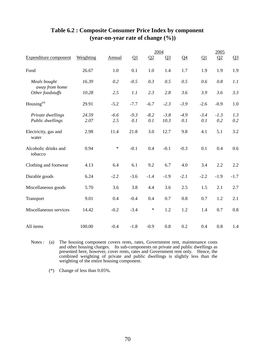|                                       |               |               |               |               | 2004           |                |               | 2005          |                |
|---------------------------------------|---------------|---------------|---------------|---------------|----------------|----------------|---------------|---------------|----------------|
| <b>Expenditure component</b>          | Weighting     | <b>Annual</b> | Q1            | Q2            | $Q_3$          | Q <sub>4</sub> | Q1            | Q2            | Q <sub>3</sub> |
| Food                                  | 26.67         | 1.0           | 0.1           | 1.0           | 1.4            | 1.7            | 1.9           | 1.9           | 1.9            |
| Meals bought<br>away from home        | 16.39         | 0.2           | $-0.5$        | 0.3           | 0.5            | 0.5            | 0.6           | 0.8           | 1.1            |
| Other foodstuffs                      | 10.28         | 2.5           | 1.1           | 2.3           | 2.8            | 3.6            | 3.9           | 3.6           | 3.3            |
| Housing $(a)$                         | 29.91         | $-5.2$        | $-7.7$        | $-6.7$        | $-2.3$         | $-3.9$         | $-2.6$        | $-0.9$        | 1.0            |
| Private dwellings<br>Public dwellings | 24.59<br>2.07 | $-6.6$<br>2.5 | $-9.3$<br>0.1 | $-8.2$<br>0.1 | $-3.8$<br>10.3 | $-4.9$<br>0.1  | $-3.4$<br>0.1 | $-1.3$<br>0.2 | 1.3<br>0.2     |
| Electricity, gas and<br>water         | 2.98          | 11.4          | 21.8          | 3.0           | 12.7           | 9.8            | 4.1           | 5.1           | 3.2            |
| Alcoholic drinks and<br>tobacco       | 0.94          | $\ast$        | $-0.1$        | 0.4           | $-0.1$         | $-0.3$         | 0.1           | 0.4           | 0.6            |
| Clothing and footwear                 | 4.13          | 6.4           | 6.1           | 9.2           | 6.7            | 4.0            | 3.4           | 2.2           | 2.2            |
| Durable goods                         | 6.24          | $-2.2$        | $-3.6$        | $-1.4$        | $-1.9$         | $-2.1$         | $-2.2$        | $-1.9$        | $-1.7$         |
| Miscellaneous goods                   | 5.70          | 3.6           | 3.8           | 4.4           | 3.6            | 2.5            | 1.5           | 2.1           | 2.7            |
| Transport                             | 9.01          | 0.4           | $-0.4$        | 0.4           | 0.7            | 0.8            | 0.7           | 1.2           | 2.1            |
| Miscellaneous services                | 14.42         | $-0.2$        | $-3.4$        | $\ast$        | 1.2            | 1.2            | 1.4           | 0.7           | 0.8            |
| All items                             | 100.00        | $-0.4$        | $-1.8$        | $-0.9$        | 0.8            | 0.2            | 0.4           | 0.8           | 1.4            |

## **Table 6.2 : Composite Consumer Price Index by component (year-on-year rate of change (%))**

Notes : (a) The housing component covers rents, rates, Government rent, maintenance costs and other housing charges. Its sub-components on private and public dwellings as presented here, however, cover rents, rates and Government rent only. Hence, the combined weighting of private and public dwellings is slightly less than the weighting of the entire housing component.

(\*) Change of less than 0.05%.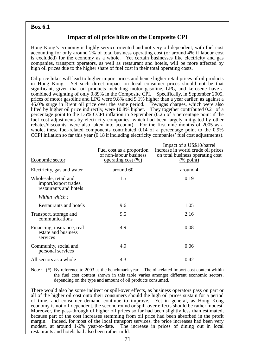### **Box 6.1**

### **Impact of oil price hikes on the Composite CPI**

Hong Kong's economy is highly service-oriented and not very oil-dependent, with fuel cost accounting for only around 2% of total business operating cost (or around 4% if labour cost is excluded) for the economy as a whole. Yet certain businesses like electricity and gas companies, transport operators, as well as restaurant and hotels, will be more affected by high oil prices due to the higher share of fuel cost in their total operating costs.

Oil price hikes will lead to higher import prices and hence higher retail prices of oil products in Hong Kong. Yet such direct impact on local consumer prices should not be that significant, given that oil products including motor gasoline, LPG, and kerosene have a combined weighting of only 0.89% in the Composite CPI. Specifically, in September 2005, prices of motor gasoline and LPG were 9.8% and 9.1% higher than a year earlier, as against a 46.0% surge in Brent oil price over the same period. Towngas charges, which were also lifted by higher oil price indirectly, were 10.8% higher. They together contributed 0.21 of a percentage point to the 1.6% CCPI inflation in September (0.25 of a percentage point if the fuel cost adjustments by electricity companies, which had been largely mitigated by other rebates/discounts, were also taken into account). For the first nine months of 2005 as a whole, these fuel-related components contributed 0.14 of a percentage point to the 0.9% CCPI inflation so far this year (0.18 if including electricity companies' fuel cost adjustments).

| Economic sector                                                          | Fuel cost as a proportion<br>of non-labour business<br><u>operating cost <math>(\%)</math></u> | Impact of a US\$10/barrel<br>increase in world crude oil prices<br>on total business operating cost<br>$\frac{(\% \text{ point})}{(\% \text{ point})}$ |
|--------------------------------------------------------------------------|------------------------------------------------------------------------------------------------|--------------------------------------------------------------------------------------------------------------------------------------------------------|
| Electricity, gas and water                                               | around 60                                                                                      | around 4                                                                                                                                               |
| Wholesale, retail and<br>import/export trades,<br>restaurants and hotels | 1.5                                                                                            | 0.19                                                                                                                                                   |
| Within which:                                                            |                                                                                                |                                                                                                                                                        |
| Restaurants and hotels                                                   | 9.6                                                                                            | 1.05                                                                                                                                                   |
| Transport, storage and<br>communications                                 | 9.5                                                                                            | 2.16                                                                                                                                                   |
| Financing, insurance, real<br>estate and business<br>services            | 4.9                                                                                            | 0.08                                                                                                                                                   |
| Community, social and<br>personal services                               | 4.9                                                                                            | 0.06                                                                                                                                                   |
| All sectors as a whole                                                   | 4.3                                                                                            | 0.42                                                                                                                                                   |

Note : (\*) By reference to 2003 as the benchmark year. The oil-related import cost content within the fuel cost content shown in this table varies amongst different economic sectors, depending on the type and amount of oil products consumed.

There would also be some indirect or spill-over effects, as business operators pass on part or all of the higher oil cost onto their consumers should the high oil prices sustain for a period of time, and consumer demand continue to improve. Yet in general, as Hong Kong economy is not oil-dependent, the second round or spill-over effects should be rather modest. Moreover, the pass-through of higher oil prices so far had been slightly less than estimated, because part of the cost increases stemming from oil price had been absorbed in the profit margin. Indeed, for most of the local transport services, the price increases had been very modest, at around 1-2% year-to-date. The increase in prices of dining out in local restaurants and hotels had also been rather mild.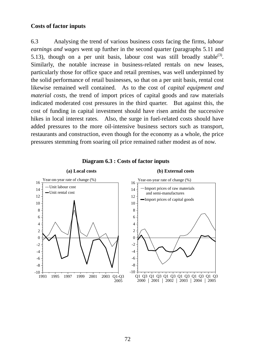### **Costs of factor inputs**

6.3 Analysing the trend of various business costs facing the firms, *labour earnings and wages* went up further in the second quarter (paragraphs 5.11 and 5.13), though on a per unit basis, labour cost was still broadly stable<sup>(3)</sup>. Similarly, the notable increase in business-related rentals on new leases, particularly those for office space and retail premises, was well underpinned by the solid performance of retail businesses, so that on a per unit basis, rental cost likewise remained well contained. As to the cost of *capital equipment and material costs*, the trend of import prices of capital goods and raw materials indicated moderated cost pressures in the third quarter. But against this, the cost of funding in capital investment should have risen amidst the successive hikes in local interest rates. Also, the surge in fuel-related costs should have added pressures to the more oil-intensive business sectors such as transport, restaurants and construction, even though for the economy as a whole, the price pressures stemming from soaring oil price remained rather modest as of now.



**Diagram 6.3 : Costs of factor inputs**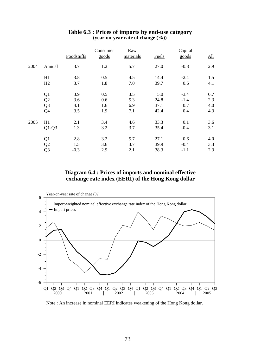|      |                | Foodstuffs | Consumer<br>goods | Raw<br>materials | <b>Fuels</b> | Capital<br>goods | $\underline{\mathrm{All}}$ |
|------|----------------|------------|-------------------|------------------|--------------|------------------|----------------------------|
| 2004 | Annual         | 3.7        | 1.2               | 5.7              | 27.0         | $-0.8$           | 2.9                        |
|      | H1             | 3.8        | 0.5               | 4.5              | 14.4         | $-2.4$           | 1.5                        |
|      | H2             | 3.7        | 1.8               | 7.0              | 39.7         | 0.6              | 4.1                        |
|      | Q <sub>1</sub> | 3.9        | 0.5               | 3.5              | 5.0          | $-3.4$           | 0.7                        |
|      | Q2             | 3.6        | 0.6               | 5.3              | 24.8         | $-1.4$           | 2.3                        |
|      | Q <sub>3</sub> | 4.1        | 1.6               | 6.9              | 37.1         | 0.7              | 4.0                        |
|      | Q4             | 3.5        | 1.9               | 7.1              | 42.4         | 0.4              | 4.3                        |
| 2005 | H1             | 2.1        | 3.4               | 4.6              | 33.3         | 0.1              | 3.6                        |
|      | $Q1-Q3$        | 1.3        | 3.2               | 3.7              | 35.4         | $-0.4$           | 3.1                        |
|      | Q1             | 2.8        | 3.2               | 5.7              | 27.1         | 0.6              | 4.0                        |
|      | Q <sub>2</sub> | 1.5        | 3.6               | 3.7              | 39.9         | $-0.4$           | 3.3                        |
|      | Q <sub>3</sub> | $-0.3$     | 2.9               | 2.1              | 38.3         | $-1.1$           | 2.3                        |

#### **Table 6.3 : Prices of imports by end-use category (year-on-year rate of change (%))**

### **Diagram 6.4 : Prices of imports and nominal effective exchange rate index (EERI) of the Hong Kong dollar**



Note : An increase in nominal EERI indicates weakening of the Hong Kong dollar.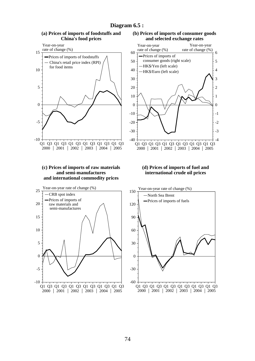

#### **Diagram 6.5 :**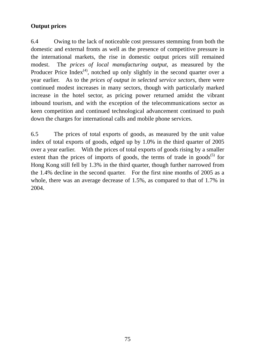## **Output prices**

6.4 Owing to the lack of noticeable cost pressures stemming from both the domestic and external fronts as well as the presence of competitive pressure in the international markets, the rise in domestic output prices still remained modest. The *prices of local manufacturing output*, as measured by the Producer Price Index<sup>(4)</sup>, notched up only slightly in the second quarter over a year earlier. As to the *prices of output in selected service sectors*, there were continued modest increases in many sectors, though with particularly marked increase in the hotel sector, as pricing power returned amidst the vibrant inbound tourism, and with the exception of the telecommunications sector as keen competition and continued technological advancement continued to push down the charges for international calls and mobile phone services.

6.5 The prices of total exports of goods, as measured by the unit value index of total exports of goods, edged up by 1.0% in the third quarter of 2005 over a year earlier. With the prices of total exports of goods rising by a smaller extent than the prices of imports of goods, the terms of trade in goods<sup>(5)</sup> for Hong Kong still fell by 1.3% in the third quarter, though further narrowed from the 1.4% decline in the second quarter. For the first nine months of 2005 as a whole, there was an average decrease of 1.5%, as compared to that of 1.7% in 2004.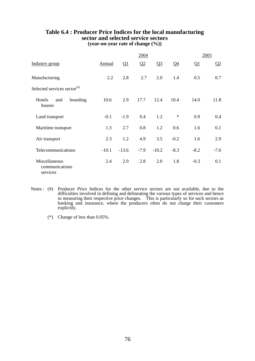|                                                                      |         |          | 2004   |                |        |          | 2005     |
|----------------------------------------------------------------------|---------|----------|--------|----------------|--------|----------|----------|
| Industry group                                                       | Annual  | $\Omega$ | Q2     | Q <sub>3</sub> | $Q_4$  | $\Omega$ | $\Omega$ |
| Manufacturing                                                        | 2.2     | 2.8      | 2.7    | 2.0            | 1.4    | 0.5      | 0.7      |
| Selected services sector $($ <sup><math>#</math><math>)</math></sup> |         |          |        |                |        |          |          |
| Hotels<br>boarding<br>and<br>houses                                  | 10.6    | 2.9      | 17.7   | 12.4           | 10.4   | 14.0     | 11.8     |
| Land transport                                                       | $-0.1$  | $-1.9$   | 0.4    | 1.2            | $\ast$ | 0.9      | 0.4      |
| Maritime transport                                                   | 1.3     | 2.7      | 0.8    | 1.2            | 0.6    | 1.6      | 0.1      |
| Air transport                                                        | 2.3     | 1.2      | 4.9    | 3.5            | $-0.2$ | 1.6      | 2.9      |
| Telecommunications                                                   | $-10.1$ | $-13.6$  | $-7.9$ | $-10.2$        | $-8.3$ | $-8.2$   | $-7.6$   |
| Miscellaneous<br>communications<br>services                          | 2.4     | 2.9      | 2.8    | 2.0            | 1.8    | $-0.3$   | 0.1      |

#### **Table 6.4 : Producer Price Indices for the local manufacturing sector and selected service sectors (year-on-year rate of change (%))**

- Notes : (#) Producer Price Indices for the other service sectors are not available, due to the difficulties involved in defining and delineating the various types of services and hence in measuring their respective price changes. This is particularly so for such sectors as banking and insurance, where the producers often do not charge their customers explicitly.
	- (\*) Change of less than 0.05%.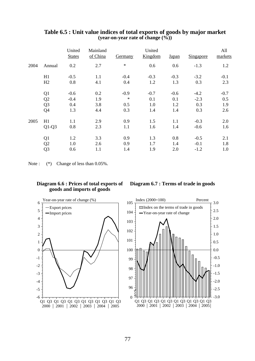|      |                                  | United<br><b>States</b>        | Mainland<br>of China     | Germany                        | United<br>Kingdom           | Japan                       | Singapore                      | All<br>markets              |
|------|----------------------------------|--------------------------------|--------------------------|--------------------------------|-----------------------------|-----------------------------|--------------------------------|-----------------------------|
| 2004 | Annual                           | 0.2                            | 2.7                      | $\ast$                         | 0.6                         | 0.6                         | $-1.3$                         | 1.2                         |
|      | H1<br>H2                         | $-0.5$<br>0.8                  | 1.1<br>4.1               | $-0.4$<br>0.4                  | $-0.3$<br>1.2               | $-0.3$<br>1.3               | $-3.2$<br>0.3                  | $-0.1$<br>2.3               |
|      | Q1<br>Q2<br>Q <sub>3</sub><br>Q4 | $-0.6$<br>$-0.4$<br>0.4<br>1.3 | 0.2<br>1.9<br>3.8<br>4.4 | $-0.9$<br>$\ast$<br>0.5<br>0.3 | $-0.7$<br>0.1<br>1.0<br>1.4 | $-0.6$<br>0.1<br>1.2<br>1.4 | $-4.2$<br>$-2.3$<br>0.3<br>0.3 | $-0.7$<br>0.5<br>1.9<br>2.6 |
| 2005 | H1<br>$Q1-Q3$                    | 1.1<br>0.8<br>1.2              | 2.9<br>2.3<br>3.3        | 0.9<br>1.1<br>0.9              | 1.5<br>1.6<br>1.3           | 1.1<br>1.4<br>0.8           | $-0.3$<br>$-0.6$<br>$-0.5$     | 2.0<br>1.6<br>2.1           |
|      | Q1<br>Q2<br>Q <sub>3</sub>       | 1.0<br>0.6                     | 2.6<br>1.1               | 0.9<br>1.4                     | 1.7<br>1.9                  | 1.4<br>2.0                  | $-0.1$<br>$-1.2$               | 1.8<br>1.0                  |

#### **Table 6.5 : Unit value indices of total exports of goods by major market (year-on-year rate of change (%))**

Note :  $(*)$  Change of less than 0.05%.

#### **Diagram 6.6 : Prices of total exports of goods and imports of goods**

#### **Diagram 6.7 : Terms of trade in goods**



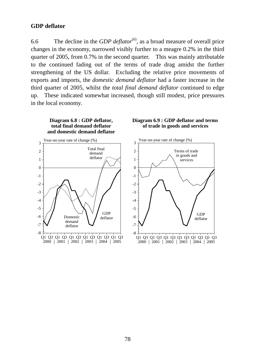### **GDP deflator**

6.6 The decline in the *GDP deflator*(6), as a broad measure of overall price changes in the economy, narrowed visibly further to a meagre 0.2% in the third quarter of 2005, from 0.7% in the second quarter. This was mainly attributable to the continued fading out of the terms of trade drag amidst the further strengthening of the US dollar. Excluding the relative price movements of exports and imports, the *domestic demand deflator* had a faster increase in the third quarter of 2005, whilst the *total final demand deflator* continued to edge up. These indicated somewhat increased, though still modest, price pressures in the local economy.

**total final demand deflator and domestic demand deflator** Q1 Q3 Q1 Q3 Q1 Q3 Q1 Q3 Q1 Q3 Q1 Q3  $2000$  | 2001 | 2002 | 2003 | 2004 | 2005 0 1 2 3 -1 -2 -3 -4 -5 -6 -7 -8 Year-on-year rate of change (%) GDP<br>deflator Domestic demand deflator Total final demand deflator

**Diagram 6.8 : GDP deflator,**



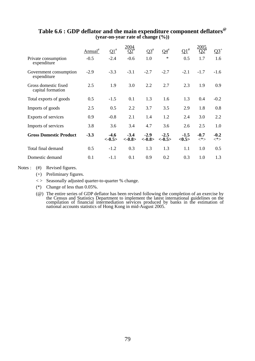|                                           | ${\rm Annual}^{\#}$ | $\Omega_1^*$       | 2004                | $Q3^{\#}$           | $Q4^{\#}$          | $Q1^{\#}$                 |                  | $Q_2^+$          |
|-------------------------------------------|---------------------|--------------------|---------------------|---------------------|--------------------|---------------------------|------------------|------------------|
| Private consumption<br>expenditure        | $-0.5$              | $-2.4$             | $-0.6$              | 1.0                 | $\ast$             | 0.5                       | 1.7              | 1.6              |
| Government consumption<br>expenditure     | $-2.9$              | $-3.3$             | $-3.1$              | $-2.7$              | $-2.7$             | $-2.1$                    | $-1.7$           | $-1.6$           |
| Gross domestic fixed<br>capital formation | 2.5                 | 1.9                | 3.0                 | 2.2                 | 2.7                | 2.3                       | 1.9              | 0.9              |
| Total exports of goods                    | 0.5                 | $-1.5$             | 0.1                 | 1.3                 | 1.6                | 1.3                       | 0.4              | $-0.2$           |
| Imports of goods                          | 2.5                 | 0.5                | 2.2                 | 3.7                 | 3.5                | 2.9                       | 1.8              | 0.8              |
| Exports of services                       | 0.9                 | $-0.8$             | 2.1                 | 1.4                 | 1.2                | 2.4                       | 3.0              | 2.2              |
| Imports of services                       | 3.8                 | 3.6                | 3.4                 | 4.7                 | 3.6                | 2.6                       | 2.5              | 1.0              |
| <b>Gross Domestic Product</b>             | $-3.3$              | $-4.6$<br>$<-0.5>$ | $-3.4$<br>$< -0.8>$ | $-2.9$<br>$< -0.8>$ | $-2.5$<br>$<-0.5>$ | $-1.5$<br>$<\!\!0.5\!\!>$ | $-0.7$<br>$<^*>$ | $-0.2$<br>$<^*>$ |
| Total final demand                        | 0.5                 | $-1.2$             | 0.3                 | 1.3                 | 1.3                | 1.1                       | 1.0              | 0.5              |
| Domestic demand                           | 0.1                 | $-1.1$             | 0.1                 | 0.9                 | 0.2                | 0.3                       | 1.0              | 1.3              |

### **Table 6.6 : GDP deflator and the main expenditure component deflators@ (year-on-year rate of change (%))**

Notes : (#) Revised figures.

- (+) Preliminary figures.
- $\langle \rangle$  Seasonally adjusted quarter-to-quarter % change.
- (\*) Change of less than 0.05%.
- (@) The entire series of GDP deflator has been revised following the completion of an exercise by the Census and Statistics Department to implement the latest international guidelines on the compilation of financial intermediation services produced by banks in the estimation of national accounts statistics of Hong Kong in mid-August 2005.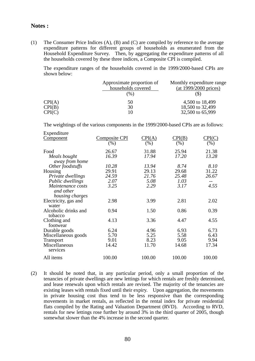#### **Notes :**

(1) The Consumer Price Indices (A), (B) and (C) are compiled by reference to the average expenditure patterns for different groups of households as enumerated from the Household Expenditure Survey. Then, by aggregating the expenditure patterns of all the households covered by these three indices, a Composite CPI is compiled.

 The expenditure ranges of the households covered in the 1999/2000-based CPIs are shown below:

|        | Approximate proportion of<br>households covered | Monthly expenditure range<br>(at 1999/2000 prices) |
|--------|-------------------------------------------------|----------------------------------------------------|
|        | $(\%)$                                          |                                                    |
| CPI(A) | 50                                              | 4,500 to 18,499                                    |
| CPI(B) | 30                                              | 18,500 to 32,499                                   |
| CPI(C) | 10                                              | 32,500 to 65,999                                   |

The weightings of the various components in the 1999/2000-based CPIs are as follows:

| Expenditure          |               |                               |        |        |
|----------------------|---------------|-------------------------------|--------|--------|
| <u>Component</u>     | Composite CPI | $\mathrm{CPI}(\underline{A})$ | CPI(B) | CPI(C) |
|                      | $(\%)$        | (% )                          | (%)    | (% )   |
| Food                 | 26.67         | 31.88                         | 25.94  | 21.38  |
| Meals bought         | 16.39         | 17.94                         | 17.20  | 13.28  |
| away from home       |               |                               |        |        |
| Other foodstuffs     | 10.28         | 13.94                         | 8.74   | 8.10   |
| Housing              | 29.91         | 29.13                         | 29.68  | 31.22  |
| Private dwellings    | 24.59         | 21.76                         | 25.48  | 26.67  |
| Public dwellings     | 2.07          | 5.08                          | 1.03   |        |
| Maintenance costs    | 3.25          | 2.29                          | 3.17   | 4.55   |
| and other            |               |                               |        |        |
| housing charges      |               |                               |        |        |
| Electricity, gas and | 2.98          | 3.99                          | 2.81   | 2.02   |
| water                |               |                               |        |        |
| Alcoholic drinks and | 0.94          | 1.50                          | 0.86   | 0.39   |
| tobacco              |               |                               |        |        |
| Clothing and         | 4.13          | 3.36                          | 4.47   | 4.55   |
| footwear             |               |                               |        |        |
| Durable goods        | 6.24          | 4.96                          | 6.93   | 6.73   |
| Miscellaneous goods  | 5.70          | 5.25                          | 5.58   | 6.43   |
| <b>Transport</b>     | 9.01          | 8.23                          | 9.05   | 9.94   |
| Miscellaneous        | 14.42         | 11.70                         | 14.68  | 17.34  |
| services             |               |                               |        |        |
| All items            | 100.00        | 100.00                        | 100.00 | 100.00 |
|                      |               |                               |        |        |

(2) It should be noted that, in any particular period, only a small proportion of the tenancies of private dwellings are new lettings for which rentals are freshly determined, and lease renewals upon which rentals are revised. The majority of the tenancies are existing leases with rentals fixed until their expiry. Upon aggregation, the movements in private housing cost thus tend to be less responsive than the corresponding movements in market rentals, as reflected in the rental index for private residential flats compiled by the Rating and Valuation Department (RVD). According to RVD, rentals for new lettings rose further by around 3% in the third quarter of 2005, though somewhat slower than the 4% increase in the second quarter.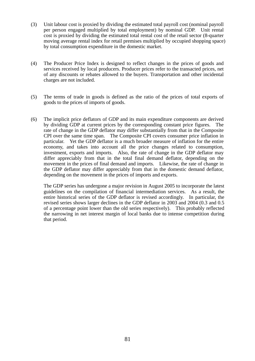- (3) Unit labour cost is proxied by dividing the estimated total payroll cost (nominal payroll per person engaged multiplied by total employment) by nominal GDP. Unit rental cost is proxied by dividing the estimated total rental cost of the retail sector (8-quarter moving average rental index for retail premises multiplied by occupied shopping space) by total consumption expenditure in the domestic market.
- (4) The Producer Price Index is designed to reflect changes in the prices of goods and services received by local producers. Producer prices refer to the transacted prices, net of any discounts or rebates allowed to the buyers. Transportation and other incidental charges are not included.
- (5) The terms of trade in goods is defined as the ratio of the prices of total exports of goods to the prices of imports of goods.
- (6) The implicit price deflators of GDP and its main expenditure components are derived by dividing GDP at current prices by the corresponding constant price figures. The rate of change in the GDP deflator may differ substantially from that in the Composite CPI over the same time span. The Composite CPI covers consumer price inflation in particular. Yet the GDP deflator is a much broader measure of inflation for the entire economy, and takes into account all the price changes related to consumption, investment, exports and imports. Also, the rate of change in the GDP deflator may differ appreciably from that in the total final demand deflator, depending on the movement in the prices of final demand and imports. Likewise, the rate of change in the GDP deflator may differ appreciably from that in the domestic demand deflator, depending on the movement in the prices of imports and exports.

 The GDP series has undergone a major revision in August 2005 to incorporate the latest guidelines on the compilation of financial intermediation services. As a result, the entire historical series of the GDP deflator is revised accordingly. In particular, the revised series shows larger declines in the GDP deflator in 2003 and 2004 (0.3 and 0.5 of a percentage point lower than the old series respectively). This probably reflected the narrowing in net interest margin of local banks due to intense competition during that period.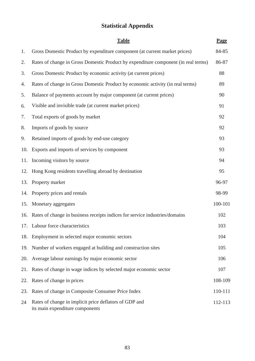# **Statistical Appendix**

|     | <b>Table</b>                                                                              | Page    |
|-----|-------------------------------------------------------------------------------------------|---------|
| 1.  | Gross Domestic Product by expenditure component (at current market prices)                | 84-85   |
| 2.  | Rates of change in Gross Domestic Product by expenditure component (in real terms)        | 86-87   |
| 3.  | Gross Domestic Product by economic activity (at current prices)                           | 88      |
| 4.  | Rates of change in Gross Domestic Product by economic activity (in real terms)            | 89      |
| 5.  | Balance of payments account by major component (at current prices)                        | 90      |
| 6.  | Visible and invisible trade (at current market prices)                                    | 91      |
| 7.  | Total exports of goods by market                                                          | 92      |
| 8.  | Imports of goods by source                                                                | 92      |
| 9.  | Retained imports of goods by end-use category                                             | 93      |
| 10. | Exports and imports of services by component                                              | 93      |
|     | 11. Incoming visitors by source                                                           | 94      |
| 12. | Hong Kong residents travelling abroad by destination                                      | 95      |
| 13. | Property market                                                                           | 96-97   |
| 14. | Property prices and rentals                                                               | 98-99   |
| 15. | Monetary aggregates                                                                       | 100-101 |
|     | 16. Rates of change in business receipts indices for service industries/domains           | 102     |
|     | 17. Labour force characteristics                                                          | 103     |
| 18. | Employment in selected major economic sectors                                             | 104     |
| 19. | Number of workers engaged at building and construction sites                              | 105     |
| 20. | Average labour earnings by major economic sector                                          | 106     |
| 21. | Rates of change in wage indices by selected major economic sector                         | 107     |
|     | 22. Rates of change in prices                                                             | 108-109 |
| 23. | Rates of change in Composite Consumer Price Index                                         | 110-111 |
| 24  | Rates of change in implicit price deflators of GDP and<br>its main expenditure components | 112-113 |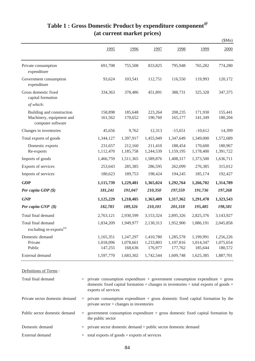|                                                                            |                                   |                                   |                                   |                                   |                                   | \$Mn)                             |
|----------------------------------------------------------------------------|-----------------------------------|-----------------------------------|-----------------------------------|-----------------------------------|-----------------------------------|-----------------------------------|
|                                                                            | 1995                              | 1996                              | 1997                              | 1998                              | 1999                              | 2000                              |
| Private consumption<br>expenditure                                         | 691,708                           | 755,508                           | 833,825                           | 795,948                           | 765,282                           | 774,280                           |
| Government consumption<br>expenditure                                      | 93,624                            | 103,541                           | 112,751                           | 116,550                           | 119,993                           | 120,172                           |
| Gross domestic fixed<br>capital formation                                  | 334,363                           | 378,486                           | 451,891                           | 388,731                           | 325,328                           | 347,375                           |
| of which:                                                                  |                                   |                                   |                                   |                                   |                                   |                                   |
| Building and construction<br>Machinery, equipment and<br>computer software | 158,898<br>161,562                | 185,648<br>170,652                | 223,264<br>190,760                | 208,235<br>165,177                | 171,930<br>141,349                | 155,441<br>180,204                |
| Changes in inventories                                                     | 45,656                            | 9,762                             | 12,313                            | $-15,651$                         | $-10,612$                         | 14,399                            |
| Total exports of goods                                                     | 1,344,127                         | 1,397,917                         | 1,455,949                         | 1,347,649                         | 1,349,000                         | 1,572,689                         |
| Domestic exports<br>Re-exports                                             | 231,657<br>1,112,470              | 212,160<br>1,185,758              | 211,410<br>1,244,539              | 188,454<br>1,159,195              | 170,600<br>1,178,400              | 180,967<br>1,391,722              |
| Imports of goods                                                           | 1,466,759                         | 1,511,365                         | 1,589,876                         | 1,408,317                         | 1,373,500                         | 1,636,711                         |
| Exports of services                                                        | 253,643                           | 285,385                           | 286,595                           | 262,099                           | 276,385                           | 315,012                           |
| Imports of services                                                        | 180,623                           | 189,753                           | 198,424                           | 194,245                           | 185,174                           | 192,427                           |
| <b>GDP</b>                                                                 | 1,115,739                         | 1,229,481                         | 1,365,024                         | 1,292,764                         | 1,266,702                         | 1,314,789                         |
| Per capita GDP $(\$)$                                                      | 181,241                           | 191,047                           | 210,350                           | 197,559                           | 191,736                           | 197,268                           |
| <b>GNP</b>                                                                 | 1,125,229                         | 1,218,405                         | 1,363,409                         | 1,317,362                         | 1,291,470                         | 1,323,543                         |
| Per capita GNP (\$)                                                        | 182,783                           | 189,326                           | 210,101                           | 201,318                           | 195,485                           | 198,581                           |
| Total final demand                                                         | 2,763,121                         | 2,930,599                         | 3,153,324                         | 2,895,326                         | 2,825,376                         | 3,143,927                         |
| Total final demand<br>excluding re-exports <sup>(a)</sup>                  | 1,834,209                         | 1,949,977                         | 2,130,313                         | 1,952,900                         | 1,886,191                         | 2,045,858                         |
| Domestic demand<br>Private<br>Public                                       | 1,165,351<br>1,018,096<br>147,255 | 1,247,297<br>1,078,661<br>168,636 | 1,410,780<br>1,233,803<br>176,977 | 1,285,578<br>1,107,816<br>177,762 | 1,199,991<br>1,014,347<br>185,644 | 1,256,226<br>1,075,654<br>180,572 |
| External demand                                                            | 1,597,770                         | 1,683,302                         | 1,742,544                         | 1,609,748                         | 1,625,385                         | 1,887,701                         |

# **Table 1 : Gross Domestic Product by expenditure component@ (at current market prices)**

Definitions of Terms :

| Total final demand             | $=$ private consumption expenditure + government consumption expenditure + gross<br>domestic fixed capital formation $+$ changes in inventories $+$ total exports of goods $+$<br>exports of services |
|--------------------------------|-------------------------------------------------------------------------------------------------------------------------------------------------------------------------------------------------------|
| Private sector domestic demand | $=$ private consumption expenditure $+$ gross domestic fixed capital formation by the<br>private sector $+$ changes in inventories                                                                    |
| Public sector domestic demand  | $=$ government consumption expenditure $+$ gross domestic fixed capital formation by<br>the public sector                                                                                             |
| Domestic demand                | $=$ private sector domestic demand $+$ public sector domestic demand                                                                                                                                  |
| External demand                | $=$ total exports of goods + exports of services                                                                                                                                                      |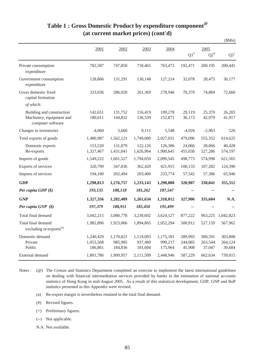|                                                                            |                                   |                                 |                                 |                                 |                              |                              | \$Mn)                        |
|----------------------------------------------------------------------------|-----------------------------------|---------------------------------|---------------------------------|---------------------------------|------------------------------|------------------------------|------------------------------|
|                                                                            | 2001                              | 2002                            | 2003                            | 2004                            |                              | 2005                         |                              |
|                                                                            |                                   |                                 |                                 |                                 | $\mathrm{Q1}^{\#}$           | $\mathrm{Q2}^{\text{\#}}$    | $Q3^+$                       |
| Private consumption<br>expenditure                                         | 782,587                           | 747,850                         | 718,465                         | 763,473                         | 192,471                      | 200,195                      | 200,445                      |
| Government consumption<br>expenditure                                      | 128,866                           | 131,291                         | 130,148                         | 127,214                         | 32,078                       | 28,475                       | 30,177                       |
| Gross domestic fixed<br>capital formation                                  | 333,036                           | 286,020                         | 261,369                         | 278,946                         | 70,370                       | 74,884                       | 72,660                       |
| of which:                                                                  |                                   |                                 |                                 |                                 |                              |                              |                              |
| Building and construction<br>Machinery, equipment and<br>computer software | 142,651<br>180,011                | 131,752<br>144,832              | 116,419<br>136,539              | 109,278<br>152,871              | 29,119<br>36,173             | 25,370<br>42,979             | 26,203<br>41,917             |
| Changes in inventories                                                     | $-4,060$                          | 5,660                           | 9,111                           | 5,548                           | $-4,926$                     | $-2,963$                     | 526                          |
| Total exports of goods                                                     | 1,480,987                         | 1,562,121                       | 1,749,089                       | 2,027,031                       | 479,096                      | 555,352                      | 614,625                      |
| Domestic exports<br>Re-exports                                             | 153,520<br>1,327,467              | 131,079<br>1,431,041            | 122,126<br>1,626,964            | 126,386<br>1,900,645            | 24,066<br>455,030            | 28,066<br>527,286            | 40,428<br>574,197            |
| Imports of goods                                                           | 1,549,222                         | 1,601,527                       | 1,794,059                       | 2,099,545                       | 498,773                      | 574,998                      | 621,565                      |
| Exports of services                                                        | 320,799                           | 347,836                         | 362,420                         | 421,915                         | 108,133                      | 107,282                      | 124,390                      |
| Imports of services                                                        | 194,180                           | 202,494                         | 203,400                         | 233,774                         | 57,542                       | 57,386                       | 65,946                       |
| <b>GDP</b>                                                                 | 1,298,813                         | 1,276,757                       | 1,233,143                       | 1,290,808                       | 320,907                      | 330,841                      | 355,312                      |
| Per capita GDP (\$)                                                        | 193,135                           | 188,118                         | 181,262                         | 187,547                         |                              |                              |                              |
| <b>GNP</b>                                                                 | 1,327,356                         | 1,282,409                       | 1,261,634                       | 1,318,012                       | 327,906                      | 335,604                      | N.A.                         |
| Per capita GNP $(\$)$                                                      | 197,379                           | 188,951                         | 185,450                         | 191,499                         | --                           |                              |                              |
| Total final demand                                                         | 3,042,215                         | 3,080,778                       | 3,230,602                       | 3,624,127                       | 877,222                      | 963,225                      | 1,042,823                    |
| Total final demand<br>excluding re-exports <sup>(a)</sup>                  | 1,982,896                         | 1,923,066                       | 1,894,865                       | 2,052,294                       | 500,912                      | 527,159                      | 567,962                      |
| Domestic demand<br>Private<br>Public                                       | 1,240,429<br>1,053,568<br>186,861 | 1,170,821<br>985,985<br>184,836 | 1,119,093<br>937,489<br>181,604 | 1,175,181<br>999,217<br>175,964 | 289,993<br>244,085<br>45,908 | 300,591<br>263,544<br>37,047 | 303,808<br>264,124<br>39,684 |
| External demand                                                            | 1,801,786                         | 1,909,957                       | 2,111,509                       | 2,448,946                       | 587,229                      | 662,634                      | 739,015                      |

# **Table 1 : Gross Domestic Product by expenditure component@ (at current market prices) (cont'd)**

(@) The Census and Statistics Department completed an exercise to implement the latest international guidelines Notes : on dealing with financial intermediation services provided by banks in the estimation of national accounts statistics of Hong Kong in mid-August 2005. As a result of this statistical development, GDP, GNP and BoP statistics presented in this Appendix were revised.

- (a) Re-export margin is nevertheless retained in the total final demand.
- (#) Revised figures.
- (+) Preliminary figures.
- (--) Not applicable.
- N.A. Not available.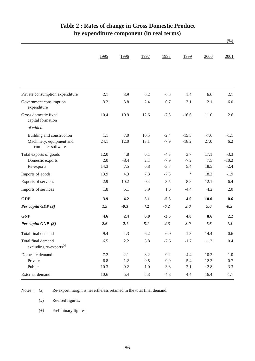|                                                           | 1995 | 1996   | 1997   | 1998   | 1999    | 2000   | 2001    |
|-----------------------------------------------------------|------|--------|--------|--------|---------|--------|---------|
|                                                           |      |        |        |        |         |        |         |
|                                                           |      |        |        |        |         |        |         |
| Private consumption expenditure                           | 2.1  | 3.9    | 6.2    | $-6.6$ | 1.4     | 6.0    | 2.1     |
| Government consumption<br>expenditure                     | 3.2  | 3.8    | 2.4    | 0.7    | 3.1     | 2.1    | 6.0     |
| Gross domestic fixed<br>capital formation                 | 10.4 | 10.9   | 12.6   | $-7.3$ | $-16.6$ | 11.0   | 2.6     |
| of which:                                                 |      |        |        |        |         |        |         |
| Building and construction                                 | 1.1  | 7.0    | 10.5   | $-2.4$ | $-15.5$ | $-7.6$ | $-1.1$  |
| Machinery, equipment and<br>computer software             | 24.1 | 12.0   | 13.1   | $-7.9$ | $-18.2$ | 27.0   | 6.2     |
| Total exports of goods                                    | 12.0 | 4.8    | 6.1    | $-4.3$ | 3.7     | 17.1   | $-3.3$  |
| Domestic exports                                          | 2.0  | $-8.4$ | 2.1    | $-7.9$ | $-7.2$  | 7.5    | $-10.2$ |
| Re-exports                                                | 14.3 | 7.5    | 6.8    | $-3.7$ | 5.4     | 18.5   | $-2.4$  |
| Imports of goods                                          | 13.9 | 4.3    | 7.3    | $-7.3$ | $\ast$  | 18.2   | $-1.9$  |
| Exports of services                                       | 2.9  | 10.2   | $-0.4$ | $-3.5$ | 8.8     | 12.1   | 6.4     |
| Imports of services                                       | 1.8  | 5.1    | 3.9    | 1.6    | $-4.4$  | 4.2    | 2.0     |
| <b>GDP</b>                                                | 3.9  | 4.2    | 5.1    | $-5.5$ | 4.0     | 10.0   | 0.6     |
| Per capita GDP (\$)                                       | 1.9  | $-0.3$ | 4.2    | $-6.2$ | 3.0     | 9.0    | $-0.3$  |
| <b>GNP</b>                                                | 4.6  | 2.4    | 6.0    | $-3.5$ | 4.0     | 8.6    | 2.2     |
| Per capita GNP (\$)                                       | 2.6  | $-2.1$ | 5.1    | $-4.3$ | 3.0     | 7.6    | 1.3     |
| Total final demand                                        | 9.4  | 4.3    | 6.2    | $-6.0$ | 1.3     | 14.4   | $-0.6$  |
| Total final demand<br>excluding re-exports <sup>(a)</sup> | 6.5  | 2.2    | 5.8    | $-7.6$ | $-1.7$  | 11.3   | $0.4\,$ |
| Domestic demand                                           | 7.2  | 2.1    | 8.2    | $-9.2$ | $-4.4$  | 10.3   | 1.0     |
| Private                                                   | 6.8  | 1.2    | 9.5    | $-9.9$ | $-5.4$  | 12.3   | $0.7\,$ |
| Public                                                    | 10.3 | 9.2    | $-1.0$ | $-3.8$ | 2.1     | $-2.8$ | 3.3     |
| External demand                                           | 10.6 | 5.4    | 5.3    | $-4.3$ | 4.4     | 16.4   | $-1.7$  |

# **Table 2 : Rates of change in Gross Domestic Product by expenditure component (in real terms)**

(%)

(a) Re-export margin is nevertheless retained in the total final demand. Notes :

> (#) Revised figures.

(+) Preliminary figures.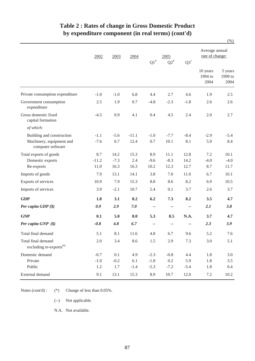|                                                           | 2002    | 2003   | 2004    | $\mathrm{Q1}^{\#}$ | 2005<br>${\rm Q2}^{\text{\#}}$ | $Q3^+$ | Average annual<br>rate of change: |                            |  |
|-----------------------------------------------------------|---------|--------|---------|--------------------|--------------------------------|--------|-----------------------------------|----------------------------|--|
|                                                           |         |        |         |                    |                                |        | 10 years<br>1994 to<br>2004       | 5 years<br>1999 to<br>2004 |  |
| Private consumption expenditure                           | $-1.0$  | $-1.0$ | 6.8     | 4.4                | 2.7                            | 4.6    | 1.9                               | 2.5                        |  |
| Government consumption<br>expenditure                     | 2.5     | 1.9    | 0.7     | $-4.8$             | $-2.3$                         | $-1.8$ | 2.6                               | 2.6                        |  |
| Gross domestic fixed<br>capital formation                 | $-4.5$  | 0.9    | 4.1     | 0.4                | 4.5                            | 2.4    | 2.0                               | 2.7                        |  |
| of which:                                                 |         |        |         |                    |                                |        |                                   |                            |  |
| Building and construction                                 | $-1.1$  | $-5.6$ | $-11.1$ | $-1.0$             | $-7.7$                         | $-8.4$ | $-2.9$                            | $-5.4$                     |  |
| Machinery, equipment and<br>computer software             | $-7.6$  | 6.7    | 12.4    | $0.7\,$            | 10.1                           | 8.1    | 5.9                               | 8.4                        |  |
| Total exports of goods                                    | 8.7     | 14.2   | 15.3    | 8.9                | 11.1                           | 12.8   | 7.2                               | 10.1                       |  |
| Domestic exports                                          | $-11.2$ | $-7.3$ | 2.4     | $-9.6$             | $-8.3$                         | 14.2   | $-4.0$                            | $-4.0$                     |  |
| Re-exports                                                | 11.0    | 16.3   | 16.3    | 10.2               | 12.3                           | 12.7   | 8.7                               | 11.7                       |  |
| Imports of goods                                          | 7.9     | 13.1   | 14.1    | 3.8                | 7.0                            | 11.0   | 6.7                               | 10.1                       |  |
| Exports of services                                       | 10.9    | 7.9    | 15.3    | 8.8                | 8.6                            | 8.2    | 6.9                               | 10.5                       |  |
| Imports of services                                       | 3.9     | $-2.1$ | 10.7    | 5.4                | 0.1                            | 3.7    | 2.6                               | 3.7                        |  |
| <b>GDP</b>                                                | 1.8     | 3.1    | 8.2     | 6.2                | 7.3                            | 8.2    | 3.5                               | 4.7                        |  |
| Per capita GDP (\$)                                       | 0.9     | 2.9    | 7.0     | --                 | $- -$                          | --     | 2.1                               | 3.8                        |  |
| <b>GNP</b>                                                | 0.1     | 5.0    | 8.0     | 5.3                | 8.5                            | N.A.   | 3.7                               | 4.7                        |  |
| Per capita $GNP(S)$                                       | $-0.8$  | 4.8    | 6.7     | --                 | --                             |        | 2.3                               | 3.9                        |  |
| Total final demand                                        | 5.1     | 8.1    | 11.6    | 4.8                | 6.7                            | 9.6    | 5.2                               | 7.6                        |  |
| Total final demand<br>excluding re-exports <sup>(a)</sup> | 2.0     | 3.4    | 8.6     | $1.5\,$            | 2.9                            | 7.3    | 3.0                               | 5.1                        |  |
| Domestic demand                                           | $-0.7$  | 0.1    | 4.9     | $-2.3$             | $-0.8$                         | 4.4    | 1.8                               | 3.0                        |  |
| Private                                                   | $-1.0$  | $-0.2$ | 6.1     | $-1.8$             | 0.2                            | 5.9    | 1.8                               | $3.5$                      |  |
| Public                                                    | 1.2     | 1.7    | $-1.4$  | $-5.3$             | $-7.2$                         | $-5.4$ | 1.8                               | 0.4                        |  |
| External demand                                           | 9.1     | 13.1   | 15.3    | 8.9                | 10.7                           | 12.0   | 7.2                               | $10.2\,$                   |  |

# **Table 2 : Rates of change in Gross Domestic Product by expenditure component (in real terms) (cont'd)**

(%)

Notes (cont'd) : (\*) Change of less than  $0.05\%$ .

(--) Not applicable.

N.A. Not available.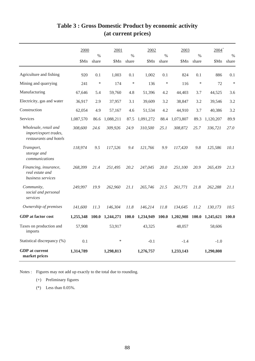|                                                                          | 2000      |               | 2001      |               | 2002      |               | 2003            |               | $2004^{+}$      |               |
|--------------------------------------------------------------------------|-----------|---------------|-----------|---------------|-----------|---------------|-----------------|---------------|-----------------|---------------|
|                                                                          | \$Mn      | $\%$<br>share | \$Mn      | $\%$<br>share | \$Mn      | $\%$<br>share | \$Mn            | $\%$<br>share | \$Mn            | $\%$<br>share |
| Agriculture and fishing                                                  | 920       | 0.1           | 1,003     | 0.1           | 1,002     | 0.1           | 824             | 0.1           | 886             | 0.1           |
| Mining and quarrying                                                     | 241       | $\ast$        | 174       | $\ast$        | 136       | $\ast$        | 116             | $\ast$        | 72              | $\ast$        |
| Manufacturing                                                            | 67,646    | 5.4           | 59,760    | 4.8           | 51,396    | 4.2           | 44,403          | 3.7           | 44,525          | 3.6           |
| Electricity, gas and water                                               | 36,917    | 2.9           | 37,957    | 3.1           | 39,609    | 3.2           | 38,847          | 3.2           | 39,546          | 3.2           |
| Construction                                                             | 62,054    | 4.9           | 57,167    | 4.6           | 51,534    | 4.2           | 44,910          | 3.7           | 40,386          | 3.2           |
| <b>Services</b>                                                          | 1,087,570 | 86.6          | 1,088,211 | 87.5          | 1,091,272 | 88.4          | 1,073,807       | 89.3          | 1,120,207       | 89.9          |
| Wholesale, retail and<br>import/export trades,<br>restaurants and hotels | 308,600   | 24.6          | 309,926   | 24.9          | 310,500   | 25.1          | 308,872         | 25.7          | 336,721         | 27.0          |
| Transport,<br>storage and<br>communications                              | 118,974   | 9.5           | 117,526   | 9.4           | 121,766   | 9.9           | 117,420         | 9.8           | 125,586         | 10.1          |
| Financing, insurance,<br>real estate and<br>business services            | 268,399   | 21.4          | 251,495   | 20.2          | 247,045   | 20.0          | 251,100         | 20.9          | 265,439         | 21.3          |
| Community,<br>social and personal<br>services                            | 249,997   | 19.9          | 262,960   | 21.1          | 265,746   | 21.5          | 261,771         | 21.8          | 262,288         | 21.1          |
| Ownership of premises                                                    | 141,600   | 11.3          | 146,304   | 11.8          | 146,214   | 11.8          | 134,645         | 11.2          | 130,173         | 10.5          |
| <b>GDP</b> at factor cost                                                | 1,255,348 | 100.0         | 1,244,271 | 100.0         | 1,234,949 |               | 100.0 1,202,908 |               | 100.0 1,245,621 | 100.0         |
| Taxes on production and<br>imports                                       | 57,908    |               | 53,917    |               | 43,325    |               | 48,057          |               | 58,606          |               |
| Statistical discrepancy (%)                                              | 0.1       |               | $\ast$    |               | $-0.1$    |               | $-1.4$          |               | $-1.0$          |               |
| <b>GDP</b> at current<br>market prices                                   | 1,314,789 |               | 1,298,813 |               | 1,276,757 |               | 1,233,143       |               | 1,290,808       |               |

# **Table 3 : Gross Domestic Product by economic activity (at current prices)**

Notes : Figures may not add up exactly to the total due to rounding.

(+) Preliminary figures

(\*) Less than 0.05%.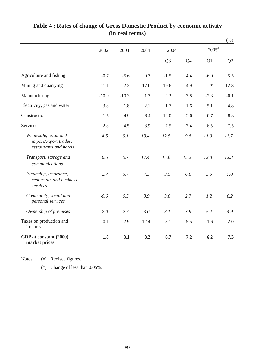|                                                                          |         |         |         |                |        |                     | $(\%)$ |
|--------------------------------------------------------------------------|---------|---------|---------|----------------|--------|---------------------|--------|
|                                                                          | 2002    | 2003    | 2004    | 2004           |        | $2005$ <sup>#</sup> |        |
|                                                                          |         |         |         | Q <sub>3</sub> | Q4     | Q1                  | Q2     |
| Agriculture and fishing                                                  | $-0.7$  | $-5.6$  | 0.7     | $-1.5$         | 4.4    | $-6.0$              | 5.5    |
| Mining and quarrying                                                     | $-11.1$ | 2.2     | $-17.0$ | $-19.6$        | 4.9    | $\ast$              | 12.8   |
| Manufacturing                                                            | $-10.0$ | $-10.3$ | 1.7     | 2.3            | 3.8    | $-2.3$              | $-0.1$ |
| Electricity, gas and water                                               | 3.8     | 1.8     | 2.1     | 1.7            | 1.6    | 5.1                 | 4.8    |
| Construction                                                             | $-1.5$  | $-4.9$  | $-8.4$  | $-12.0$        | $-2.0$ | $-0.7$              | $-8.3$ |
| Services                                                                 | 2.8     | 4.5     | 8.9     | 7.5            | 7.4    | 6.5                 | 7.5    |
| Wholesale, retail and<br>import/export trades,<br>restaurants and hotels | 4.5     | 9.1     | 13.4    | 12.5           | 9.8    | 11.0                | 11.7   |
| Transport, storage and<br>communications                                 | 6.5     | 0.7     | 17.4    | 15.8           | 15.2   | 12.8                | 12.3   |
| Financing, insurance,<br>real estate and business<br>services            | 2.7     | 5.7     | 7.3     | 3.5            | 6.6    | 3.6                 | 7.8    |
| Community, social and<br>personal services                               | $-0.6$  | 0.5     | 3.9     | 3.0            | 2.7    | 1.2                 | 0.2    |
| Ownership of premises                                                    | 2.0     | 2.7     | 3.0     | 3.1            | 3.9    | 5.2                 | 4.9    |
| Taxes on production and<br>imports                                       | $-0.1$  | 2.9     | 12.4    | 8.1            | 5.5    | $-1.6$              | 2.0    |
| GDP at constant (2000)<br>market prices                                  | 1.8     | 3.1     | 8.2     | 6.7            | 7.2    | 6.2                 | 7.3    |

# **(in real terms) Table 4 : Rates of change of Gross Domestic Product by economic activity**

(#) Revised figures. Notes :

(\*) Change of less than 0.05%.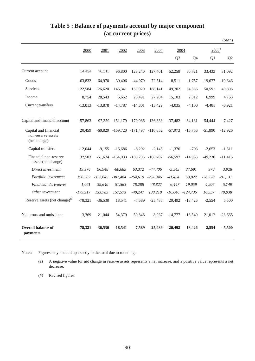|                                                             |            |            |                                            |            |            |                |                |                     | \$Mn)          |
|-------------------------------------------------------------|------------|------------|--------------------------------------------|------------|------------|----------------|----------------|---------------------|----------------|
|                                                             | 2000       | 2001       | 2002                                       | 2003       | 2004       |                | 2004           | $2005$ <sup>#</sup> |                |
|                                                             |            |            |                                            |            |            | Q <sub>3</sub> | Q <sub>4</sub> | Q1                  | Q <sub>2</sub> |
| Current account                                             | 54,494     | 76,315     | 96,800                                     | 128,240    | 127,401    | 52,258         | 50,721         | 33,433              | 31,092         |
| Goods                                                       | $-63,832$  | $-64,970$  | $-39,406$                                  | $-44,970$  | $-72,514$  | $-8,511$       | $-1,757$       | $-19,677$           | $-19,646$      |
| <b>Services</b>                                             | 122,584    | 126,620    | 145,341                                    | 159,020    | 188,141    | 49,702         | 54,566         | 50,591              | 49,896         |
| Income                                                      | 8,754      | 28,543     | 5.652                                      | 28,491     | 27,204     | 15,103         | 2,012          | 6,999               | 4,763          |
| Current transfers                                           | $-13,013$  | $-13,878$  | $-14,787$                                  | $-14,301$  | $-15,429$  | $-4,035$       | $-4,100$       | $-4,481$            | $-3,921$       |
| Capital and financial account                               | $-57,863$  |            | -97,359 -151,179 -179,086 -136,338         |            |            | $-37,482$      | $-34,181$      | $-54,444$           | $-7,427$       |
| Capital and financial<br>non-reserve assets<br>(net change) | 20,459     |            | $-60,829$ $-169,720$ $-171,497$ $-110,852$ |            |            | $-57,973$      | $-15,756$      | $-51,890$           | $-12,926$      |
| Capital transfers                                           | $-12.044$  | $-9.155$   | $-15.686$                                  | $-8.292$   | $-2.145$   | $-1.376$       | $-793$         | $-2.653$            | $-1,511$       |
| Financial non-reserve<br>assets (net change)                | 32,503     |            | $-51,674$ $-154,033$ $-163,205$            |            | $-108,707$ | $-56,597$      | $-14,963$      | $-49,238$           | $-11,415$      |
| Direct investment                                           | 19,976     | 96,948     | $-60,685$                                  | 63,372     | $-44,406$  | $-5,543$       | 37,691         | 970                 | 3,928          |
| Portfolio investment                                        | 190.782    | $-322.045$ | $-302,484$                                 | $-264.619$ | $-251.346$ | $-41.454$      | 53.022         | $-70,770$           | $-91,131$      |
| Financial derivatives                                       | 1.661      | 39,640     | 51,563                                     | 78,288     | 48,827     | 6,447          | 19,059         | 4,206               | 5,749          |
| Other investment                                            | $-179,917$ | 133,783    | 157,573                                    | $-40,247$  | 138,218    | $-16,046$      | $-124,735$     | 16,357              | 70,038         |
| Reserve assets (net change) <sup>(a)</sup>                  | $-78,321$  | $-36,530$  | 18,541                                     | $-7,589$   | $-25,486$  | 20,492         | $-18,426$      | $-2,554$            | 5,500          |
| Net errors and omissions                                    | 3,369      | 21,044     | 54,379                                     | 50,846     | 8,937      | $-14,777$      | $-16,540$      | 21,012              | $-23,665$      |
| <b>Overall balance of</b><br>payments                       | 78,321     | 36,530     | $-18,541$                                  | 7,589      | 25,486     | $-20,492$      | 18,426         | 2,554               | $-5,500$       |

## **Table 5 : Balance of payments account by major component (at current prices)**

Notes: Figures may not add up exactly to the total due to rounding.

(a) A negative value for net change in reserve assets represents a net increase, and a positive value represents a net decrease.

(#) Revised figures.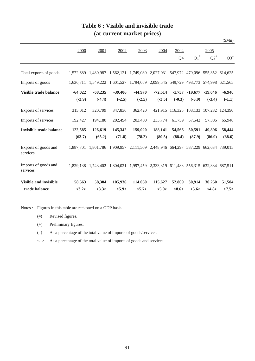|                                  |                       |                       |                                                                                   |                       |                       |                      |                       |                                         | \$Mn)                |
|----------------------------------|-----------------------|-----------------------|-----------------------------------------------------------------------------------|-----------------------|-----------------------|----------------------|-----------------------|-----------------------------------------|----------------------|
|                                  | 2000                  | 2001                  | 2002                                                                              | 2003                  | 2004                  | 2004<br>Q4           | $Q1^*$                | 2005<br>$Q2^{\#}$                       | $Q3^+$               |
| Total exports of goods           | 1.572.689             |                       | 1,480,987 1,562,121 1,749,089 2,027,031 547,972 479,096 555,352 614,625           |                       |                       |                      |                       |                                         |                      |
| Imports of goods                 | 1,636,711             |                       | 1,549,222 1,601,527 1,794,059 2,099,545 549,729 498,773 574,998 621,565           |                       |                       |                      |                       |                                         |                      |
| Visible trade balance            | $-64,022$<br>$(-3.9)$ | $-68,235$<br>$(-4.4)$ | $-39,406$<br>$(-2.5)$                                                             | $-44,970$<br>$(-2.5)$ | $-72,514$<br>$(-3.5)$ | $-1,757$<br>$(-0.3)$ | $-19,677$<br>$(-3.9)$ | $-19,646$<br>$(-3.4)$                   | $-6,940$<br>$(-1.1)$ |
| Exports of services              | 315,012               | 320,799               | 347,836                                                                           | 362,420               |                       |                      |                       | 421,915 116,325 108,133 107,282 124,390 |                      |
| Imports of services              | 192,427               | 194,180               | 202,494                                                                           | 203,400               | 233,774               | 61,759               | 57,542                | 57,386                                  | 65,946               |
| <b>Invisible trade balance</b>   | 122,585               | 126,619               | 145,342                                                                           | 159,020               | 188,141               | 54,566               | 50,591                | 49,896                                  | 58,444               |
|                                  | (63.7)                | (65.2)                | (71.8)                                                                            | (78.2)                | (80.5)                | (88.4)               | (87.9)                | (86.9)                                  | (88.6)               |
| Exports of goods and<br>services |                       |                       | 1,887,701 1,801,786 1,909,957 2,111,509 2,448,946 664,297 587,229 662,634 739,015 |                       |                       |                      |                       |                                         |                      |
| Imports of goods and<br>services |                       |                       | 1,829,138 1,743,402 1,804,021 1,997,459 2,333,319 611,488 556,315 632,384 687,511 |                       |                       |                      |                       |                                         |                      |
| <b>Visible and invisible</b>     | 58,563                | 58,384                | 105,936                                                                           | 114,050               | 115,627               | 52,809               | 30,914                | 30,250                                  | 51,504               |
| trade balance                    | <3.2>                 | <3.3>                 | <5.9>                                                                             | <5.7>                 | < 5.0>                | $<\!\!8.6\!\!>$      | < 5.6>                | <4.8>                                   | <7.5>                |

## **Table 6 : Visible and invisible trade (at current market prices)**

Notes : Figures in this table are reckoned on a GDP basis.

- (#) Revised figures.
- (+) Preliminary figures.
- ( ) As a percentage of the total value of imports of goods/services.
- $\langle \rangle$  As a percentage of the total value of imports of goods and services.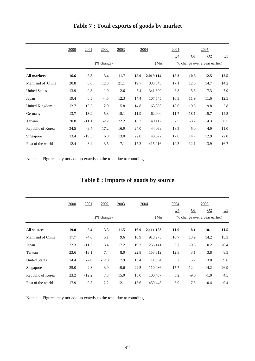|                      | 2000 | 2001    | 2002                  | 2003   | 2004 |           | 2004           |                                | 2005 |        |  |  |
|----------------------|------|---------|-----------------------|--------|------|-----------|----------------|--------------------------------|------|--------|--|--|
|                      |      |         |                       |        |      |           | Q <sub>4</sub> | $\Omega$                       | Q2   | $Q_3$  |  |  |
|                      |      |         | $(\% \text{ change})$ |        |      | \$Mn      |                | (% change over a year earlier) |      |        |  |  |
| <b>All markets</b>   | 16.6 | $-5.8$  | 5.4                   | 11.7   | 15.9 | 2,019,114 | 15.3           | 10.6                           | 12.5 | 12.5   |  |  |
| Mainland of China    | 20.8 | 0.6     | 12.3                  | 21.1   | 19.7 | 888,543   | 17.1           | 12.0                           | 14.7 | 14.2   |  |  |
| <b>United States</b> | 13.9 | $-9.8$  | 1.0                   | $-2.6$ | 5.4  | 341,600   | 6.8            | 5.6                            | 7.3  | 7.9    |  |  |
| Japan                | 19.4 | 0.5     | $-4.5$                | 12.3   | 14.4 | 107,545   | 16.3           | 11.9                           | 11.6 | 12.5   |  |  |
| United Kingdom       | 12.7 | $-12.2$ | $-2.0$                | 5.8    | 14.8 | 65,853    | 18.0           | 10.5                           | 9.8  | 2.8    |  |  |
| Germany              | 13.7 | $-13.9$ | $-5.3$                | 15.1   | 11.9 | 62,900    | 11.7           | 18.1                           | 15.7 | 14.5   |  |  |
| Taiwan               | 20.8 | $-11.1$ | $-2.2$                | 22.2   | 16.2 | 49,112    | 7.5            | $-3.2$                         | 4.3  | 6.5    |  |  |
| Republic of Korea    | 34.5 | $-9.4$  | 17.2                  | 16.9   | 24.0 | 44,069    | 18.5           | 5.0                            | 4.9  | 11.0   |  |  |
| Singapore            | 13.4 | $-19.5$ | 6.8                   | 13.0   | 22.0 | 43,577    | 17.0           | 14.7                           | 12.9 | $-2.0$ |  |  |
| Rest of the world    | 12.4 | $-8.4$  | 3.5                   | 7.1    | 17.3 | 415,916   | 19.5           | 12.1                           | 13.9 | 16.7   |  |  |

# **Table 7 : Total exports of goods by market**

Note : Figures may not add up exactly to the total due to rounding.

|  |  | Table 8 : Imports of goods by source |  |  |  |  |
|--|--|--------------------------------------|--|--|--|--|
|--|--|--------------------------------------|--|--|--|--|

|                      | 2000        | 2001                  | 2002    | 2003 |      | 2004      | 2004<br>Q <sub>4</sub> | Q1                             | 2005<br>Q2 | Q <sub>3</sub> |  |
|----------------------|-------------|-----------------------|---------|------|------|-----------|------------------------|--------------------------------|------------|----------------|--|
|                      |             | $(\% \text{ change})$ |         |      |      | \$Mn      |                        | (% change over a year earlier) |            |                |  |
| <b>All sources</b>   | <b>19.0</b> | $-5.4$                | 3.3     | 11.5 | 16.9 | 2,111,123 | 11.9                   | 8.1                            | 10.1       | 11.5           |  |
| Mainland of China    | 17.7        | $-4.6$                | 5.1     | 9.6  | 16.9 | 918,275   | 16.7                   | 13.9                           | 14.2       | 15.3           |  |
| Japan                | 22.3        | $-11.2$               | 3.4     | 17.2 | 19.7 | 256,141   | 8.7                    | $-0.8$                         | 0.2        | $-0.4$         |  |
| Taiwan               | 23.6        | $-13.1$               | 7.4     | 8.0  | 22.8 | 153,812   | 12.8                   | 3.1                            | 3.8        | 8.5            |  |
| <b>United States</b> | 14.4        | $-7.0$                | $-12.8$ | 7.9  | 13.4 | 111,994   | 5.2                    | 5.7                            | 13.8       | 9.6            |  |
| Singapore            | 25.0        | $-2.8$                | 3.9     | 19.6 | 22.5 | 110,986   | 15.7                   | 12.4                           | 14.2       | 26.9           |  |
| Republic of Korea    | 23.2        | $-12.2$               | 7.3     | 15.0 | 15.0 | 100,467   | 3.2                    | $-9.0$                         | $-1.0$     | 4.5            |  |
| Rest of the world    | 17.9        | 0.5                   | 2.2     | 12.1 | 13.6 | 459,448   | 6.9                    | 7.5                            | 10.4       | 9.4            |  |

Note : Figures may not add up exactly to the total due to rounding.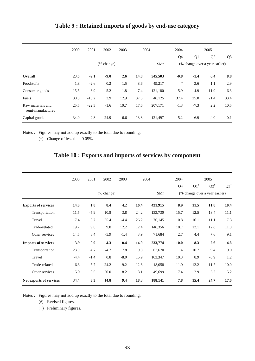|                                        | 2000 | 2001    | 2002       | 2003   | 2004 |         | 2004                           |        | 2005    |                |
|----------------------------------------|------|---------|------------|--------|------|---------|--------------------------------|--------|---------|----------------|
|                                        |      |         |            |        |      |         | Q <sub>4</sub>                 | Q1     | Q2      | Q <sub>3</sub> |
|                                        |      |         | (% change) |        |      | \$Mn    | (% change over a year earlier) |        |         |                |
| <b>Overall</b>                         | 23.5 | $-9.1$  | $-9.0$     | 2.6    | 14.8 | 545,503 | $-0.8$                         | $-1.4$ | 0.4     | 8.8            |
| Foodstuffs                             | 1.8  | $-2.6$  | 0.2        | 1.5    | 8.6  | 49,217  | $\ast$                         | 3.6    | 1.1     | 2.9            |
| Consumer goods                         | 15.5 | 3.9     | $-5.2$     | $-1.8$ | 7.4  | 121,180 | $-5.9$                         | 4.9    | $-11.9$ | 6.3            |
| Fuels                                  | 30.3 | $-10.2$ | 3.9        | 12.9   | 37.5 | 46,125  | 37.4                           | 25.0   | 21.4    | 33.4           |
| Raw materials and<br>semi-manufactures | 25.5 | $-22.3$ | $-1.6$     | 10.7   | 17.6 | 207,171 | $-1.3$                         | $-7.3$ | 2.2     | 10.5           |
| Capital goods                          | 34.0 | $-2.8$  | $-24.9$    | $-6.6$ | 13.3 | 121,497 | $-5.2$                         | $-6.9$ | 4.0     | $-0.1$         |

## **Table 9 : Retained imports of goods by end-use category**

Notes : Figures may not add up exactly to the total due to rounding.

(\*) Change of less than 0.05%.

## **Table 10 : Exports and imports of services by component**

|                            | 2000   | 2001   | 2002                        | 2003   | 2004 |         | 2004           |            | 2005                           |        |
|----------------------------|--------|--------|-----------------------------|--------|------|---------|----------------|------------|--------------------------------|--------|
|                            |        |        |                             |        |      |         | Q <sub>4</sub> | $\Omega^*$ | $\Omega^*$                     | $Q3^+$ |
|                            |        |        | $(% \mathbf{A})$ (% change) |        |      | \$Mn    |                |            | (% change over a year earlier) |        |
| <b>Exports of services</b> | 14.0   | 1.8    | 8.4                         | 4.2    | 16.4 | 421,915 | 8.9            | 11.5       | 11.8                           | 10.4   |
| Transportation             | 11.5   | $-5.9$ | 10.8                        | 3.8    | 24.2 | 133,730 | 15.7           | 12.5       | 13.4                           | 11.1   |
| Travel                     | 7.4    | 0.7    | 25.4                        | $-4.4$ | 26.2 | 70,145  | 0.8            | 16.1       | 11.1                           | 7.3    |
| Trade-related              | 19.7   | 9.0    | 9.0                         | 12.2   | 12.4 | 146,356 | 10.7           | 12.1       | 12.8                           | 11.8   |
| Other services             | 14.5   | 3.4    | $-5.9$                      | $-1.4$ | 3.9  | 71,684  | 2.7            | 4.4        | 7.6                            | 9.1    |
| <b>Imports of services</b> | 3.9    | 0.9    | 4.3                         | 0.4    | 14.9 | 233,774 | 10.0           | 8.3        | 2.6                            | 4.8    |
| Transportation             | 23.9   | 4.7    | $-4.7$                      | 7.8    | 19.8 | 62,670  | 11.4           | 10.7       | 9.4                            | 9.0    |
| Travel                     | $-4.4$ | $-1.4$ | 0.8                         | $-8.0$ | 15.9 | 103,347 | 10.3           | 8.9        | $-3.9$                         | 1.2    |
| Trade-related              | 6.3    | 5.7    | 24.2                        | 9.2    | 12.8 | 18,058  | 11.0           | 12.2       | 11.7                           | 10.0   |
| Other services             | 5.0    | 0.5    | 20.0                        | 8.2    | 8.1  | 49,699  | 7.4            | 2.9        | 5.2                            | 5.2    |
| Net exports of services    | 34.4   | 3.3    | 14.8                        | 9.4    | 18.3 | 188,141 | 7.8            | 15.4       | 24.7                           | 17.6   |

Notes : Figures may not add up exactly to the total due to rounding.

(#) Revised figures.

(+) Preliminary figures.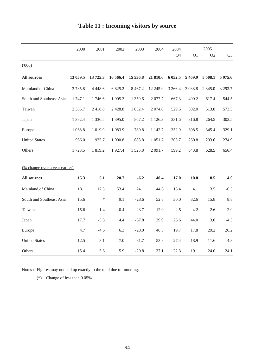|                                | 2000       | 2001        | 2002       | 2003       | 2004       | 2004      |           | 2005           |                |
|--------------------------------|------------|-------------|------------|------------|------------|-----------|-----------|----------------|----------------|
|                                |            |             |            |            |            | Q4        | Q1        | Q <sub>2</sub> | Q <sub>3</sub> |
| (1000)                         |            |             |            |            |            |           |           |                |                |
| <b>All sources</b>             | 13 059.5   | 13725.3     | 16 566.4   | 15 536.8   | 21 810.6   | 6 0 5 2.5 | 5 4 6 9.9 | 5 508.1        | 5975.6         |
| Mainland of China              | 3785.8     | 4 4 4 8 . 6 | 6 825.2    | 8 4 6 7.2  | 12 245.9   | 3 2 6 6.4 | 3 0 38.8  | 2 8 4 5 .0     | 3 2 9 3.7      |
| South and Southeast Asia       | 1747.1     | 1746.6      | 1 905.2    | 1 359.6    | 2077.7     | 667.3     | 499.2     | 617.4          | 544.5          |
| Taiwan                         | 2 3 8 5 .7 | 2418.8      | 2 4 2 8 .8 | 1 852.4    | 2074.8     | 529.6     | 502.0     | 513.8          | 573.5          |
| Japan                          | 1 3 8 2.4  | 1 3 3 6 .5  | 1 395.0    | 867.2      | 1 1 2 6 .3 | 331.6     | 316.8     | 264.5          | 303.5          |
| Europe                         | 1 0 68.8   | 1 0 1 9.9   | 1 083.9    | 780.8      | 1 142.7    | 352.9     | 308.5     | 345.4          | 329.1          |
| <b>United States</b>           | 966.0      | 935.7       | 1 000.8    | 683.8      | 1 0 5 1 .7 | 305.7     | 260.8     | 293.6          | 274.9          |
| Others                         | 1723.5     | 1 819.2     | 1927.4     | 1 5 2 5 .8 | 2 0 9 1.7  | 599.2     | 543.8     | 628.5          | 656.4          |
|                                |            |             |            |            |            |           |           |                |                |
| (% change over a year earlier) |            |             |            |            |            |           |           |                |                |
| <b>All sources</b>             | 15.3       | 5.1         | 20.7       | $-6.2$     | 40.4       | 17.0      | 10.8      | 8.5            | 4.0            |
| Mainland of China              | 18.1       | 17.5        | 53.4       | 24.1       | 44.6       | 15.4      | 4.1       | 3.5            | $-0.5$         |
| South and Southeast Asia       | 15.6       | $\ast$      | 9.1        | $-28.6$    | 52.8       | 30.0      | 32.6      | 15.8           | 8.8            |
| Taiwan                         | 15.6       | 1.4         | 0.4        | $-23.7$    | 12.0       | $-2.5$    | 4.2       | 2.6            | 2.0            |
| Japan                          | 17.7       | $-3.3$      | 4.4        | $-37.8$    | 29.9       | 26.6      | 44.0      | 3.0            | $-4.5$         |
| Europe                         | 4.7        | $-4.6$      | 6.3        | $-28.0$    | 46.3       | 19.7      | 17.8      | 29.2           | 26.2           |
| <b>United States</b>           | 12.5       | $-3.1$      | 7.0        | $-31.7$    | 53.8       | 27.4      | 18.9      | 11.6           | 4.3            |
| Others                         | 15.4       | 5.6         | 5.9        | $-20.8$    | 37.1       | 22.3      | 19.1      | 24.0           | 24.1           |

# **Table 11 : Incoming visitors by source**

Notes : Figures may not add up exactly to the total due to rounding.

(\*) Change of less than 0.05%.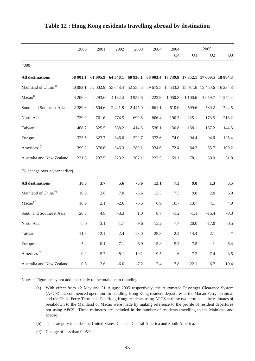|                                  | 2000      | 2001      | 2002       | 2003                                                           | 2004       | 2004      |                | 2005                                         |                |
|----------------------------------|-----------|-----------|------------|----------------------------------------------------------------|------------|-----------|----------------|----------------------------------------------|----------------|
|                                  |           |           |            |                                                                |            | Q4        | Q <sub>1</sub> | Q <sub>2</sub>                               | Q <sub>3</sub> |
| (1000)                           |           |           |            |                                                                |            |           |                |                                              |                |
| <b>All destinations</b>          | 58 901.1  | 61 095.9  |            | 64 540.1 60 936.1 68 903.4 17 739.8 17 352.1 17 669.5 18 884.3 |            |           |                |                                              |                |
| Mainland of China <sup>(a)</sup> | 50 083.1  | 52 002.9  | 55 648.4   | 52 555.6                                                       |            |           |                | 59 675.5 15 533.3 15 011.6 15 460.6 16 234.8 |                |
| Macao <sup>(a)</sup>             | 4 206.9   | 4 2 9 3.6 | 4 1 8 2.4  | 3 9 5 2.6                                                      | 4 2 2 3 .9 | 1 0 5 0.8 | 1 100.6        | 1 0 5 9.7                                    | 1 244.4        |
| South and Southeast Asia         | 2 3 8 9.6 | 2 504.6   | 2 4 2 1 .8 | 2 4 4 7 .0                                                     | 2 661.1    | 610.0     | 599.6          | 589.2                                        | 724.5          |
| North Asia                       | 739.0     | 761.6     | 774.5      | 699.8                                                          | 806.4      | 190.3     | 225.1          | 173.5                                        | 218.2          |
| Taiwan                           | 468.7     | 525.5     | 538.2      | 414.5                                                          | 536.1      | 130.8     | 138.1          | 137.2                                        | 144.5          |
| Europe                           | 323.5     | 323.7     | 346.6      | 322.7                                                          | 373.6      | 74.0      | 94.4           | 94.0                                         | 125.4          |
| Americas <sup>(b)</sup>          | 399.2     | 376.6     | 346.3      | 280.1                                                          | 334.6      | 72.4      | 84.2           | 85.7                                         | 100.2          |
| Australia and New Zealand        | 231.6     | 237.5     | 223.2      | 207.1                                                          | 222.5      | 59.1      | 78.1           | 50.9                                         | 61.8           |
| (% change over a year earlier)   |           |           |            |                                                                |            |           |                |                                              |                |
| <b>All destinations</b>          | 10.8      | 3.7       | 5.6        | $-5.6$                                                         | 13.1       | 7.3       | 9.8            | 1.3                                          | 5.5            |
| Mainland of China <sup>(a)</sup> | 10.9      | 3.8       | 7.0        | $-5.6$                                                         | 13.5       | 7.5       | 9.8            | 2.0                                          | $6.0$          |
| Macao <sup>(a)</sup>             | 10.9      | 2.1       | $-2.6$     | $-5.5$                                                         | 6.9        | 10.7      | 13.7           | 4.1                                          | 4.9            |
| South and Southeast Asia         | 20.3      | 4.8       | $-3.3$     | 1.0                                                            | 8.7        | $-1.2$    | $-1.1$         | $-15.4$                                      | $-3.3$         |
| North Asia                       | $-5.0$    | 3.1       | 1.7        | $-9.6$                                                         | 15.2       | 7.7       | 20.0           | $-17.0$                                      | $-0.5$         |
| Taiwan                           | 11.6      | 12.1      | 2.4        | $-23.0$                                                        | 29.3       | $2.2\,$   | 14.4           | $-2.1$                                       | ∗              |
| Europe                           | 5.2       | 0.1       | 7.1        | $-6.9$                                                         | 15.8       | 5.2       | $7.5$          | $\ast$                                       | 6.4            |
| Americas <sup>(b)</sup>          | 0.2       | $-5.7$    | $-8.1$     | $-19.1$                                                        | 19.5       | 1.6       | 7.2            | 7.4                                          | $-3.5$         |
| Australia and New Zealand        | 0.5       | 2.6       | $-6.0$     | $-7.2$                                                         | 7.4        | 7.8       | 22.1           | 6.7                                          | 19.4           |

### **Table 12 : Hong Kong residents travelling abroad by destination**

Notes : Figures may not add up exactly to the total due to rounding.

- (a) With effect from 12 May and 31 August 2005 respectively, the Automated Passenger Clearance System (APCS) has commenced operation for handling Hong Kong resident departures at the Macao Ferry Terminal and the China Ferry Terminal. For Hong Kong residents using APCS at these two terminals, the estimates of breakdown to the Mainland or Macao were made by making reference to the profile of resident departures not using APCS. These estimates are included in the number of residents travelling to the Mainland and Macao.
- (b) This category includes the United States, Canada, Central America and South America.
- (\*) Change of less than 0.05%.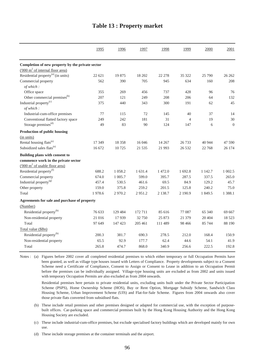|  | <b>Table 13 : Property market</b> |  |
|--|-----------------------------------|--|
|--|-----------------------------------|--|

|                                                    | 1995   | 1996       | 1997    | 1998       | 1999           | 2000    | 2001      |
|----------------------------------------------------|--------|------------|---------|------------|----------------|---------|-----------|
| Completion of new property by the private sector   |        |            |         |            |                |         |           |
| $(000 \text{ m}^2 \text{ of internal floor area})$ |        |            |         |            |                |         |           |
| Residential property <sup>(a)</sup> (in units)     | 22 621 | 19875      | 18 202  | 22 278     | 35 322         | 25 790  | 26 26 2   |
| Commercial property<br>of which:                   | 562    | 390        | 705     | 945        | 634            | 160     | 208       |
| Office space                                       | 355    | 269        | 456     | 737        | 428            | 96      | 76        |
| Other commercial premises <sup>(b)</sup>           | 207    | 121        | 249     | 208        | 206            | 64      | 132       |
| Industrial property <sup>(c)</sup><br>of which:    | 375    | 440        | 343     | 300        | 191            | 62      | 45        |
| Industrial-cum-office premises                     | 77     | 115        | 72      | 145        | 40             | 37      | 14        |
| Conventional flatted factory space                 | 249    | 242        | 181     | 31         | $\overline{4}$ | 19      | 30        |
| Storage premises <sup>(d)</sup>                    | 49     | 83         | 90      | 124        | 147            | 6       | $\theta$  |
| Production of public housing                       |        |            |         |            |                |         |           |
| (in units)                                         |        |            |         |            |                |         |           |
| Rental housing flats <sup>(e)</sup>                | 17 349 | 18 3 5 8   | 16 04 6 | 14 267     | 26 7 33        | 40 944  | 47 590    |
| Subsidized sales flats <sup>(e)</sup>              | 16 672 | 10 725     | 21 5 35 | 21 9 93    | 26 5 32        | 22 768  | 26 174    |
| Building plans with consent to                     |        |            |         |            |                |         |           |
| commence work in the private sector                |        |            |         |            |                |         |           |
| $(000 \text{ m}^2 \text{ of usable floor area})$   |        |            |         |            |                |         |           |
| Residential property <sup>(f)</sup>                | 688.2  | 1 0 58.2   | 1 631.4 | 1 472.0    | 1 692.8        | 1 142.7 | 1 002.5   |
| Commercial property                                | 674.0  | 1 0 0 5 .7 | 599.0   | 395.7      | 287.5          | 337.5   | 265.0     |
| Industrial property <sup>(g)</sup>                 | 457.4  | 530.5      | 461.6   | 69.5       | 84.9           | 129.2   | 45.7      |
| Other property                                     | 159.0  | 375.8      | 259.2   | 201.5      | 125.8          | 240.2   | 75.0      |
| Total                                              | 1978.6 | 2970.2     | 2951.2  | 2 1 3 8 .7 | 2 190.9        | 1 849.5 | 1 3 8 8.1 |
| Agreements for sale and purchase of property       |        |            |         |            |                |         |           |
| (Number)                                           |        |            |         |            |                |         |           |
| Residential property <sup>(h)</sup>                | 76 633 | 129 484    | 172 711 | 85 616     | 77 087         | 65 340  | 69 667    |
| Non-residential property                           | 21 016 | 17939      | 32 750  | 25 873     | 21 379         | 20 404  | 18 5 23   |
| Total                                              | 97 649 | 147 423    | 205 461 | 111 489    | 98 4 66        | 85 744  | 88 190    |
| Total value (\$Bn)                                 |        |            |         |            |                |         |           |
| Residential property <sup>(h)</sup>                | 200.3  | 381.7      | 690.3   | 278.5      | 212.0          | 168.4   | 150.9     |
| Non-residential property                           | 65.5   | 92.9       | 177.7   | 62.4       | 44.6           | 54.1    | 41.9      |
| Total                                              | 265.8  | 474.7      | 868.0   | 340.9      | 256.6          | 222.5   | 192.8     |

Notes : (a) Figures before 2002 cover all completed residential premises to which either temporary or full Occupation Permits have been granted, as well as village type houses issued with Letters of Compliance. Property developments subject to a Consent Scheme need a Certificate of Compliance, Consent to Assign or Consent to Lease in addition to an Occupation Permit before the premises can be individually assigned. Village-type housing units are excluded as from 2002 and units issued with temporary Occupation Permits are also excluded as from 2004 onwards.

Residential premises here pertain to private residential units, excluding units built under the Private Sector Participation Scheme (PSPS), Home Ownership Scheme (HOS), Buy or Rent Option, Mortgage Subsidy Scheme, Sandwich Class Housing Scheme, Urban Improvement Scheme (UIS) and Flat-for-Sale Scheme. Figures from 2004 onwards also cover those private flats converted from subsidised flats.

- (b) These include retail premises and other premises designed or adapted for commercial use, with the exception of purposebuilt offices. Car-parking space and commercial premises built by the Hong Kong Housing Authority and the Hong Kong Housing Society are excluded.
- (c) These include industrial-cum-office premises, but exclude specialised factory buildings which are developed mainly for own use.

(d) These include storage premises at the container terminals and the airport.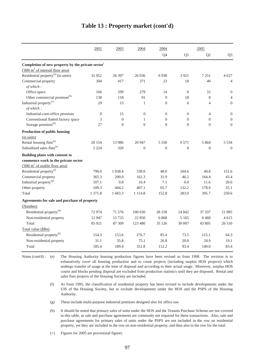|                                                               | 2002             | 2003           | 2004           | 2004             |                | 2005             |                  |
|---------------------------------------------------------------|------------------|----------------|----------------|------------------|----------------|------------------|------------------|
|                                                               |                  |                |                | Q4               | Q1             | Q2               | Q <sub>3</sub>   |
| Completion of new property by the private sector <sup>+</sup> |                  |                |                |                  |                |                  |                  |
| $(000 \text{ m}^2 \text{ of internal floor area})$            |                  |                |                |                  |                |                  |                  |
| Residential property <sup>(a)</sup> (in units)                | 31 052           | 26 397         | 26 0 36        | 6938             | 3 9 2 1        | 7 2 5 1          | 4 627            |
| Commercial property<br>of which:                              | 304              | 417            | 371            | 23               | 18             | 40               | $\overline{4}$   |
| Office space                                                  | 166              | 299            | 279            | 14               | $\theta$       | 32               | $\boldsymbol{0}$ |
| Other commercial premises <sup>(b)</sup>                      | 138              | 118            | 91             | 9                | 18             | 8                | $\overline{4}$   |
| Industrial property <sup>(c)</sup><br>of which:               | 29               | 15             | 1              | $\boldsymbol{0}$ | $\mathbf{0}$   | $\overline{4}$   | $\mathbf{0}$     |
| Industrial-cum-office premises                                | $\boldsymbol{0}$ | 15             | $\theta$       | $\mathbf{0}$     | $\mathbf{0}$   | $\overline{4}$   | $\boldsymbol{0}$ |
| Conventional flatted factory space                            | 3                | $\Omega$       | 1              | $\Omega$         | $\Omega$       | $\Omega$         | $\overline{0}$   |
| Storage premises <sup>(d)</sup>                               | 27               | $\overline{0}$ | $\overline{0}$ | $\mathbf{0}$     | $\overline{0}$ | $\theta$         | $\mathbf{0}$     |
| Production of public housing                                  |                  |                |                |                  |                |                  |                  |
| (in units)                                                    |                  |                |                |                  |                |                  |                  |
| Rental housing flats <sup>(e)</sup>                           | 20 154           | 13 986         | 20 947         | 5 5 5 0          | 9 5 7 1        | 5 8 6 4          | 5 5 3 4          |
| Subsidized sales flats <sup>(e)</sup>                         | 2 2 2 4          | 320            | $\theta$       | $\mathbf{0}$     | $\mathbf{0}$   | $\boldsymbol{0}$ | $\theta$         |
| Building plans with consent to                                |                  |                |                |                  |                |                  |                  |
| commence work in the private sector                           |                  |                |                |                  |                |                  |                  |
| $(000 \text{ m}^2 \text{ of usable floor area})$              |                  |                |                |                  |                |                  |                  |
| Residential property <sup>(f)</sup>                           | 790.0            | 1 0 38.4       | 530.0          | 48.0             | 104.6          | 40.8             | 151.6            |
| Commercial property                                           | 365.3            | 200.0          | 161.3          | 31.9             | 46.2           | 164.4            | 43.4             |
| Industrial property <sup>(g)</sup>                            | 107.1            | 0.8            | 16.4           | 7.1              | 0.0            | 11.6             | 20.6             |
| Other property                                                | 109.3            | 444.2          | 407.1          | 65.7             | 132.2          | 178.9            | 35.1             |
| Total                                                         | 1 371.8          | 1 683.3        | 1 1 1 4 .8     | 152.8            | 283.0          | 395.7            | 250.6            |
| Agreements for sale and purchase of property                  |                  |                |                |                  |                |                  |                  |
| (Number)                                                      |                  |                |                |                  |                |                  |                  |
| Residential property <sup>(h)</sup>                           | 72974            | 71 576         | 100 630        | 28 25 8          | 24 842         | 37 337           | 21 895           |
| Non-residential property                                      | 12 947           | 15 7 33        | 22 850         | 6868             | 5 1 6 5        | 6468             | 4615             |
| Total                                                         | 85 921           | 87 309         | 123 480        | 35 126           | 30 007         | 43 805           | 26 510           |
| Total value (\$Bn)                                            |                  |                |                |                  |                |                  |                  |
| Residential property <sup>(h)</sup>                           | 154.3            | 153.6          | 276.7          | 85.4             | 73.5           | 115.1            | 64.3             |
| Non-residential property                                      | 31.1             | 35.8           | 75.1           | 26.8             | 20.0           | 24.9             | 19.1             |
| Total                                                         | 185.4            | 189.4          | 351.8          | 112.2            | 93.4           | 140.0            | 83.4             |

#### **Table 13 : Property market (cont'd)**

Notes (cont'd) : (e) The Housing Authority housing production figures have been revised as from 1998. The revision is to exhaustively cover all housing production and to count projects (including surplus HOS projects) which undergo transfer of usage at the time of disposal and according to their actual usage. Moreover, surplus HOS courts and blocks pending disposal are excluded from production statistics until they are disposed. Rental and sales flats projects of the Housing Society are included.

- (f) As from 1995, the classification of residential property has been revised to include developments under the UIS of the Housing Society, but to exclude developments under the HOS and the PSPS of the Housing Authority.
- (g) These include multi-purpose industrial premises designed also for office use.
- (h) It should be noted that primary sales of units under the HOS and the Tenants Purchase Scheme are not covered in this table, as sale and purchase agreements are commonly not required for these transactions. Also, sale and purchase agreements for primary sales of units under the PSPS are not included in the row on residential property, yet they are included in the row on non-residential property, and thus also in the row for the total.

(+) Figures for 2005 are provisional figures.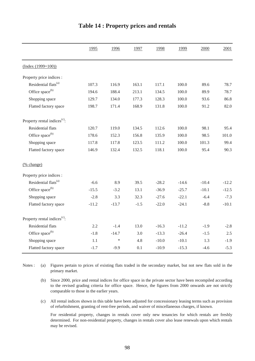|                                          | 1995    | 1996    | 1997   | 1998    | 1999    | 2000    | 2001    |
|------------------------------------------|---------|---------|--------|---------|---------|---------|---------|
| $(Index (1999=100))$                     |         |         |        |         |         |         |         |
| Property price indices :                 |         |         |        |         |         |         |         |
| Residential flats <sup>(a)</sup>         | 107.3   | 116.9   | 163.1  | 117.1   | 100.0   | 89.6    | 78.7    |
| Office space <sup>(b)</sup>              | 194.6   | 188.4   | 213.1  | 134.5   | 100.0   | 89.9    | 78.7    |
| Shopping space                           | 129.7   | 134.0   | 177.3  | 128.3   | 100.0   | 93.6    | 86.8    |
| Flatted factory space                    | 198.7   | 171.4   | 168.9  | 131.8   | 100.0   | 91.2    | 82.0    |
| Property rental indices <sup>(c)</sup> : |         |         |        |         |         |         |         |
| Residential flats                        | 120.7   | 119.0   | 134.5  | 112.6   | 100.0   | 98.1    | 95.4    |
| Office space <sup>(b)</sup>              | 178.6   | 152.3   | 156.8  | 135.9   | 100.0   | 98.5    | 101.0   |
| Shopping space                           | 117.8   | 117.8   | 123.5  | 111.2   | 100.0   | 101.3   | 99.4    |
| Flatted factory space                    | 146.9   | 132.4   | 132.5  | 118.1   | 100.0   | 95.4    | 90.3    |
| (% change)                               |         |         |        |         |         |         |         |
| Property price indices :                 |         |         |        |         |         |         |         |
| Residential flats <sup>(a)</sup>         | $-6.6$  | 8.9     | 39.5   | $-28.2$ | $-14.6$ | $-10.4$ | $-12.2$ |
| Office space <sup>(b)</sup>              | $-15.5$ | $-3.2$  | 13.1   | $-36.9$ | $-25.7$ | $-10.1$ | $-12.5$ |
| Shopping space                           | $-2.8$  | 3.3     | 32.3   | $-27.6$ | $-22.1$ | $-6.4$  | $-7.3$  |
| Flatted factory space                    | $-11.2$ | $-13.7$ | $-1.5$ | $-22.0$ | $-24.1$ | $-8.8$  | $-10.1$ |
| Property rental indices <sup>(c)</sup> : |         |         |        |         |         |         |         |
| <b>Residential flats</b>                 | 2.2     | $-1.4$  | 13.0   | $-16.3$ | $-11.2$ | $-1.9$  | $-2.8$  |
| Office space <sup>(b)</sup>              | $-1.8$  | $-14.7$ | 3.0    | $-13.3$ | $-26.4$ | $-1.5$  | 2.5     |
| Shopping space                           | 1.1     | $\ast$  | 4.8    | $-10.0$ | $-10.1$ | 1.3     | $-1.9$  |
| Flatted factory space                    | $-1.7$  | $-9.9$  | 0.1    | $-10.9$ | $-15.3$ | $-4.6$  | $-5.3$  |

### **Table 14 : Property prices and rentals**

(a) Notes : (a) Figures pertain to prices of existing flats traded in the secondary market, but not new flats sold in the primary market.

(b) Since 2000, price and rental indices for office space in the private sector have been recompiled according to the revised grading criteria for office space. Hence, the figures from 2000 onwards are not strictly comparable to those in the earlier years.

(c) All rental indices shown in this table have been adjusted for concessionary leasing terms such as provision of refurbishment, granting of rent-free periods, and waiver of miscellaneous charges, if known.

For residential property, changes in rentals cover only new tenancies for which rentals are freshly determined. For non-residential property, changes in rentals cover also lease renewals upon which rentals may be revised.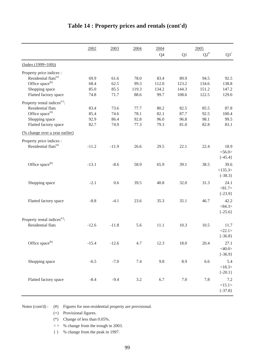|                                          | 2002    | 2003    | 2004    | 2004  |         | 2005   |             |
|------------------------------------------|---------|---------|---------|-------|---------|--------|-------------|
|                                          |         |         |         | Q4    | Q1      | $Q2^*$ | $Q3^+$      |
| $(Index (1999=100))$                     |         |         |         |       |         |        |             |
| Property price indices :                 |         |         |         |       |         |        |             |
| Residential flats <sup>(a)</sup>         | 69.9    | 61.6    | 78.0    | 83.4  | 89.9    | 94.5   | 92.5        |
| Office space <sup>(b)</sup>              | 68.4    | 62.5    | 99.3    | 112.0 | 123.2   | 134.6  | 138.8       |
| Shopping space                           | 85.0    | 85.5    | 119.3   | 134.2 | 144.3   | 151.2  | 147.2       |
| Flatted factory space                    | 74.8    | 71.7    | 88.6    | 99.7  | 108.6   | 122.5  | 129.0       |
| Property rental indices <sup>(c)</sup> : |         |         |         |       |         |        |             |
| Residential flats                        | 83.4    | 73.6    | 77.7    | 80.2  | 82.5    | 85.5   | 87.8        |
| Office space <sup>(b)</sup>              | 85.4    | 74.6    | 78.1    | 82.1  | 87.7    | 92.5   | 100.4       |
| Shopping space                           | 92.9    | 86.4    | 92.8    | 96.0  | 96.8    | 98.1   | 99.5        |
| Flatted factory space                    | 82.7    | 74.9    | 77.3    | 79.3  | 81.0    | 82.8   | 83.1        |
| (% change over a year earlier)           |         |         |         |       |         |        |             |
| Property price indices :                 |         |         |         |       |         |        |             |
| Residential flats <sup>(a)</sup>         | $-11.2$ | $-11.9$ | 26.6    | 29.5  | 22.1    | 22.4   | 18.9        |
|                                          |         |         |         |       |         |        | $<$ 56.0>   |
|                                          |         |         |         |       |         |        | $\{-45.4\}$ |
| Office space <sup>(b)</sup>              | $-13.1$ | $-8.6$  | 58.9    | 65.9  | 39.1    | 38.5   | 39.6        |
|                                          |         |         |         |       |         |        | <135.3>     |
|                                          |         |         |         |       |         |        | $\{-38.3\}$ |
| Shopping space                           | $-2.1$  | 0.6     | 39.5    | 40.8  | 32.0    | 31.3   | 24.1        |
|                                          |         |         |         |       |         |        | < 81.7 >    |
|                                          |         |         |         |       |         |        | $\{-23.9\}$ |
|                                          | $-8.8$  | $-4.1$  | 23.6    | 35.3  | 35.1    | 46.7   | 42.2        |
| Flatted factory space                    |         |         |         |       |         |        | <84.3>      |
|                                          |         |         |         |       |         |        | $\{-25.6\}$ |
|                                          |         |         |         |       |         |        |             |
| Property rental indices <sup>(c)</sup> : |         |         |         |       |         |        |             |
| <b>Residential flats</b>                 | $-12.6$ | $-11.8$ | 5.6     | 11.1  | 10.3    | 10.5   | 11.7        |
|                                          |         |         |         |       |         |        | <22.1>      |
|                                          |         |         |         |       |         |        | $\{-36.8\}$ |
| Office space <sup>(b)</sup>              | $-15.4$ | $-12.6$ | 4.7     | 12.3  | 18.0    | 20.4   | 27.1        |
|                                          |         |         |         |       |         |        | $<$ 40.0>   |
|                                          |         |         |         |       |         |        | $\{-36.9\}$ |
| Shopping space                           | $-6.5$  | $-7.0$  | 7.4     | 9.8   | 8.9     | 6.6    | 5.4         |
|                                          |         |         |         |       |         |        | <18.3>      |
|                                          |         |         |         |       |         |        | $\{-20.1\}$ |
| Flatted factory space                    | $-8.4$  | $-9.4$  | $3.2\,$ | 6.7   | $7.0\,$ | 7.8    | 7.2         |
|                                          |         |         |         |       |         |        | <15.1>      |
|                                          |         |         |         |       |         |        | $\{-37.8\}$ |
|                                          |         |         |         |       |         |        |             |

## **Table 14 : Property prices and rentals (cont'd)**

Notes (cont'd) : (#) Figures for non-residential property are provisional.

(+) Provisional figures.

(\*) Change of less than 0.05%.

 $\langle \rangle$  % change from the trough in 2003.

{ } % change from the peak in 1997.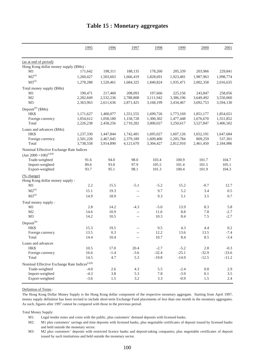|                                                              | 1995      | 1996      | 1997                     | 1998      | 1999      | 2000      | 2001      |
|--------------------------------------------------------------|-----------|-----------|--------------------------|-----------|-----------|-----------|-----------|
| (as at end of period)                                        |           |           |                          |           |           |           |           |
| Hong Kong dollar money supply (\$Mn):                        |           |           |                          |           |           |           |           |
| M1                                                           | 171,642   | 198,311   | 188,135                  | 178,260   | 205,339   | 203,966   | 229,841   |
| $M2^{(a)}$                                                   | 1,260,427 | 1,503,603 | 1,666,419                | 1,828,691 | 1,923,481 | 1,987,963 | 1,998,774 |
| $M3^{(a)}$                                                   | 1,278,288 | 1,520,461 | 1,684,325                | 1,840,824 | 1,935,471 | 2,002,358 | 2,016,635 |
| Total money supply (\$Mn)                                    |           |           |                          |           |           |           |           |
| M1                                                           | 190,471   | 217,460   | 208,093                  | 197,666   | 225,156   | 243,847   | 258,056   |
| M <sub>2</sub>                                               | 2,282,849 | 2,532,236 | 2,788,808                | 3,111,942 | 3,386,196 | 3,649,492 | 3,550,060 |
| M <sub>3</sub>                                               | 2,363,963 | 2,611,636 | 2,871,425                | 3,168,199 | 3,434,467 | 3,692,753 | 3,594,130 |
| Deposit <sup>(b)</sup> (\$Mn)                                |           |           |                          |           |           |           |           |
| HK\$                                                         | 1,171,627 | 1,400,077 | 1,551,555                | 1,699,726 | 1,773,169 | 1,851,177 | 1,854,651 |
| Foreign currency                                             | 1,054,612 | 1,058,180 | 1,158,728                | 1,300,302 | 1,477,448 | 1,676,670 | 1,551,852 |
| Total                                                        | 2,226,238 | 2,458,256 | 2,710,282                | 3,000,027 | 3,250,617 | 3,527,847 | 3,406,502 |
| Loans and advances (\$Mn)                                    |           |           |                          |           |           |           |           |
| HK\$                                                         | 1,237,330 | 1,447,844 | 1,742,481                | 1,695,027 | 1,607,126 | 1,652,191 | 1,647,684 |
| Foreign currency                                             | 2,501,228 | 2,467,045 | 2,379,189                | 1,609,400 | 1,205,784 | 809,259   | 537,301   |
| Total                                                        | 3,738,558 | 3,914,890 | 4,121,670                | 3,304,427 | 2,812,910 | 2,461,450 | 2,184,986 |
| Nominal Effective Exchange Rate Indices                      |           |           |                          |           |           |           |           |
| $\left(\text{Jan } 2000 = 100\right)^{(c)(d)}$               |           |           |                          |           |           |           |           |
| Trade-weighted                                               | 91.6      | 94.0      | 98.0                     | 103.4     | 100.9     | 101.7     | 104.7     |
| Import-weighted                                              | 89.6      | 93.0      | 97.9                     | 105.5     | 101.4     | 101.5     | 105.1     |
| Export-weighted                                              | 93.7      | 95.1      | 98.1                     | 101.3     | 100.4     | 101.9     | 104.3     |
| (% change)                                                   |           |           |                          |           |           |           |           |
| Hong Kong dollar money supply:                               |           |           |                          |           |           |           |           |
| M1                                                           | 2.2       | 15.5      | $-5.1$                   | $-5.2$    | 15.2      | $-0.7$    | 12.7      |
| $M2^{(a)}$                                                   | 15.1      | 19.3      | $\overline{a}$           | 9.7       | 5.2       | 3.4       | 0.5       |
| $M3^{(a)}$                                                   | 14.9      | 18.9      | $\overline{\phantom{a}}$ | 9.3       | 5.1       | 3.5       | 0.7       |
| Total money supply:                                          |           |           |                          |           |           |           |           |
| M1                                                           | 2.8       | 14.2      | $-4.3$                   | $-5.0$    | 13.9      | 8.3       | 5.8       |
| M2                                                           | 14.6      | 10.9      | $\overline{\phantom{a}}$ | 11.6      | $8.8\,$   | 7.8       | $-2.7$    |
| M <sub>3</sub>                                               | 14.2      | 10.5      | $\overline{\phantom{a}}$ | 10.3      | 8.4       | $7.5\,$   | $-2.7$    |
| $Deposit^{(b)}$                                              |           |           |                          |           |           |           |           |
| HK\$                                                         | 15.3      | 19.5      | $-$                      | 9.5       | 4.3       | 4.4       | 0.2       |
| Foreign currency                                             | 13.5      | 0.3       | $-$                      | 12.2      | 13.6      | 13.5      | $-7.4$    |
| Total                                                        | 14.4      | 10.4      | $\overline{\phantom{a}}$ | 10.7      | 8.4       | 8.5       | $-3.4$    |
| Loans and advances                                           |           |           |                          |           |           |           |           |
| HK\$                                                         | 10.5      | 17.0      | 20.4                     | $-2.7$    | $-5.2$    | 2.8       | $-0.3$    |
| Foreign currency                                             | 16.6      | $-1.4$    | $-3.6$                   | $-32.4$   | $-25.1$   | $-32.9$   | $-33.6$   |
| Total                                                        | 14.5      | 4.7       | 5.3                      | $-19.8$   | $-14.9$   | $-12.5$   | $-11.2$   |
| Nominal Effective Exchange Rate Indices ${}^{\text{(c)(d)}}$ |           |           |                          |           |           |           |           |
| Trade-weighted                                               | $-4.0$    | 2.6       | 4.3                      | 5.5       | $-2.4$    | $0.8\,$   | 2.9       |
| Import-weighted                                              | $-4.3$    | 3.8       | 5.3                      | 7.8       | $-3.9$    | 0.1       | 3.5       |
| Export-weighted                                              | $-3.6$    | 1.5       | 3.2                      | 3.3       | $-0.9$    | 1.5       | 2.4       |

## **Table 15 : Monetary aggregates**

Definition of Terms :

The Hong Kong Dollar Money Supply is the Hong Kong dollar component of the respective monetary aggregate. Starting from April 1997, money supply definition has been revised to include short-term Exchange Fund placements of less than one month in the monetary aggregates. As such, figures after 1997 cannot be compared with those in the previous period.

Total Money Supply:

M1: Legal tender notes and coins with the public, plus customers' demand deposits with licensed banks.

M2: M1 plus customers' savings and time deposits with licensed banks, plus negotiable certificates of deposit issued by licensed banks and held outside the monetary sector.

M3: M2 plus customers' deposits with restricted licence banks and deposit-taking companies, plus negotiable certificates of deposit issued by such institutions and held outside the monetary sector.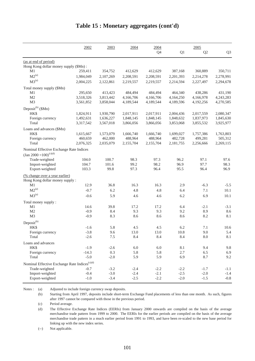|                                                              | 2002      | 2003      | 2004      | 2004      |           | 2005       |                |
|--------------------------------------------------------------|-----------|-----------|-----------|-----------|-----------|------------|----------------|
|                                                              |           |           |           | Q4        | Q1        | Q2         | Q <sub>3</sub> |
| (as at end of period)                                        |           |           |           |           |           |            |                |
| Hong Kong dollar money supply (\$Mn):                        |           |           |           |           |           |            |                |
| M1                                                           | 259,411   | 354,752   | 412,629   | 412,629   | 387,168   | 360,889    | 350,711        |
| $M2^{(a)}$                                                   | 1,984,049 | 2,107,269 | 2,208,591 | 2,208,591 | 2,201,393 | 2,214,278  | 2,278,991      |
| $M3^{(a)}$                                                   | 2,004,225 | 2,122,861 | 2,219,557 | 2,219,557 | 2,214,594 | 2,227,497  | 2,294,678      |
| Total money supply (\$Mn)                                    |           |           |           |           |           |            |                |
| M1                                                           | 295,650   | 413,423   | 484,494   | 484,494   | 464,340   | 438,286    | 431,190        |
| M <sub>2</sub>                                               | 3,518,326 | 3,813,442 | 4,166,706 | 4,166,706 | 4,164,250 | 4,166,978  | 4,243,283      |
| M <sub>3</sub>                                               | 3,561,852 | 3,858,044 | 4,189,544 | 4,189,544 | 4,189,596 | 4,192,256  | 4,270,585      |
| Deposit <sup>(b)</sup> (\$Mn)                                |           |           |           |           |           |            |                |
| HK\$                                                         | 1,824,911 | 1,930,790 | 2,017,911 | 2,017,911 | 2,004,436 | 2,017,559  | 2,080,347      |
| Foreign currency                                             | 1,492,631 | 1,636,227 | 1,848,145 | 1,848,145 | 1,848,632 | 1,837,973  | 1,845,630      |
| Total                                                        | 3,317,542 | 3,567,018 | 3,866,056 | 3,866,056 | 3,853,068 | 3,855,532  | 3,925,977      |
| Loans and advances (\$Mn)                                    |           |           |           |           |           |            |                |
| HK\$                                                         | 1,615,667 | 1,573,079 | 1,666,740 | 1,666,740 | 1,699,027 | 1,757,386  | 1,763,803      |
| Foreign currency                                             | 460,659   | 462,000   | 488,964   | 488,964   | 482,728   | 499,281    | 505,312        |
| Total                                                        | 2,076,325 | 2,035,079 | 2,155,704 | 2,155,704 | 2,181,755 | 2,256,666  | 2,269,115      |
| Nominal Effective Exchange Rate Indices                      |           |           |           |           |           |            |                |
| $\left(\text{Jan } 2000 = 100\right)^{(c)(d)}$               |           |           |           |           |           |            |                |
| Trade-weighted                                               | 104.0     | 100.7     | 98.3      | 97.3      | 96.2      | 97.1       | 97.6           |
| Import-weighted                                              | 104.7     | 101.6     | 99.2      | 98.2      | 96.9      | 97.7       | 98.3           |
| Export-weighted                                              | 103.3     | 99.8      | 97.3      | 96.4      | 95.5      | 96.4       | 96.9           |
| (% change over a year earlier)                               |           |           |           |           |           |            |                |
| Hong Kong dollar money supply :                              |           |           |           |           |           |            |                |
| M1                                                           | 12.9      | 36.8      | 16.3      | 16.3      | 2.9       | $-6.3$     | $-5.5$         |
| $M2^{(a)}$                                                   | $-0.7$    | 6.2       | 4.8       | 4.8       | 6.4       | 7.1        | 10.1           |
| $M3^{(a)}$                                                   | $-0.6$    | 5.9       | 4.6       | 4.6       | 6.2       | 6.9        | 10.1           |
| Total money supply:                                          |           |           |           |           |           |            |                |
| M <sub>1</sub>                                               | 14.6      | 39.8      | 17.2      | 17.2      | 6.4       | $-2.1$     | $-3.1$         |
| M <sub>2</sub>                                               | $-0.9$    | 8.4       | 9.3       | 9.3       | 9.2       | 8.9        | 8.6            |
| M <sub>3</sub>                                               | $-0.9$    | 8.3       | 8.6       | 8.6       | 8.6       | 8.2        | 8.1            |
| Deposit <sup>(b)</sup>                                       |           |           |           |           |           |            |                |
| HK\$                                                         | $-1.6$    | 5.8       | 4.5       | 4.5       | 6.2       | 7.1        | 10.6           |
| Foreign currency                                             | $-3.8$    | 9.6       | 13.0      | 13.0      | 10.8      | 9.0        | 5.4            |
| Total                                                        | $-2.6$    | $7.5\,$   | 8.4       | 8.4       | 8.4       | $\ \, 8.0$ | 8.1            |
| Loans and advances                                           |           |           |           |           |           |            |                |
| HK\$                                                         | $-1.9$    | $-2.6$    | $6.0\,$   | $6.0\,$   | $8.1\,$   | 9.4        | 9.8            |
| Foreign currency                                             | $-14.3$   | 0.3       | 5.8       | 5.8       | 2.7       | 6.5        | 6.9            |
| Total                                                        | $-5.0$    | $-2.0$    | 5.9       | 5.9       | 6.9       | 8.7        | 9.2            |
| Nominal Effective Exchange Rate Indices ${}^{\text{(c)(d)}}$ |           |           |           |           |           |            |                |
| Trade-weighted                                               | $-0.7$    | $-3.2$    | $-2.4$    | $-2.2$    | $-2.2$    | $-1.7$     | $-1.1$         |
| Import-weighted                                              | $-0.4$    | $-3.0$    | $-2.4$    | $-2.1$    | $-2.5$    | $-2.0$     | $-1.4$         |
| Export-weighted                                              | $-1.0$    | $-3.4$    | $-2.5$    | $-2.2$    | $-2.0$    | $-1.5$     | $-0.8$         |

### **Table 15 : Monetary aggregates (cont'd)**

Notes : (a) Adjusted to include foreign currency swap deposits.

(b) Starting from April 1997, deposits include short-term Exchange Fund placements of less than one month. As such, figures after 1997 cannot be compared with those in the previous period.

(c) Period average.

(d) The Effective Exchange Rate Indices (EERIs) from January 2000 onwards are compiled on the basis of the average merchandise trade pattern from 1999 to 2000. The EERIs for the earlier periods are compiled on the basis of the average merchandise trade pattern in a much earlier period from 1991 to 1993, and have been re-scaled to the new base period for linking up with the new index series.

(--) Not applicable.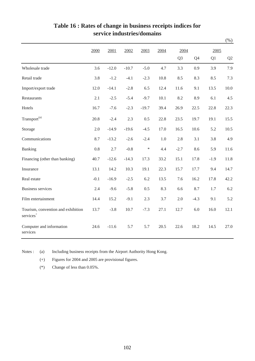|                                                             |         |         |         |         |         |                |         |        | $(\%)$ |
|-------------------------------------------------------------|---------|---------|---------|---------|---------|----------------|---------|--------|--------|
|                                                             | 2000    | 2001    | 2002    | 2003    | 2004    | 2004           |         | 2005   |        |
|                                                             |         |         |         |         |         | Q <sub>3</sub> | Q4      | Q1     | Q2     |
| Wholesale trade                                             | 3.6     | $-12.0$ | $-10.7$ | $-5.0$  | 4.7     | 3.3            | 0.9     | 3.9    | 7.9    |
| Retail trade                                                | 3.8     | $-1.2$  | $-4.1$  | $-2.3$  | 10.8    | 8.5            | 8.3     | 8.5    | 7.3    |
| Import/export trade                                         | 12.0    | $-14.1$ | $-2.8$  | 6.5     | 12.4    | 11.6           | 9.1     | 13.5   | 10.0   |
| <b>Restaurants</b>                                          | 2.1     | $-2.5$  | $-5.4$  | $-9.7$  | 10.1    | 8.2            | 8.9     | 6.1    | 4.5    |
| Hotels                                                      | 16.7    | $-7.6$  | $-2.3$  | $-19.7$ | 39.4    | 26.9           | 22.5    | 22.8   | 22.3   |
| Transport <sup>(a)</sup>                                    | 20.8    | $-2.4$  | 2.3     | 0.5     | 22.8    | 23.5           | 19.7    | 19.1   | 15.5   |
| Storage                                                     | 2.0     | $-14.9$ | $-19.6$ | $-4.5$  | 17.0    | 16.5           | 10.6    | 5.2    | 10.5   |
| Communications                                              | 8.7     | $-13.2$ | $-2.6$  | $-2.4$  | $1.0\,$ | 2.8            | 3.1     | 3.8    | 4.9    |
| Banking                                                     | $0.8\,$ | 2.7     | $-0.8$  | $\ast$  | 4.4     | $-2.7$         | 8.6     | 5.9    | 11.6   |
| Financing (other than banking)                              | 40.7    | $-12.6$ | $-14.3$ | 17.3    | 33.2    | 15.1           | 17.8    | $-1.9$ | 11.8   |
| Insurance                                                   | 13.1    | 14.2    | 10.3    | 19.1    | 22.3    | 15.7           | 17.7    | 9.4    | 14.7   |
| Real estate                                                 | $-0.1$  | $-16.9$ | $-2.5$  | 6.2     | 13.5    | 7.6            | 16.2    | 17.8   | 42.2   |
| <b>Business services</b>                                    | 2.4     | $-9.6$  | $-5.8$  | 0.5     | 8.3     | 6.6            | 8.7     | 1.7    | 6.2    |
| Film entertainment                                          | 14.4    | 15.2    | $-9.1$  | 2.3     | 3.7     | 2.0            | $-4.3$  | 9.1    | 5.2    |
| Tourism, convention and exhibition<br>services <sup>+</sup> | 13.7    | $-3.8$  | 10.7    | $-7.3$  | 27.1    | 12.7           | $6.0\,$ | 16.0   | 12.1   |
| Computer and information<br>services                        | 24.6    | $-11.6$ | 5.7     | 5.7     | 20.5    | 22.6           | 18.2    | 14.5   | 27.0   |

## **Table 16 : Rates of change in business receipts indices for service industries/domains**

Notes : (a) Including business receipts from the Airport Authority Hong Kong.

(+) Figures for 2004 and 2005 are provisional figures.

(\*) Change of less than 0.05%.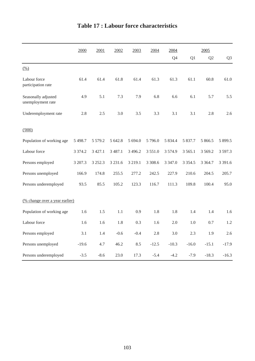|                                          | 2000        | 2001        | 2002        | 2003        | 2004       | 2004        |             | 2005           |                |
|------------------------------------------|-------------|-------------|-------------|-------------|------------|-------------|-------------|----------------|----------------|
|                                          |             |             |             |             |            | Q4          | Q1          | Q <sub>2</sub> | Q <sub>3</sub> |
| (% )                                     |             |             |             |             |            |             |             |                |                |
| Labour force<br>participation rate       | 61.4        | 61.4        | 61.8        | 61.4        | 61.3       | 61.3        | 61.1        | 60.8           | 61.0           |
| Seasonally adjusted<br>unemployment rate | 4.9         | 5.1         | 7.3         | 7.9         | 6.8        | 6.6         | 6.1         | 5.7            | 5.5            |
| Underemployment rate                     | 2.8         | 2.5         | 3.0         | 3.5         | 3.3        | 3.1         | 3.1         | 2.8            | 2.6            |
| (000)                                    |             |             |             |             |            |             |             |                |                |
| Population of working age                | 5 4 9 8.7   | 5 5 7 9 . 2 | 5 642.8     | 5 694.0     | 5796.0     | 5 8 3 4 . 4 | 5 837.7     | 5 866.5        | 5 899.5        |
| Labour force                             | 3 3 7 4 . 2 | 3 4 2 7 .1  | 3 4 8 7 . 1 | 3 4 9 6.2   | 3 5 5 1 .0 | 3 5 7 4 .9  | 3 5 6 5 .1  | 3 5 6 9 . 2    | 3 597.3        |
| Persons employed                         | 3 207.3     | 3 2 5 2 . 3 | 3 2 3 1.6   | 3 2 1 9 . 1 | 3 3 08.6   | 3 3 4 7 .0  | 3 3 5 4 . 5 | 3 3 6 4 .7     | 3 3 9 1.6      |
| Persons unemployed                       | 166.9       | 174.8       | 255.5       | 277.2       | 242.5      | 227.9       | 210.6       | 204.5          | 205.7          |
| Persons underemployed                    | 93.5        | 85.5        | 105.2       | 123.3       | 116.7      | 111.3       | 109.8       | 100.4          | 95.0           |
| (% change over a year earlier)           |             |             |             |             |            |             |             |                |                |
| Population of working age                | 1.6         | 1.5         | 1.1         | 0.9         | 1.8        | 1.8         | 1.4         | 1.4            | 1.6            |
| Labour force                             | 1.6         | 1.6         | 1.8         | 0.3         | 1.6        | 2.0         | 1.0         | 0.7            | 1.2            |
| Persons employed                         | 3.1         | 1.4         | $-0.6$      | $-0.4$      | 2.8        | 3.0         | 2.3         | 1.9            | 2.6            |
| Persons unemployed                       | $-19.6$     | 4.7         | 46.2        | 8.5         | $-12.5$    | $-10.3$     | $-16.0$     | $-15.1$        | $-17.9$        |
| Persons underemployed                    | $-3.5$      | $-8.6$      | 23.0        | 17.3        | $-5.4$     | $-4.2$      | $-7.9$      | $-18.3$        | $-16.3$        |

# **Table 17 : Labour force characteristics**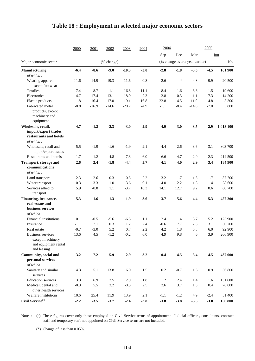|                                                                              | 2000    | 2001    | 2002       | 2003    | 2004    | 2004       |         |                                | 2005   |           |
|------------------------------------------------------------------------------|---------|---------|------------|---------|---------|------------|---------|--------------------------------|--------|-----------|
|                                                                              |         |         |            |         |         | <u>Sep</u> | Dec     | Mar                            |        | Jun       |
| Major economic sector                                                        |         |         | (% change) |         |         |            |         | (% change over a year earlier) |        | No.       |
| <b>Manufacturing</b>                                                         | $-6.4$  | $-8.6$  | $-9.0$     | $-10.3$ | $-3.0$  | $-2.8$     | $-1.8$  | $-3.5$                         | $-4.5$ | 161 900   |
| of which:                                                                    |         |         |            |         |         |            |         |                                |        |           |
| Wearing apparel,<br>except footwear                                          | $-11.6$ | $-14.9$ | $-19.3$    | $-11.6$ | $-0.8$  | $-2.6$     | ∗       | $-4.3$                         | $-9.9$ | 20 500    |
| <b>Textiles</b>                                                              | $-7.4$  | $-8.7$  | $-1.1$     | $-16.8$ | $-11.1$ | $-8.4$     | $-1.6$  | $-3.8$                         | 1.5    | 19 600    |
| Electronics                                                                  | 4.7     | $-17.4$ | $-13.1$    | $-18.9$ | $-2.3$  | $-2.8$     | 0.3     | 1.1                            | $-7.3$ | 14 200    |
| Plastic products                                                             | $-11.8$ | $-16.4$ | $-17.0$    | $-19.1$ | $-16.8$ | $-22.8$    | $-14.5$ | $-11.0$                        | $-4.8$ | 3 3 0 0   |
| Fabricated metal                                                             | $-8.8$  | $-16.9$ | $-14.6$    | $-20.7$ | $-4.9$  | $-1.1$     | $-8.4$  | $-14.6$                        | $-7.0$ | 5 800     |
| products, except<br>machinery and<br>equipment                               |         |         |            |         |         |            |         |                                |        |           |
| Wholesale, retail,<br>import/export trades,<br>restaurants and hotels        | 4.7     | $-1.2$  | $-2.3$     | $-3.0$  | 2.9     | 4.9        | 3.0     | 3.5                            | 2.9    | 1 018 100 |
| of which:                                                                    |         |         |            |         |         |            |         |                                |        |           |
| Wholesale, retail and<br>import/export trades                                | 5.5     | $-1.9$  | $-1.6$     | $-1.9$  | 2.1     | 4.4        | 2.6     | 3.6                            | 3.1    | 803 700   |
| Restaurants and hotels                                                       | 1.7     | 1.2     | $-4.8$     | $-7.3$  | 6.0     | 6.6        | 4.7     | 2.9                            | 2.3    | 214 500   |
| Transport, storage and                                                       | 2.6     | 2.4     | $-1.8$     | $-4.4$  | 3.7     | 4.1        | 4.0     | 2.9                            | 3.4    | 184 900   |
| communications<br>of which:                                                  |         |         |            |         |         |            |         |                                |        |           |
| Land transport                                                               | $-2.3$  | 2.6     | $-0.3$     | 0.5     | $-2.2$  | $-3.2$     | $-1.7$  | $-1.5$                         | $-1.7$ | 37 700    |
| Water transport                                                              | 0.3     | 3.3     | 1.0        | $-3.6$  | 0.1     | $-4.0$     | 2.2     | 1.3                            | 1.4    | 28 600    |
| Services allied to                                                           | 5.9     | $-0.8$  | 1.1        | $-3.7$  | 10.3    | 14.1       | 12.7    | 9.2                            | 8.6    | 60 700    |
| transport                                                                    |         |         |            |         |         |            |         |                                |        |           |
| Financing, insurance,<br>real estate and<br>business services<br>of which:   | 5.3     | 1.6     | $-1.3$     | $-1.9$  | 3.6     | 3.7        | 5.6     | 4.4                            | 5.3    | 457 200   |
| Financial institutions                                                       | 0.1     | $-0.5$  | $-5.6$     | $-6.5$  | 1.1     | 2.4        | 1.4     | 3.7                            | 5.2    | 125 900   |
| Insurance                                                                    | $-1.1$  | 7.1     | 0.3        | 1.2     | 2.4     | $-0.6$     | 7.7     | 2.3                            | 13.1   | 30 700    |
| Real estate                                                                  | $-0.7$  | $-3.0$  | 5.2        | 0.7     | 2.2     | 4.2        | 1.8     | 5.8                            | 6.0    | 92 900    |
| Business services<br>except machinery<br>and equipment rental<br>and leasing | 13.6    | 4.5     | $-1.2$     | $-0.2$  | $6.0\,$ | 4.9        | 9.8     | 4.6                            | 3.9    | 206 900   |
| Community, social and<br>personal services                                   | 3.2     | 7.2     | 5.9        | 2.9     | 3.2     | 0.4        | 4.5     | 5.4                            | 4.5    | 437 000   |
| of which:<br>Sanitary and similar<br>services                                | 4.3     | 5.1     | 13.8       | 6.0     | 1.5     | 0.2        | $-0.7$  | 1.6                            | 0.9    | 56 800    |
| <b>Education</b> services                                                    | 3.3     | 6.9     | $2.5\,$    | 2.9     | 1.8     | $\ast$     | 2.4     | 1.4                            | 1.6    | 131 600   |
| Medical, dental and<br>other health services                                 | $-0.3$  | 5.5     | $3.2\,$    | $-0.3$  | 2.5     | 2.6        | 3.7     | 1.3                            | 0.4    | 76 000    |
| Welfare institutions                                                         | 10.6    | 25.4    | 11.9       | 13.9    | 2.1     | $-1.1$     | $-1.2$  | 4.9                            | $-2.4$ | 51 400    |
| Civil Service <sup>(a)</sup>                                                 | $-2.2$  | $-3.5$  | $-3.7$     | $-2.4$  | $-3.8$  | $-3.8$     | $-3.8$  | $-3.5$                         | $-3.0$ | 156 800   |

#### **Table 18 : Employment in selected major economic sectors**

Notes : (a) These figures cover only those employed on Civil Service terms of appointment. Judicial officers, consultants, contract staff and temporary staff not appointed on Civil Service terms are not included.

(\*) Change of less than 0.05%.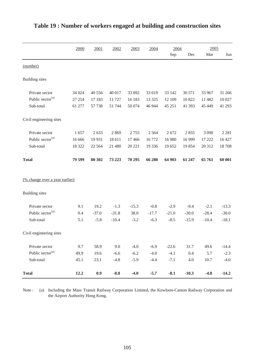|                                       | 2000   | 2001     | 2002    | 2003    | 2004    | 2004    |         | 2005    |         |
|---------------------------------------|--------|----------|---------|---------|---------|---------|---------|---------|---------|
|                                       |        |          |         |         |         | Sep     | Dec     | Mar     | Jun     |
| (number)                              |        |          |         |         |         |         |         |         |         |
| <b>Building</b> sites                 |        |          |         |         |         |         |         |         |         |
| Private sector                        | 34 024 | 40 556   | 40 017  | 33 892  | 33 619  | 33 142  | 30 571  | 33 967  | 31 266  |
| Public sector <sup>(a)</sup>          | 27 254 | 17 183   | 11 727  | 16 183  | 13 3 25 | 12 109  | 10 822  | 11 482  | 10 027  |
| Sub-total                             | 61 277 | 57 738   | 51 744  | 50 074  | 46 944  | 45 251  | 41 393  | 45 449  | 41 293  |
| Civil engineering sites               |        |          |         |         |         |         |         |         |         |
| Private sector                        | 1657   | 2633     | 2869    | 2755    | 2 5 6 4 | 2672    | 2855    | 3 0 9 0 | 2 2 8 1 |
| Public sector <sup>(a)</sup>          | 16 666 | 19 9 31  | 18 611  | 17466   | 16772   | 16 980  | 16 9 99 | 17 222  | 16 427  |
| Sub-total                             | 18 322 | 22 5 6 4 | 21 480  | 20 221  | 19 3 36 | 19 652  | 19854   | 20 312  | 18708   |
| <b>Total</b>                          | 79 599 | 80 30 2  | 73 223  | 70 295  | 66 280  | 64 903  | 61 247  | 65761   | 60 001  |
| <u>(% change over a year earlier)</u> |        |          |         |         |         |         |         |         |         |
| <b>Building</b> sites                 |        |          |         |         |         |         |         |         |         |
| Private sector                        | 9.1    | 19.2     | $-1.3$  | $-15.3$ | $-0.8$  | $-2.9$  | $-9.4$  | $-2.1$  | $-13.3$ |
| Public sector <sup>(a)</sup>          | 0.4    | $-37.0$  | $-31.8$ | 38.0    | $-17.7$ | $-21.0$ | $-30.0$ | $-28.4$ | $-30.0$ |
| Sub-total                             | 5.1    | $-5.8$   | $-10.4$ | $-3.2$  | $-6.3$  | $-8.5$  | $-15.9$ | $-10.4$ | $-18.1$ |
| Civil engineering sites               |        |          |         |         |         |         |         |         |         |
| Private sector                        | 9.7    | 58.9     | 9.0     | $-4.0$  | $-6.9$  | $-22.6$ | 31.7    | 49.6    | $-14.4$ |
| Public sector <sup>(a)</sup>          | 49.9   | 19.6     | $-6.6$  | $-6.2$  | $-4.0$  | $-4.1$  | 0.4     | 5.7     | $-2.3$  |
| Sub-total                             | 45.1   | 23.1     | $-4.8$  | $-5.9$  | $-4.4$  | $-7.1$  | 4.0     | 10.7    | $-4.0$  |
| <b>Total</b>                          | 12.2   | 0.9      | $-8.8$  | $-4.0$  | $-5.7$  | $-8.1$  | $-10.3$ | $-4.8$  | $-14.2$ |

#### **Table 19 : Number of workers engaged at building and construction sites**

Note : (a) Including the Mass Transit Railway Corporation Limited, the Kowloon-Canton Railway Corporation and the Airport Authority Hong Kong.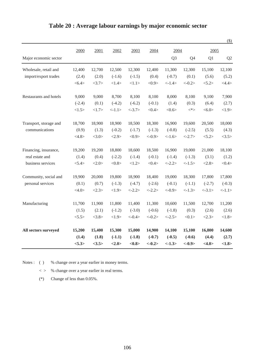|                        |                 |        |          |           |           |                |           |          | $(\$)$         |
|------------------------|-----------------|--------|----------|-----------|-----------|----------------|-----------|----------|----------------|
|                        | 2000            | 2001   | 2002     | 2003      | 2004      | 2004           |           | 2005     |                |
| Major economic sector  |                 |        |          |           |           | Q <sub>3</sub> | Q4        | Q1       | Q <sub>2</sub> |
| Wholesale, retail and  | 12,400          | 12,700 | 12,500   | 12,300    | 12,400    | 11,300         | 12,300    | 15,100   | 12,100         |
| import/export trades   | (2.4)           | (2.0)  | $(-1.6)$ | $(-1.5)$  | (0.4)     | $(-0.7)$       | (0.1)     | (5.6)    | (5.2)          |
|                        | $<\!\!6.4\!\!>$ | <3.7>  | <1.4>    | <1.1>     | <0.9>     | $< -1.4>$      | $<-0.2>$  | < 5.2>   | <4.4>          |
| Restaurants and hotels | 9,000           | 9,000  | 8,700    | 8,100     | 8,100     | 8,000          | 8,100     | 9,100    | 7,900          |
|                        | $(-2.4)$        | (0.1)  | $(-4.2)$ | $(-6.2)$  | $(-0.1)$  | (1.4)          | (0.3)     | (6.4)    | (2.7)          |
|                        | <1.5>           | <1.7>  | <1.1>    | $< -3.7>$ | <0.4>     | <0.6           | $<^*\!>$  | <6.0>    | <1.9>          |
| Transport, storage and | 18,700          | 18,900 | 18,900   | 18,500    | 18,300    | 16,900         | 19,600    | 20,500   | 18,000         |
| communications         | (0.9)           | (1.3)  | $(-0.2)$ | $(-1.7)$  | $(-1.3)$  | $(-0.8)$       | $(-2.5)$  | (5.5)    | (4.3)          |
|                        | <4.8>           | <3.0>  | <2.9>    | <0.9>     | $<-0.9>$  | $< -1.6>$      | $< -2.7>$ | < 5.2>   | <3.5>          |
| Financing, insurance,  | 19,200          | 19,200 | 18,800   | 18,600    | 18,500    | 16,900         | 19,000    | 21,000   | 18,100         |
| real estate and        | (1.4)           | (0.4)  | $(-2.2)$ | $(-1.4)$  | $(-0.1)$  | $(-1.4)$       | $(-1.3)$  | (3.1)    | (1.2)          |
| business services      | < 5.4>          | <2.0>  | <0.8>    | <1.2>     | <0.4>     | $< -2.2>$      | <1.5>     | <2.8>    | <0.4>          |
| Community, social and  | 19,900          | 20,000 | 19,800   | 18,900    | 18,400    | 19,000         | 18,300    | 17,800   | 17,800         |
| personal services      | (0.1)           | (0.7)  | $(-1.3)$ | $(-4.7)$  | $(-2.6)$  | $(-0.1)$       | $(-1.1)$  | $(-2.7)$ | $(-0.3)$       |
|                        | <4.0>           | <2.3>  | <1.9>    | $< -2.2>$ | $< -2.2>$ | $<-0.9>$       | $< -1.3>$ | $<-3.1>$ | <1.1>          |
| Manufacturing          | 11,700          | 11,900 | 11,800   | 11,400    | 11,300    | 10,600         | 11,500    | 12,700   | 11,200         |
|                        | (1.5)           | (2.1)  | $(-1.2)$ | $(-3.0)$  | $(-0.6)$  | $(-1.8)$       | (0.3)     | (2.6)    | (2.6)          |
|                        | < 5.5>          | <3.8>  | <1.9>    | $< -0.4>$ | $<-0.2>$  | $< -2.5>$      | <0.1>     | <2.3>    | <1.8>          |
| All sectors surveyed   | 15,200          | 15,400 | 15,300   | 15,000    | 14,900    | 14,100         | 15,100    | 16,800   | 14,600         |
|                        | (1.4)           | (1.8)  | $(-1.1)$ | $(-1.8)$  | $(-0.7)$  | $(-0.5)$       | $(-0.6)$  | (4.4)    | (2.7)          |
|                        | < 5.3>          | <3.5>  | <2.0>    | <0.8>     | $<-0.2>$  | $<-1.3>$       | $<-0.9>$  | <4.0>    | <1.8>          |

#### **Table 20 : Average labour earnings by major economic sector**

Notes : ( ) % change over a year earlier in money terms.

 $\langle \rangle$  % change over a year earlier in real terms.

(\*) Change of less than 0.05%.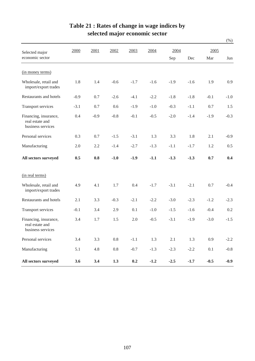|                                                               |        |        |         |        |        |         |        |         | $(\% )$ |
|---------------------------------------------------------------|--------|--------|---------|--------|--------|---------|--------|---------|---------|
| Selected major                                                | 2000   | 2001   | 2002    | 2003   | 2004   | 2004    |        | 2005    |         |
| economic sector                                               |        |        |         |        |        | Sep     | Dec    | Mar     | Jun     |
| (in money terms)                                              |        |        |         |        |        |         |        |         |         |
| Wholesale, retail and<br>import/export trades                 | 1.8    | 1.4    | $-0.6$  | $-1.7$ | $-1.6$ | $-1.9$  | $-1.6$ | 1.9     | 0.9     |
| Restaurants and hotels                                        | $-0.9$ | 0.7    | $-2.6$  | $-4.1$ | $-2.2$ | $-1.8$  | $-1.8$ | $-0.1$  | $-1.0$  |
| <b>Transport services</b>                                     | $-3.1$ | 0.7    | 0.6     | $-1.9$ | $-1.0$ | $-0.3$  | $-1.1$ | 0.7     | 1.5     |
| Financing, insurance,<br>real estate and<br>business services | 0.4    | $-0.9$ | $-0.8$  | $-0.1$ | $-0.5$ | $-2.0$  | $-1.4$ | $-1.9$  | $-0.3$  |
| Personal services                                             | 0.3    | 0.7    | $-1.5$  | $-3.1$ | 1.3    | 3.3     | 1.8    | 2.1     | $-0.9$  |
| Manufacturing                                                 | 2.0    | 2.2    | $-1.4$  | $-2.7$ | $-1.3$ | $-1.1$  | $-1.7$ | 1.2     | 0.5     |
| All sectors surveyed                                          | 0.5    | 0.8    | $-1.0$  | $-1.9$ | $-1.1$ | $-1.3$  | $-1.3$ | 0.7     | 0.4     |
| (in real terms)                                               |        |        |         |        |        |         |        |         |         |
| Wholesale, retail and<br>import/export trades                 | 4.9    | 4.1    | 1.7     | 0.4    | $-1.7$ | $-3.1$  | $-2.1$ | 0.7     | $-0.4$  |
| Restaurants and hotels                                        | 2.1    | 3.3    | $-0.3$  | $-2.1$ | $-2.2$ | $-3.0$  | $-2.3$ | $-1.2$  | $-2.3$  |
| Transport services                                            | $-0.1$ | 3.4    | 2.9     | 0.1    | $-1.0$ | $-1.5$  | $-1.6$ | $-0.4$  | 0.2     |
| Financing, insurance,<br>real estate and<br>business services | 3.4    | 1.7    | 1.5     | 2.0    | $-0.5$ | $-3.1$  | $-1.9$ | $-3.0$  | $-1.5$  |
| Personal services                                             | 3.4    | 3.3    | $0.8\,$ | $-1.1$ | 1.3    | $2.1\,$ | 1.3    | 0.9     | $-2.2$  |
| Manufacturing                                                 | 5.1    | 4.8    | $0.8\,$ | $-0.7$ | $-1.3$ | $-2.3$  | $-2.2$ | $0.1\,$ | $-0.8$  |
| All sectors surveyed                                          | 3.6    | 3.4    | 1.3     | 0.2    | $-1.2$ | $-2.5$  | $-1.7$ | $-0.5$  | $-0.9$  |

#### **Table 21 : Rates of change in wage indices by selected major economic sector**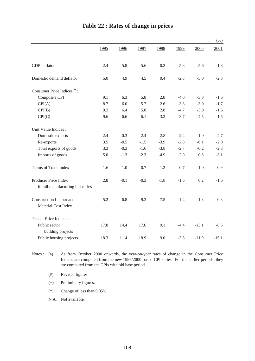|                                              |        |        |        |        |        |         | $(\% )$ |
|----------------------------------------------|--------|--------|--------|--------|--------|---------|---------|
|                                              | 1995   | 1996   | 1997   | 1998   | 1999   | 2000    | 2001    |
| GDP deflator                                 | 2.4    | 5.8    | 5.6    | 0.2    | $-5.8$ | $-5.6$  | $-1.8$  |
| Domestic demand deflator                     | 5.0    | 4.9    | 4.5    | 0.4    | $-2.3$ | $-5.0$  | $-2.3$  |
| Consumer Price Indices <sup>(a)</sup> :      |        |        |        |        |        |         |         |
| Composite CPI                                | 9.1    | 6.3    | 5.8    | 2.8    | $-4.0$ | $-3.8$  | $-1.6$  |
| CPI(A)                                       | 8.7    | 6.0    | 5.7    | 2.6    | $-3.3$ | $-3.0$  | $-1.7$  |
| CPI(B)                                       | 9.2    | 6.4    | 5.8    | 2.8    | $-4.7$ | $-3.9$  | $-1.6$  |
| CPI(C)                                       | 9.6    | 6.6    | 6.1    | 3.2    | $-3.7$ | $-4.5$  | $-1.5$  |
| Unit Value Indices :                         |        |        |        |        |        |         |         |
| Domestic exports                             | 2.4    | 0.3    | $-2.4$ | $-2.8$ | $-2.4$ | $-1.0$  | $-4.7$  |
| Re-exports                                   | 3.5    | $-0.5$ | $-1.5$ | $-3.9$ | $-2.8$ | $-0.1$  | $-2.0$  |
| Total exports of goods                       | 3.3    | $-0.3$ | $-1.6$ | $-3.8$ | $-2.7$ | $-0.2$  | $-2.3$  |
| Imports of goods                             | 5.0    | $-1.3$ | $-2.3$ | $-4.9$ | $-2.0$ | 0.8     | $-3.1$  |
| Terms of Trade Index                         | $-1.6$ | 1.0    | 0.7    | 1.2    | $-0.7$ | $-1.0$  | 0.9     |
| Producer Price Index                         | 2.8    | $-0.1$ | $-0.3$ | $-1.8$ | $-1.6$ | 0.2     | $-1.6$  |
| for all manufacturing industries             |        |        |        |        |        |         |         |
| Construction Labour and                      | 5.2    | 6.8    | 9.3    | 7.5    | 1.4    | 1.8     | 0.3     |
| Material Cost Index                          |        |        |        |        |        |         |         |
| Tender Price Indices:                        |        |        |        |        |        |         |         |
| Public sector                                | 17.8   | 14.4   | 17.6   | 9.1    | $-4.4$ | $-13.1$ | $-8.5$  |
| building projects<br>Public housing projects | 18.3   | 11.4   | 18.9   | 9.0    | $-3.3$ | $-11.9$ | $-15.1$ |
|                                              |        |        |        |        |        |         |         |

## **Table 22 : Rates of change in prices**

Notes:  $(a)$ As from October 2000 onwards, the year-on-year rates of change in the Consumer Price Indices are computed from the new 1999/2000-based CPI series. For the earlier periods, they are computed from the CPIs with old base period.

(#) Revised figures.

(+) Preliminary figures.

(\*) Change of less than 0.05%.

N.A. Not available.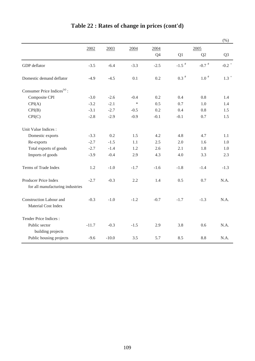|                                         |         |         |        |        |                     |               | (%)                |
|-----------------------------------------|---------|---------|--------|--------|---------------------|---------------|--------------------|
|                                         | 2002    | 2003    | 2004   | 2004   |                     | 2005          |                    |
|                                         |         |         |        | Q4     | Q1                  | Q2            | Q <sub>3</sub>     |
| GDP deflator                            | $-3.5$  | $-6.4$  | $-3.3$ | $-2.5$ | $-1.5$ <sup>#</sup> | -0.7 $^\#$    | -0.2 $^{\circ}$    |
| Domestic demand deflator                | $-4.9$  | $-4.5$  | 0.1    | 0.2    | $0.3$ $^{\#}$       | $1.0$ $^{\#}$ | $1.3$ <sup>+</sup> |
| Consumer Price Indices <sup>(a)</sup> : |         |         |        |        |                     |               |                    |
| Composite CPI                           | $-3.0$  | $-2.6$  | $-0.4$ | 0.2    | 0.4                 | 0.8           | 1.4                |
| CPI(A)                                  | $-3.2$  | $-2.1$  | $\ast$ | 0.5    | 0.7                 | 1.0           | 1.4                |
| CPI(B)                                  | $-3.1$  | $-2.7$  | $-0.5$ | 0.2    | 0.4                 | 0.8           | 1.5                |
| CPI(C)                                  | $-2.8$  | $-2.9$  | $-0.9$ | $-0.1$ | $-0.1$              | 0.7           | 1.5                |
| Unit Value Indices :                    |         |         |        |        |                     |               |                    |
| Domestic exports                        | $-3.3$  | 0.2     | 1.5    | 4.2    | 4.8                 | 4.7           | 1.1                |
| Re-exports                              | $-2.7$  | $-1.5$  | 1.1    | 2.5    | 2.0                 | 1.6           | 1.0                |
| Total exports of goods                  | $-2.7$  | $-1.4$  | 1.2    | 2.6    | 2.1                 | 1.8           | 1.0                |
| Imports of goods                        | $-3.9$  | $-0.4$  | 2.9    | 4.3    | 4.0                 | 3.3           | 2.3                |
| Terms of Trade Index                    | 1.2     | $-1.0$  | $-1.7$ | $-1.6$ | $-1.8$              | $-1.4$        | $-1.3$             |
| Producer Price Index                    | $-2.7$  | $-0.3$  | 2.2    | 1.4    | 0.5                 | 0.7           | N.A.               |
| for all manufacturing industries        |         |         |        |        |                     |               |                    |
| Construction Labour and                 | $-0.3$  | $-1.0$  | $-1.2$ | $-0.7$ | $-1.7$              | $-1.3$        | N.A.               |
| Material Cost Index                     |         |         |        |        |                     |               |                    |
| Tender Price Indices :                  |         |         |        |        |                     |               |                    |
| Public sector<br>building projects      | $-11.7$ | $-0.3$  | $-1.5$ | 2.9    | 3.8                 | 0.6           | N.A.               |
| Public housing projects                 | $-9.6$  | $-10.0$ | 3.5    | 5.7    | 8.5                 | 8.8           | N.A.               |

## **Table 22 : Rates of change in prices (cont'd)**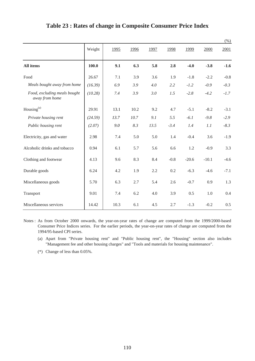|                                                |         |      |      |      |        |         |         | $(\% )$ |
|------------------------------------------------|---------|------|------|------|--------|---------|---------|---------|
|                                                | Weight  | 1995 | 1996 | 1997 | 1998   | 1999    | 2000    | 2001    |
| <b>All items</b>                               | 100.0   | 9.1  | 6.3  | 5.8  | 2.8    | $-4.0$  | $-3.8$  | $-1.6$  |
| Food                                           | 26.67   | 7.1  | 3.9  | 3.6  | 1.9    | $-1.8$  | $-2.2$  | $-0.8$  |
| Meals bought away from home                    | (16.39) | 6.9  | 3.9  | 4.0  | 2.2    | $-1.2$  | $-0.9$  | $-0.3$  |
| Food, excluding meals bought<br>away from home | (10.28) | 7.4  | 3.9  | 3.0  | 1.5    | $-2.8$  | $-4.2$  | $-1.7$  |
| Housing $(a)$                                  | 29.91   | 13.1 | 10.2 | 9.2  | 4.7    | $-5.1$  | $-8.2$  | $-3.1$  |
| Private housing rent                           | (24.59) | 13.7 | 10.7 | 9.1  | 5.5    | $-6.1$  | $-9.8$  | $-2.9$  |
| Public housing rent                            | (2.07)  | 9.0  | 8.3  | 13.5 | $-3.4$ | 1.4     | 1.1     | $-8.3$  |
| Electricity, gas and water                     | 2.98    | 7.4  | 5.0  | 5.0  | 1.4    | $-0.4$  | 3.6     | $-1.9$  |
| Alcoholic drinks and tobacco                   | 0.94    | 6.1  | 5.7  | 5.6  | 6.6    | 1.2     | $-0.9$  | 3.3     |
| Clothing and footwear                          | 4.13    | 9.6  | 8.3  | 8.4  | $-0.8$ | $-20.6$ | $-10.1$ | $-4.6$  |
| Durable goods                                  | 6.24    | 4.2  | 1.9  | 2.2  | 0.2    | $-6.3$  | $-4.6$  | $-7.1$  |
| Miscellaneous goods                            | 5.70    | 6.3  | 2.7  | 5.4  | 2.6    | $-0.7$  | 0.9     | 1.3     |
| Transport                                      | 9.01    | 7.4  | 6.2  | 4.0  | 3.9    | 0.5     | 1.0     | 0.4     |
| Miscellaneous services                         | 14.42   | 10.3 | 6.1  | 4.5  | 2.7    | $-1.3$  | $-0.2$  | 0.5     |

#### **Table 23 : Rates of change in Composite Consumer Price Index**

Notes : As from October 2000 onwards, the year-on-year rates of change are computed from the 1999/2000-based Consumer Price Indices series. For the earlier periods, the year-on-year rates of change are computed from the 1994/95-based CPI series.

- (a) Apart from "Private housing rent" and "Public housing rent", the "Housing" section also includes "Management fee and other housing charges" and "Tools and materials for housing maintenance".
- (\*) Change of less than 0.05%.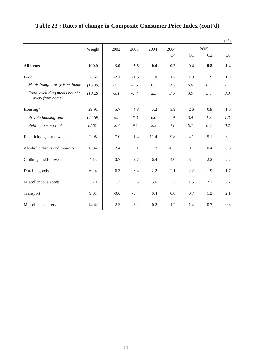|                                                |         |        |        |        |        |        |                | $(\% )$        |
|------------------------------------------------|---------|--------|--------|--------|--------|--------|----------------|----------------|
|                                                | Weight  | 2002   | 2003   | 2004   | 2004   |        | 2005           |                |
|                                                |         |        |        |        | Q4     | Q1     | Q <sub>2</sub> | Q <sub>3</sub> |
| All items                                      | 100.0   | $-3.0$ | $-2.6$ | $-0.4$ | 0.2    | 0.4    | 0.8            | 1.4            |
| Food                                           | 26.67   | $-2.1$ | $-1.5$ | 1.0    | 1.7    | 1.9    | 1.9            | 1.9            |
| Meals bought away from home                    | (16.39) | $-1.5$ | $-1.5$ | 0.2    | 0.5    | 0.6    | 0.8            | 1.1            |
| Food, excluding meals bought<br>away from home | (10.28) | $-3.1$ | $-1.7$ | 2.5    | 3.6    | 3.9    | 3.6            | 3.3            |
| Housing <sup>(a)</sup>                         | 29.91   | $-5.7$ | $-4.8$ | $-5.2$ | $-3.9$ | $-2.6$ | $-0.9$         | 1.0            |
| Private housing rent                           | (24.59) | $-6.5$ | $-6.3$ | $-6.6$ | $-4.9$ | $-3.4$ | $-1.3$         | 1.3            |
| Public housing rent                            | (2.07)  | $-2.7$ | 9.1    | 2.5    | 0.1    | 0.1    | 0.2            | 0.2            |
| Electricity, gas and water                     | 2.98    | $-7.0$ | 1.4    | 11.4   | 9.8    | 4.1    | 5.1            | 3.2            |
| Alcoholic drinks and tobacco                   | 0.94    | 2.4    | 0.1    | $\ast$ | $-0.3$ | 0.1    | 0.4            | 0.6            |
| Clothing and footwear                          | 4.13    | 0.7    | $-2.7$ | 6.4    | 4.0    | 3.4    | 2.2            | 2.2            |
| Durable goods                                  | 6.24    | $-6.3$ | $-6.4$ | $-2.2$ | $-2.1$ | $-2.2$ | $-1.9$         | $-1.7$         |
| Miscellaneous goods                            | 5.70    | 1.7    | 2.3    | 3.6    | 2.5    | 1.5    | 2.1            | 2.7            |
| Transport                                      | 9.01    | $-0.6$ | $-0.4$ | 0.4    | 0.8    | 0.7    | 1.2            | 2.1            |
| Miscellaneous services                         | 14.42   | $-2.3$ | $-3.2$ | $-0.2$ | 1.2    | 1.4    | 0.7            | $0.8\,$        |

# **Table 23 : Rates of change in Composite Consumer Price Index (cont'd)**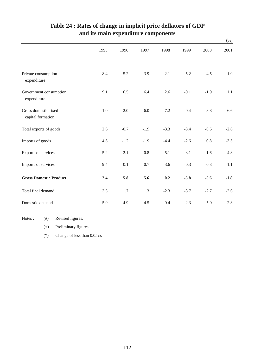|                                           |        |        |        |        |        |        | $(\% )$ |
|-------------------------------------------|--------|--------|--------|--------|--------|--------|---------|
|                                           | 1995   | 1996   | 1997   | 1998   | 1999   | 2000   | 2001    |
| Private consumption<br>expenditure        | 8.4    | 5.2    | 3.9    | 2.1    | $-5.2$ | $-4.5$ | $-1.0$  |
| Government consumption<br>expenditure     | 9.1    | 6.5    | 6.4    | 2.6    | $-0.1$ | $-1.9$ | 1.1     |
| Gross domestic fixed<br>capital formation | $-1.0$ | 2.0    | 6.0    | $-7.2$ | 0.4    | $-3.8$ | $-6.6$  |
| Total exports of goods                    | 2.6    | $-0.7$ | $-1.9$ | $-3.3$ | $-3.4$ | $-0.5$ | $-2.6$  |
| Imports of goods                          | 4.8    | $-1.2$ | $-1.9$ | $-4.4$ | $-2.6$ | 0.8    | $-3.5$  |
| Exports of services                       | 5.2    | 2.1    | 0.8    | $-5.1$ | $-3.1$ | 1.6    | $-4.3$  |
| Imports of services                       | 9.4    | $-0.1$ | 0.7    | $-3.6$ | $-0.3$ | $-0.3$ | $-1.1$  |
| <b>Gross Domestic Product</b>             | 2.4    | 5.8    | 5.6    | 0.2    | $-5.8$ | $-5.6$ | $-1.8$  |
| Total final demand                        | 3.5    | 1.7    | 1.3    | $-2.3$ | $-3.7$ | $-2.7$ | $-2.6$  |
| Domestic demand                           | 5.0    | 4.9    | 4.5    | 0.4    | $-2.3$ | $-5.0$ | $-2.3$  |

#### **and its main expenditure components Table 24 : Rates of change in implicit price deflators of GDP**

Notes :  $(#)$ Revised figures.

(+) Preliminary figures.

(\*) Change of less than 0.05%.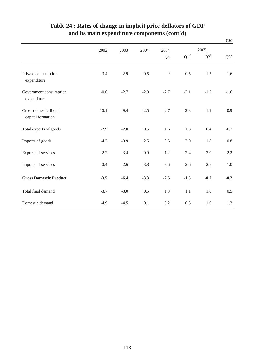|                                           |         |        |        |                |        |           | $(\%)$ |
|-------------------------------------------|---------|--------|--------|----------------|--------|-----------|--------|
|                                           | 2002    | 2003   | 2004   | 2004           |        | 2005      |        |
|                                           |         |        |        | Q <sub>4</sub> | $Q1^*$ | $Q2^{\#}$ | $Q3^+$ |
| Private consumption<br>expenditure        | $-3.4$  | $-2.9$ | $-0.5$ | $\ast$         | 0.5    | 1.7       | 1.6    |
| Government consumption<br>expenditure     | $-0.6$  | $-2.7$ | $-2.9$ | $-2.7$         | $-2.1$ | $-1.7$    | $-1.6$ |
| Gross domestic fixed<br>capital formation | $-10.1$ | $-9.4$ | 2.5    | 2.7            | 2.3    | 1.9       | 0.9    |
| Total exports of goods                    | $-2.9$  | $-2.0$ | 0.5    | 1.6            | 1.3    | 0.4       | $-0.2$ |
| Imports of goods                          | $-4.2$  | $-0.9$ | 2.5    | 3.5            | 2.9    | 1.8       | 0.8    |
| Exports of services                       | $-2.2$  | $-3.4$ | 0.9    | 1.2            | 2.4    | 3.0       | 2.2    |
| Imports of services                       | 0.4     | 2.6    | 3.8    | 3.6            | 2.6    | 2.5       | 1.0    |
| <b>Gross Domestic Product</b>             | $-3.5$  | $-6.4$ | $-3.3$ | $-2.5$         | $-1.5$ | $-0.7$    | $-0.2$ |
| Total final demand                        | $-3.7$  | $-3.0$ | 0.5    | 1.3            | 1.1    | $1.0\,$   | 0.5    |
| Domestic demand                           | $-4.9$  | $-4.5$ | 0.1    | 0.2            | 0.3    | $1.0\,$   | 1.3    |

#### **Table 24 : Rates of change in implicit price deflators of GDP and its main expenditure components (cont'd)**